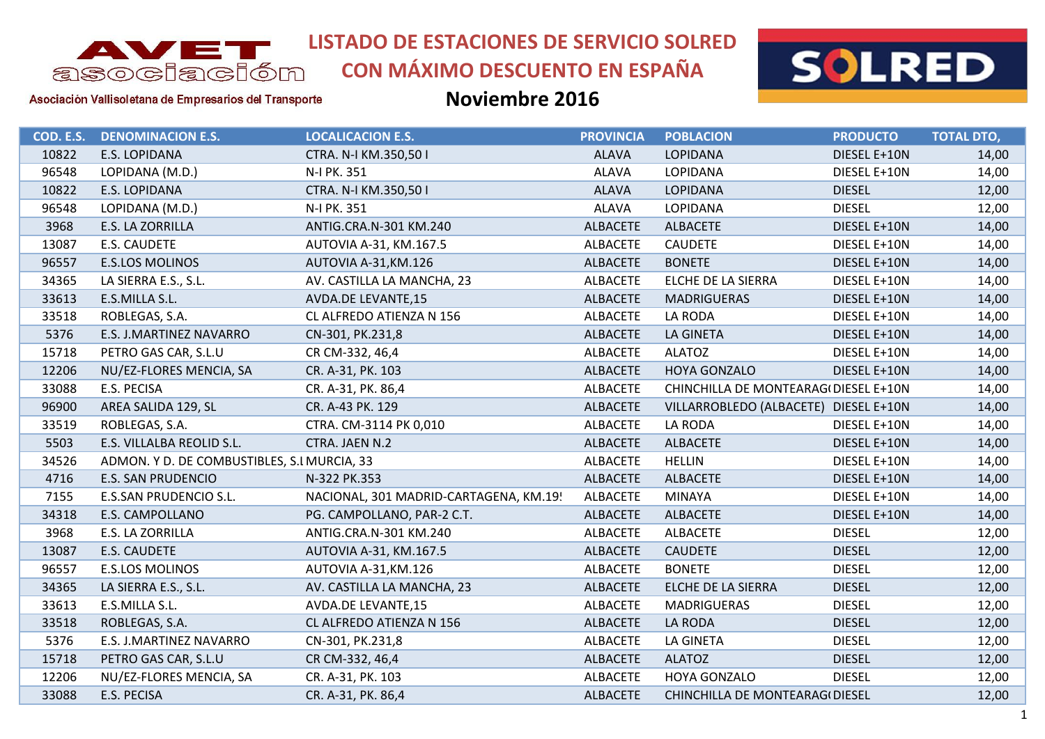

# **CON MÁXIMO DESCUENTO EN ESPAÑA**



Asociación Vallisoletana de Empresarios del Transporte

| COD. E.S. | <b>DENOMINACION E.S.</b>                    | <b>LOCALICACION E.S.</b>               | <b>PROVINCIA</b> | <b>POBLACION</b>                      | <b>PRODUCTO</b> | <b>TOTAL DTO,</b> |
|-----------|---------------------------------------------|----------------------------------------|------------------|---------------------------------------|-----------------|-------------------|
| 10822     | E.S. LOPIDANA                               | CTRA. N-I KM.350,501                   | <b>ALAVA</b>     | <b>LOPIDANA</b>                       | DIESEL E+10N    | 14,00             |
| 96548     | LOPIDANA (M.D.)                             | N-I PK. 351                            | <b>ALAVA</b>     | <b>LOPIDANA</b>                       | DIESEL E+10N    | 14,00             |
| 10822     | <b>E.S. LOPIDANA</b>                        | CTRA. N-I KM.350,501                   | <b>ALAVA</b>     | <b>LOPIDANA</b>                       | <b>DIESEL</b>   | 12,00             |
| 96548     | LOPIDANA (M.D.)                             | N-I PK. 351                            | <b>ALAVA</b>     | <b>LOPIDANA</b>                       | <b>DIESEL</b>   | 12,00             |
| 3968      | E.S. LA ZORRILLA                            | ANTIG.CRA.N-301 KM.240                 | <b>ALBACETE</b>  | <b>ALBACETE</b>                       | DIESEL E+10N    | 14,00             |
| 13087     | E.S. CAUDETE                                | AUTOVIA A-31, KM.167.5                 | <b>ALBACETE</b>  | <b>CAUDETE</b>                        | DIESEL E+10N    | 14,00             |
| 96557     | <b>E.S.LOS MOLINOS</b>                      | AUTOVIA A-31, KM.126                   | <b>ALBACETE</b>  | <b>BONETE</b>                         | DIESEL E+10N    | 14,00             |
| 34365     | LA SIERRA E.S., S.L.                        | AV. CASTILLA LA MANCHA, 23             | <b>ALBACETE</b>  | ELCHE DE LA SIERRA                    | DIESEL E+10N    | 14,00             |
| 33613     | E.S.MILLA S.L.                              | <b>AVDA.DE LEVANTE,15</b>              | <b>ALBACETE</b>  | <b>MADRIGUERAS</b>                    | DIESEL E+10N    | 14,00             |
| 33518     | ROBLEGAS, S.A.                              | CL ALFREDO ATIENZA N 156               | <b>ALBACETE</b>  | LA RODA                               | DIESEL E+10N    | 14,00             |
| 5376      | E.S. J.MARTINEZ NAVARRO                     | CN-301, PK.231,8                       | <b>ALBACETE</b>  | LA GINETA                             | DIESEL E+10N    | 14,00             |
| 15718     | PETRO GAS CAR, S.L.U                        | CR CM-332, 46,4                        | <b>ALBACETE</b>  | <b>ALATOZ</b>                         | DIESEL E+10N    | 14,00             |
| 12206     | NU/EZ-FLORES MENCIA, SA                     | CR. A-31, PK. 103                      | <b>ALBACETE</b>  | <b>HOYA GONZALO</b>                   | DIESEL E+10N    | 14,00             |
| 33088     | E.S. PECISA                                 | CR. A-31, PK. 86,4                     | <b>ALBACETE</b>  | CHINCHILLA DE MONTEARAG(DIESEL E+10N  |                 | 14,00             |
| 96900     | AREA SALIDA 129, SL                         | CR. A-43 PK. 129                       | <b>ALBACETE</b>  | VILLARROBLEDO (ALBACETE) DIESEL E+10N |                 | 14,00             |
| 33519     | ROBLEGAS, S.A.                              | CTRA. CM-3114 PK 0,010                 | <b>ALBACETE</b>  | LA RODA                               | DIESEL E+10N    | 14,00             |
| 5503      | E.S. VILLALBA REOLID S.L.                   | CTRA. JAEN N.2                         | <b>ALBACETE</b>  | <b>ALBACETE</b>                       | DIESEL E+10N    | 14,00             |
| 34526     | ADMON. Y D. DE COMBUSTIBLES, S.I MURCIA, 33 |                                        | <b>ALBACETE</b>  | <b>HELLIN</b>                         | DIESEL E+10N    | 14,00             |
| 4716      | <b>E.S. SAN PRUDENCIO</b>                   | N-322 PK.353                           | <b>ALBACETE</b>  | <b>ALBACETE</b>                       | DIESEL E+10N    | 14,00             |
| 7155      | <b>E.S.SAN PRUDENCIO S.L.</b>               | NACIONAL, 301 MADRID-CARTAGENA, KM.19! | <b>ALBACETE</b>  | <b>MINAYA</b>                         | DIESEL E+10N    | 14,00             |
| 34318     | E.S. CAMPOLLANO                             | PG. CAMPOLLANO, PAR-2 C.T.             | <b>ALBACETE</b>  | <b>ALBACETE</b>                       | DIESEL E+10N    | 14,00             |
| 3968      | E.S. LA ZORRILLA                            | ANTIG.CRA.N-301 KM.240                 | <b>ALBACETE</b>  | <b>ALBACETE</b>                       | <b>DIESEL</b>   | 12,00             |
| 13087     | E.S. CAUDETE                                | AUTOVIA A-31, KM.167.5                 | <b>ALBACETE</b>  | <b>CAUDETE</b>                        | <b>DIESEL</b>   | 12,00             |
| 96557     | <b>E.S.LOS MOLINOS</b>                      | AUTOVIA A-31, KM.126                   | <b>ALBACETE</b>  | <b>BONETE</b>                         | <b>DIESEL</b>   | 12,00             |
| 34365     | LA SIERRA E.S., S.L.                        | AV. CASTILLA LA MANCHA, 23             | <b>ALBACETE</b>  | ELCHE DE LA SIERRA                    | <b>DIESEL</b>   | 12,00             |
| 33613     | E.S.MILLA S.L.                              | AVDA.DE LEVANTE,15                     | <b>ALBACETE</b>  | MADRIGUERAS                           | <b>DIESEL</b>   | 12,00             |
| 33518     | ROBLEGAS, S.A.                              | CL ALFREDO ATIENZA N 156               | <b>ALBACETE</b>  | LA RODA                               | <b>DIESEL</b>   | 12,00             |
| 5376      | E.S. J.MARTINEZ NAVARRO                     | CN-301, PK.231,8                       | <b>ALBACETE</b>  | LA GINETA                             | <b>DIESEL</b>   | 12,00             |
| 15718     | PETRO GAS CAR, S.L.U                        | CR CM-332, 46,4                        | <b>ALBACETE</b>  | <b>ALATOZ</b>                         | <b>DIESEL</b>   | 12,00             |
| 12206     | NU/EZ-FLORES MENCIA, SA                     | CR. A-31, PK. 103                      | <b>ALBACETE</b>  | HOYA GONZALO                          | <b>DIESEL</b>   | 12,00             |
| 33088     | E.S. PECISA                                 | CR. A-31, PK. 86,4                     | <b>ALBACETE</b>  | CHINCHILLA DE MONTEARAG(DIESEL        |                 | 12,00             |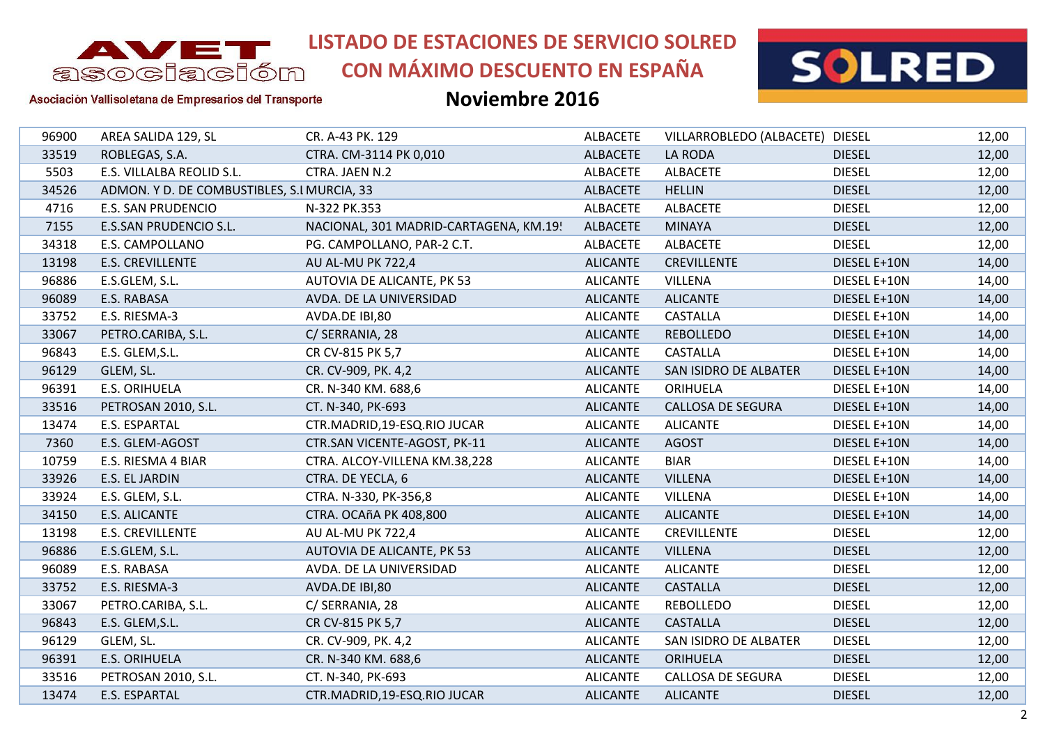

# **CON MÁXIMO DESCUENTO EN ESPAÑA**



#### Asociación Vallisoletana de Empresarios del Transporte

| 96900<br>AREA SALIDA 129, SL<br>CR. A-43 PK. 129<br><b>ALBACETE</b><br>33519<br>LA RODA<br>ROBLEGAS, S.A.<br>CTRA. CM-3114 PK 0,010<br><b>ALBACETE</b><br>5503<br>E.S. VILLALBA REOLID S.L.<br>CTRA. JAEN N.2<br>ALBACETE<br><b>ALBACETE</b><br>34526<br>ADMON. Y D. DE COMBUSTIBLES, S.I MURCIA, 33<br><b>ALBACETE</b><br><b>HELLIN</b><br>4716<br><b>E.S. SAN PRUDENCIO</b><br><b>ALBACETE</b><br>N-322 PK.353<br><b>ALBACETE</b><br>7155<br>E.S.SAN PRUDENCIO S.L.<br>NACIONAL, 301 MADRID-CARTAGENA, KM.19!<br>ALBACETE<br><b>MINAYA</b><br>34318<br>E.S. CAMPOLLANO<br>ALBACETE<br><b>ALBACETE</b><br>PG. CAMPOLLANO, PAR-2 C.T.<br>13198<br><b>E.S. CREVILLENTE</b><br>AU AL-MU PK 722,4<br><b>ALICANTE</b><br><b>CREVILLENTE</b><br>96886<br>AUTOVIA DE ALICANTE, PK 53<br><b>ALICANTE</b><br>VILLENA<br>E.S.GLEM, S.L.<br>96089<br>E.S. RABASA<br>AVDA. DE LA UNIVERSIDAD<br><b>ALICANTE</b><br><b>ALICANTE</b><br><b>CASTALLA</b><br>33752<br>E.S. RIESMA-3<br>AVDA.DE IBI,80<br><b>ALICANTE</b><br>33067<br><b>ALICANTE</b><br><b>REBOLLEDO</b><br>PETRO.CARIBA, S.L.<br>C/ SERRANIA, 28<br>96843<br><b>ALICANTE</b><br><b>CASTALLA</b><br>E.S. GLEM, S.L.<br>CR CV-815 PK 5,7<br>96129<br>GLEM, SL.<br><b>ALICANTE</b><br>SAN ISIDRO DE ALBATER<br>CR. CV-909, PK. 4,2<br>96391<br>E.S. ORIHUELA<br><b>ALICANTE</b><br>CR. N-340 KM. 688,6<br><b>ORIHUELA</b><br>33516<br>PETROSAN 2010, S.L.<br><b>ALICANTE</b><br><b>CALLOSA DE SEGURA</b><br>CT. N-340, PK-693<br>13474<br>E.S. ESPARTAL<br>CTR.MADRID, 19-ESQ.RIO JUCAR<br><b>ALICANTE</b><br><b>ALICANTE</b><br>7360<br>E.S. GLEM-AGOST<br>CTR.SAN VICENTE-AGOST, PK-11<br><b>ALICANTE</b><br><b>AGOST</b><br>10759<br><b>ALICANTE</b><br><b>BIAR</b><br>E.S. RIESMA 4 BIAR<br>CTRA. ALCOY-VILLENA KM.38,228<br><b>VILLENA</b><br>33926<br>E.S. EL JARDIN<br>CTRA. DE YECLA, 6<br><b>ALICANTE</b><br>33924<br><b>VILLENA</b><br>E.S. GLEM, S.L.<br>CTRA. N-330, PK-356,8<br><b>ALICANTE</b><br><b>ALICANTE</b><br><b>ALICANTE</b><br>34150<br><b>E.S. ALICANTE</b><br>CTRA. OCAñA PK 408,800<br>13198<br>AU AL-MU PK 722,4<br><b>ALICANTE</b><br><b>E.S. CREVILLENTE</b><br><b>CREVILLENTE</b><br>96886<br>E.S.GLEM, S.L.<br>AUTOVIA DE ALICANTE, PK 53<br><b>ALICANTE</b><br><b>VILLENA</b><br>96089<br>E.S. RABASA<br>AVDA. DE LA UNIVERSIDAD<br><b>ALICANTE</b><br><b>ALICANTE</b><br><b>CASTALLA</b><br>33752<br>E.S. RIESMA-3<br><b>ALICANTE</b><br>AVDA.DE IBI,80<br>33067<br>PETRO.CARIBA, S.L.<br>C/ SERRANIA, 28<br><b>ALICANTE</b><br><b>REBOLLEDO</b><br>96843<br><b>ALICANTE</b><br>E.S. GLEM, S.L.<br>CR CV-815 PK 5,7<br><b>CASTALLA</b><br>96129<br><b>ALICANTE</b><br>GLEM, SL.<br>CR. CV-909, PK. 4,2<br>SAN ISIDRO DE ALBATER<br>96391<br><b>E.S. ORIHUELA</b><br>CR. N-340 KM. 688,6<br><b>ALICANTE</b><br><b>ORIHUELA</b><br>33516<br><b>ALICANTE</b><br><b>CALLOSA DE SEGURA</b><br>PETROSAN 2010, S.L.<br>CT. N-340, PK-693 |                                 |       |
|-------------------------------------------------------------------------------------------------------------------------------------------------------------------------------------------------------------------------------------------------------------------------------------------------------------------------------------------------------------------------------------------------------------------------------------------------------------------------------------------------------------------------------------------------------------------------------------------------------------------------------------------------------------------------------------------------------------------------------------------------------------------------------------------------------------------------------------------------------------------------------------------------------------------------------------------------------------------------------------------------------------------------------------------------------------------------------------------------------------------------------------------------------------------------------------------------------------------------------------------------------------------------------------------------------------------------------------------------------------------------------------------------------------------------------------------------------------------------------------------------------------------------------------------------------------------------------------------------------------------------------------------------------------------------------------------------------------------------------------------------------------------------------------------------------------------------------------------------------------------------------------------------------------------------------------------------------------------------------------------------------------------------------------------------------------------------------------------------------------------------------------------------------------------------------------------------------------------------------------------------------------------------------------------------------------------------------------------------------------------------------------------------------------------------------------------------------------------------------------------------------------------------------------------------------------------------------------------------------------------------------------------------------------------------------------------------------------------------------------------------------------------------------------------------------------------------------------------------------------------------------------------------------------------|---------------------------------|-------|
|                                                                                                                                                                                                                                                                                                                                                                                                                                                                                                                                                                                                                                                                                                                                                                                                                                                                                                                                                                                                                                                                                                                                                                                                                                                                                                                                                                                                                                                                                                                                                                                                                                                                                                                                                                                                                                                                                                                                                                                                                                                                                                                                                                                                                                                                                                                                                                                                                                                                                                                                                                                                                                                                                                                                                                                                                                                                                                                   | VILLARROBLEDO (ALBACETE) DIESEL | 12,00 |
|                                                                                                                                                                                                                                                                                                                                                                                                                                                                                                                                                                                                                                                                                                                                                                                                                                                                                                                                                                                                                                                                                                                                                                                                                                                                                                                                                                                                                                                                                                                                                                                                                                                                                                                                                                                                                                                                                                                                                                                                                                                                                                                                                                                                                                                                                                                                                                                                                                                                                                                                                                                                                                                                                                                                                                                                                                                                                                                   | <b>DIESEL</b>                   | 12,00 |
|                                                                                                                                                                                                                                                                                                                                                                                                                                                                                                                                                                                                                                                                                                                                                                                                                                                                                                                                                                                                                                                                                                                                                                                                                                                                                                                                                                                                                                                                                                                                                                                                                                                                                                                                                                                                                                                                                                                                                                                                                                                                                                                                                                                                                                                                                                                                                                                                                                                                                                                                                                                                                                                                                                                                                                                                                                                                                                                   | <b>DIESEL</b>                   | 12,00 |
|                                                                                                                                                                                                                                                                                                                                                                                                                                                                                                                                                                                                                                                                                                                                                                                                                                                                                                                                                                                                                                                                                                                                                                                                                                                                                                                                                                                                                                                                                                                                                                                                                                                                                                                                                                                                                                                                                                                                                                                                                                                                                                                                                                                                                                                                                                                                                                                                                                                                                                                                                                                                                                                                                                                                                                                                                                                                                                                   | <b>DIESEL</b>                   | 12,00 |
|                                                                                                                                                                                                                                                                                                                                                                                                                                                                                                                                                                                                                                                                                                                                                                                                                                                                                                                                                                                                                                                                                                                                                                                                                                                                                                                                                                                                                                                                                                                                                                                                                                                                                                                                                                                                                                                                                                                                                                                                                                                                                                                                                                                                                                                                                                                                                                                                                                                                                                                                                                                                                                                                                                                                                                                                                                                                                                                   | <b>DIESEL</b>                   | 12,00 |
|                                                                                                                                                                                                                                                                                                                                                                                                                                                                                                                                                                                                                                                                                                                                                                                                                                                                                                                                                                                                                                                                                                                                                                                                                                                                                                                                                                                                                                                                                                                                                                                                                                                                                                                                                                                                                                                                                                                                                                                                                                                                                                                                                                                                                                                                                                                                                                                                                                                                                                                                                                                                                                                                                                                                                                                                                                                                                                                   | <b>DIESEL</b>                   | 12,00 |
|                                                                                                                                                                                                                                                                                                                                                                                                                                                                                                                                                                                                                                                                                                                                                                                                                                                                                                                                                                                                                                                                                                                                                                                                                                                                                                                                                                                                                                                                                                                                                                                                                                                                                                                                                                                                                                                                                                                                                                                                                                                                                                                                                                                                                                                                                                                                                                                                                                                                                                                                                                                                                                                                                                                                                                                                                                                                                                                   | <b>DIESEL</b>                   | 12,00 |
|                                                                                                                                                                                                                                                                                                                                                                                                                                                                                                                                                                                                                                                                                                                                                                                                                                                                                                                                                                                                                                                                                                                                                                                                                                                                                                                                                                                                                                                                                                                                                                                                                                                                                                                                                                                                                                                                                                                                                                                                                                                                                                                                                                                                                                                                                                                                                                                                                                                                                                                                                                                                                                                                                                                                                                                                                                                                                                                   | DIESEL E+10N                    | 14,00 |
|                                                                                                                                                                                                                                                                                                                                                                                                                                                                                                                                                                                                                                                                                                                                                                                                                                                                                                                                                                                                                                                                                                                                                                                                                                                                                                                                                                                                                                                                                                                                                                                                                                                                                                                                                                                                                                                                                                                                                                                                                                                                                                                                                                                                                                                                                                                                                                                                                                                                                                                                                                                                                                                                                                                                                                                                                                                                                                                   | DIESEL E+10N                    | 14,00 |
|                                                                                                                                                                                                                                                                                                                                                                                                                                                                                                                                                                                                                                                                                                                                                                                                                                                                                                                                                                                                                                                                                                                                                                                                                                                                                                                                                                                                                                                                                                                                                                                                                                                                                                                                                                                                                                                                                                                                                                                                                                                                                                                                                                                                                                                                                                                                                                                                                                                                                                                                                                                                                                                                                                                                                                                                                                                                                                                   | DIESEL E+10N                    | 14,00 |
|                                                                                                                                                                                                                                                                                                                                                                                                                                                                                                                                                                                                                                                                                                                                                                                                                                                                                                                                                                                                                                                                                                                                                                                                                                                                                                                                                                                                                                                                                                                                                                                                                                                                                                                                                                                                                                                                                                                                                                                                                                                                                                                                                                                                                                                                                                                                                                                                                                                                                                                                                                                                                                                                                                                                                                                                                                                                                                                   | DIESEL E+10N                    | 14,00 |
|                                                                                                                                                                                                                                                                                                                                                                                                                                                                                                                                                                                                                                                                                                                                                                                                                                                                                                                                                                                                                                                                                                                                                                                                                                                                                                                                                                                                                                                                                                                                                                                                                                                                                                                                                                                                                                                                                                                                                                                                                                                                                                                                                                                                                                                                                                                                                                                                                                                                                                                                                                                                                                                                                                                                                                                                                                                                                                                   | DIESEL E+10N                    | 14,00 |
|                                                                                                                                                                                                                                                                                                                                                                                                                                                                                                                                                                                                                                                                                                                                                                                                                                                                                                                                                                                                                                                                                                                                                                                                                                                                                                                                                                                                                                                                                                                                                                                                                                                                                                                                                                                                                                                                                                                                                                                                                                                                                                                                                                                                                                                                                                                                                                                                                                                                                                                                                                                                                                                                                                                                                                                                                                                                                                                   | DIESEL E+10N                    | 14,00 |
|                                                                                                                                                                                                                                                                                                                                                                                                                                                                                                                                                                                                                                                                                                                                                                                                                                                                                                                                                                                                                                                                                                                                                                                                                                                                                                                                                                                                                                                                                                                                                                                                                                                                                                                                                                                                                                                                                                                                                                                                                                                                                                                                                                                                                                                                                                                                                                                                                                                                                                                                                                                                                                                                                                                                                                                                                                                                                                                   | DIESEL E+10N                    | 14,00 |
|                                                                                                                                                                                                                                                                                                                                                                                                                                                                                                                                                                                                                                                                                                                                                                                                                                                                                                                                                                                                                                                                                                                                                                                                                                                                                                                                                                                                                                                                                                                                                                                                                                                                                                                                                                                                                                                                                                                                                                                                                                                                                                                                                                                                                                                                                                                                                                                                                                                                                                                                                                                                                                                                                                                                                                                                                                                                                                                   | DIESEL E+10N                    | 14,00 |
|                                                                                                                                                                                                                                                                                                                                                                                                                                                                                                                                                                                                                                                                                                                                                                                                                                                                                                                                                                                                                                                                                                                                                                                                                                                                                                                                                                                                                                                                                                                                                                                                                                                                                                                                                                                                                                                                                                                                                                                                                                                                                                                                                                                                                                                                                                                                                                                                                                                                                                                                                                                                                                                                                                                                                                                                                                                                                                                   | DIESEL E+10N                    | 14,00 |
|                                                                                                                                                                                                                                                                                                                                                                                                                                                                                                                                                                                                                                                                                                                                                                                                                                                                                                                                                                                                                                                                                                                                                                                                                                                                                                                                                                                                                                                                                                                                                                                                                                                                                                                                                                                                                                                                                                                                                                                                                                                                                                                                                                                                                                                                                                                                                                                                                                                                                                                                                                                                                                                                                                                                                                                                                                                                                                                   | DIESEL E+10N                    | 14,00 |
|                                                                                                                                                                                                                                                                                                                                                                                                                                                                                                                                                                                                                                                                                                                                                                                                                                                                                                                                                                                                                                                                                                                                                                                                                                                                                                                                                                                                                                                                                                                                                                                                                                                                                                                                                                                                                                                                                                                                                                                                                                                                                                                                                                                                                                                                                                                                                                                                                                                                                                                                                                                                                                                                                                                                                                                                                                                                                                                   | DIESEL E+10N                    | 14,00 |
|                                                                                                                                                                                                                                                                                                                                                                                                                                                                                                                                                                                                                                                                                                                                                                                                                                                                                                                                                                                                                                                                                                                                                                                                                                                                                                                                                                                                                                                                                                                                                                                                                                                                                                                                                                                                                                                                                                                                                                                                                                                                                                                                                                                                                                                                                                                                                                                                                                                                                                                                                                                                                                                                                                                                                                                                                                                                                                                   | DIESEL E+10N                    | 14,00 |
|                                                                                                                                                                                                                                                                                                                                                                                                                                                                                                                                                                                                                                                                                                                                                                                                                                                                                                                                                                                                                                                                                                                                                                                                                                                                                                                                                                                                                                                                                                                                                                                                                                                                                                                                                                                                                                                                                                                                                                                                                                                                                                                                                                                                                                                                                                                                                                                                                                                                                                                                                                                                                                                                                                                                                                                                                                                                                                                   | DIESEL E+10N                    | 14,00 |
|                                                                                                                                                                                                                                                                                                                                                                                                                                                                                                                                                                                                                                                                                                                                                                                                                                                                                                                                                                                                                                                                                                                                                                                                                                                                                                                                                                                                                                                                                                                                                                                                                                                                                                                                                                                                                                                                                                                                                                                                                                                                                                                                                                                                                                                                                                                                                                                                                                                                                                                                                                                                                                                                                                                                                                                                                                                                                                                   | DIESEL E+10N                    | 14,00 |
|                                                                                                                                                                                                                                                                                                                                                                                                                                                                                                                                                                                                                                                                                                                                                                                                                                                                                                                                                                                                                                                                                                                                                                                                                                                                                                                                                                                                                                                                                                                                                                                                                                                                                                                                                                                                                                                                                                                                                                                                                                                                                                                                                                                                                                                                                                                                                                                                                                                                                                                                                                                                                                                                                                                                                                                                                                                                                                                   | DIESEL E+10N                    | 14,00 |
|                                                                                                                                                                                                                                                                                                                                                                                                                                                                                                                                                                                                                                                                                                                                                                                                                                                                                                                                                                                                                                                                                                                                                                                                                                                                                                                                                                                                                                                                                                                                                                                                                                                                                                                                                                                                                                                                                                                                                                                                                                                                                                                                                                                                                                                                                                                                                                                                                                                                                                                                                                                                                                                                                                                                                                                                                                                                                                                   | <b>DIESEL</b>                   | 12,00 |
|                                                                                                                                                                                                                                                                                                                                                                                                                                                                                                                                                                                                                                                                                                                                                                                                                                                                                                                                                                                                                                                                                                                                                                                                                                                                                                                                                                                                                                                                                                                                                                                                                                                                                                                                                                                                                                                                                                                                                                                                                                                                                                                                                                                                                                                                                                                                                                                                                                                                                                                                                                                                                                                                                                                                                                                                                                                                                                                   | <b>DIESEL</b>                   | 12,00 |
|                                                                                                                                                                                                                                                                                                                                                                                                                                                                                                                                                                                                                                                                                                                                                                                                                                                                                                                                                                                                                                                                                                                                                                                                                                                                                                                                                                                                                                                                                                                                                                                                                                                                                                                                                                                                                                                                                                                                                                                                                                                                                                                                                                                                                                                                                                                                                                                                                                                                                                                                                                                                                                                                                                                                                                                                                                                                                                                   | <b>DIESEL</b>                   | 12,00 |
|                                                                                                                                                                                                                                                                                                                                                                                                                                                                                                                                                                                                                                                                                                                                                                                                                                                                                                                                                                                                                                                                                                                                                                                                                                                                                                                                                                                                                                                                                                                                                                                                                                                                                                                                                                                                                                                                                                                                                                                                                                                                                                                                                                                                                                                                                                                                                                                                                                                                                                                                                                                                                                                                                                                                                                                                                                                                                                                   | <b>DIESEL</b>                   | 12,00 |
|                                                                                                                                                                                                                                                                                                                                                                                                                                                                                                                                                                                                                                                                                                                                                                                                                                                                                                                                                                                                                                                                                                                                                                                                                                                                                                                                                                                                                                                                                                                                                                                                                                                                                                                                                                                                                                                                                                                                                                                                                                                                                                                                                                                                                                                                                                                                                                                                                                                                                                                                                                                                                                                                                                                                                                                                                                                                                                                   | <b>DIESEL</b>                   | 12,00 |
|                                                                                                                                                                                                                                                                                                                                                                                                                                                                                                                                                                                                                                                                                                                                                                                                                                                                                                                                                                                                                                                                                                                                                                                                                                                                                                                                                                                                                                                                                                                                                                                                                                                                                                                                                                                                                                                                                                                                                                                                                                                                                                                                                                                                                                                                                                                                                                                                                                                                                                                                                                                                                                                                                                                                                                                                                                                                                                                   | <b>DIESEL</b>                   | 12,00 |
|                                                                                                                                                                                                                                                                                                                                                                                                                                                                                                                                                                                                                                                                                                                                                                                                                                                                                                                                                                                                                                                                                                                                                                                                                                                                                                                                                                                                                                                                                                                                                                                                                                                                                                                                                                                                                                                                                                                                                                                                                                                                                                                                                                                                                                                                                                                                                                                                                                                                                                                                                                                                                                                                                                                                                                                                                                                                                                                   | <b>DIESEL</b>                   | 12,00 |
|                                                                                                                                                                                                                                                                                                                                                                                                                                                                                                                                                                                                                                                                                                                                                                                                                                                                                                                                                                                                                                                                                                                                                                                                                                                                                                                                                                                                                                                                                                                                                                                                                                                                                                                                                                                                                                                                                                                                                                                                                                                                                                                                                                                                                                                                                                                                                                                                                                                                                                                                                                                                                                                                                                                                                                                                                                                                                                                   | <b>DIESEL</b>                   | 12,00 |
|                                                                                                                                                                                                                                                                                                                                                                                                                                                                                                                                                                                                                                                                                                                                                                                                                                                                                                                                                                                                                                                                                                                                                                                                                                                                                                                                                                                                                                                                                                                                                                                                                                                                                                                                                                                                                                                                                                                                                                                                                                                                                                                                                                                                                                                                                                                                                                                                                                                                                                                                                                                                                                                                                                                                                                                                                                                                                                                   | <b>DIESEL</b>                   | 12,00 |
| 13474<br>E.S. ESPARTAL<br><b>ALICANTE</b><br>CTR.MADRID, 19-ESQ.RIO JUCAR<br><b>ALICANTE</b>                                                                                                                                                                                                                                                                                                                                                                                                                                                                                                                                                                                                                                                                                                                                                                                                                                                                                                                                                                                                                                                                                                                                                                                                                                                                                                                                                                                                                                                                                                                                                                                                                                                                                                                                                                                                                                                                                                                                                                                                                                                                                                                                                                                                                                                                                                                                                                                                                                                                                                                                                                                                                                                                                                                                                                                                                      | <b>DIESEL</b>                   | 12,00 |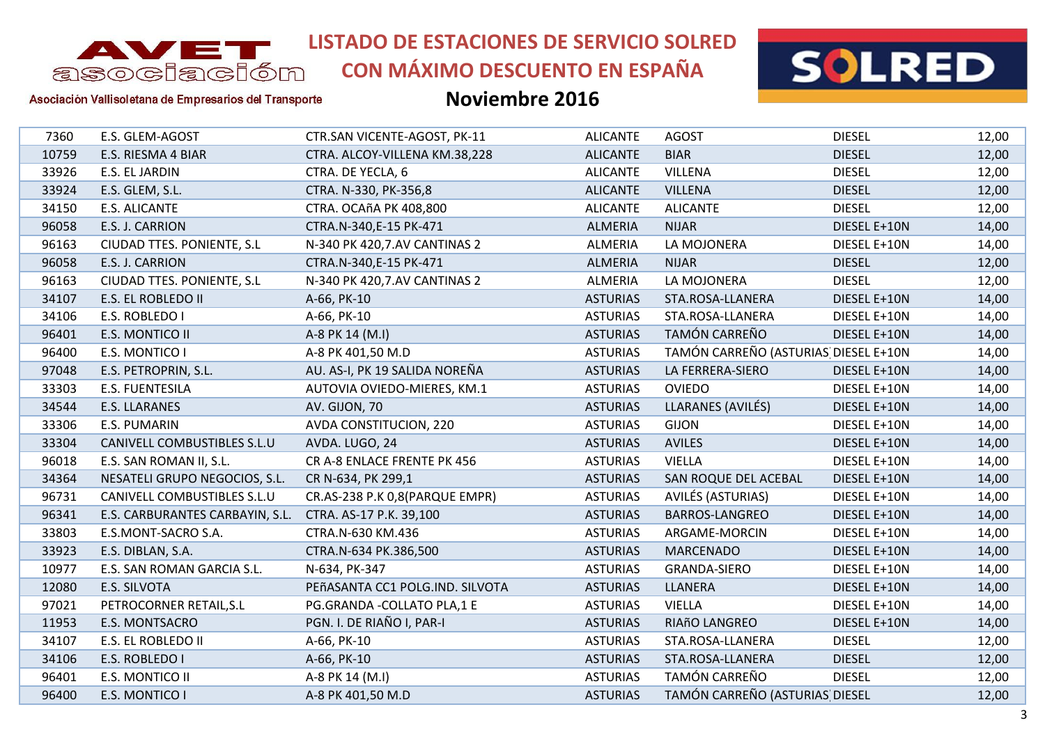

**CON MÁXIMO DESCUENTO EN ESPAÑA**



#### Asociación Vallisoletana de Empresarios del Transporte

| 7360  | E.S. GLEM-AGOST                 | CTR.SAN VICENTE-AGOST, PK-11    | <b>ALICANTE</b> | <b>AGOST</b>                         | <b>DIESEL</b> | 12,00 |
|-------|---------------------------------|---------------------------------|-----------------|--------------------------------------|---------------|-------|
| 10759 | E.S. RIESMA 4 BIAR              | CTRA. ALCOY-VILLENA KM.38,228   | <b>ALICANTE</b> | <b>BIAR</b>                          | <b>DIESEL</b> | 12,00 |
| 33926 | E.S. EL JARDIN                  | CTRA. DE YECLA, 6               | <b>ALICANTE</b> | <b>VILLENA</b>                       | <b>DIESEL</b> | 12,00 |
| 33924 | E.S. GLEM, S.L.                 | CTRA. N-330, PK-356,8           | <b>ALICANTE</b> | <b>VILLENA</b>                       | <b>DIESEL</b> | 12,00 |
| 34150 | E.S. ALICANTE                   | CTRA. OCAñA PK 408,800          | <b>ALICANTE</b> | <b>ALICANTE</b>                      | <b>DIESEL</b> | 12,00 |
| 96058 | E.S. J. CARRION                 | CTRA.N-340,E-15 PK-471          | ALMERIA         | <b>NIJAR</b>                         | DIESEL E+10N  | 14,00 |
| 96163 | CIUDAD TTES. PONIENTE, S.L      | N-340 PK 420,7.AV CANTINAS 2    | ALMERIA         | LA MOJONERA                          | DIESEL E+10N  | 14,00 |
| 96058 | E.S. J. CARRION                 | CTRA.N-340,E-15 PK-471          | ALMERIA         | <b>NIJAR</b>                         | <b>DIESEL</b> | 12,00 |
| 96163 | CIUDAD TTES. PONIENTE, S.L      | N-340 PK 420,7.AV CANTINAS 2    | ALMERIA         | LA MOJONERA                          | <b>DIESEL</b> | 12,00 |
| 34107 | E.S. EL ROBLEDO II              | A-66, PK-10                     | <b>ASTURIAS</b> | STA.ROSA-LLANERA                     | DIESEL E+10N  | 14,00 |
| 34106 | E.S. ROBLEDO I                  | A-66, PK-10                     | <b>ASTURIAS</b> | STA.ROSA-LLANERA                     | DIESEL E+10N  | 14,00 |
| 96401 | E.S. MONTICO II                 | A-8 PK 14 (M.I)                 | <b>ASTURIAS</b> | TAMÓN CARREÑO                        | DIESEL E+10N  | 14,00 |
| 96400 | E.S. MONTICO I                  | A-8 PK 401,50 M.D               | <b>ASTURIAS</b> | TAMÓN CARREÑO (ASTURIAS DIESEL E+10N |               | 14,00 |
| 97048 | E.S. PETROPRIN, S.L.            | AU. AS-I, PK 19 SALIDA NOREÑA   | <b>ASTURIAS</b> | LA FERRERA-SIERO                     | DIESEL E+10N  | 14,00 |
| 33303 | E.S. FUENTESILA                 | AUTOVIA OVIEDO-MIERES, KM.1     | <b>ASTURIAS</b> | <b>OVIEDO</b>                        | DIESEL E+10N  | 14,00 |
| 34544 | <b>E.S. LLARANES</b>            | AV. GIJON, 70                   | <b>ASTURIAS</b> | LLARANES (AVILÉS)                    | DIESEL E+10N  | 14,00 |
| 33306 | E.S. PUMARIN                    | AVDA CONSTITUCION, 220          | <b>ASTURIAS</b> | <b>GIJON</b>                         | DIESEL E+10N  | 14,00 |
| 33304 | CANIVELL COMBUSTIBLES S.L.U     | AVDA. LUGO, 24                  | <b>ASTURIAS</b> | <b>AVILES</b>                        | DIESEL E+10N  | 14,00 |
| 96018 | E.S. SAN ROMAN II, S.L.         | CR A-8 ENLACE FRENTE PK 456     | <b>ASTURIAS</b> | <b>VIELLA</b>                        | DIESEL E+10N  | 14,00 |
| 34364 | NESATELI GRUPO NEGOCIOS, S.L.   | CR N-634, PK 299,1              | <b>ASTURIAS</b> | SAN ROQUE DEL ACEBAL                 | DIESEL E+10N  | 14,00 |
| 96731 | CANIVELL COMBUSTIBLES S.L.U     | CR.AS-238 P.K 0,8(PARQUE EMPR)  | <b>ASTURIAS</b> | AVILÉS (ASTURIAS)                    | DIESEL E+10N  | 14,00 |
| 96341 | E.S. CARBURANTES CARBAYIN, S.L. | CTRA. AS-17 P.K. 39,100         | <b>ASTURIAS</b> | BARROS-LANGREO                       | DIESEL E+10N  | 14,00 |
| 33803 | E.S.MONT-SACRO S.A.             | CTRA.N-630 KM.436               | <b>ASTURIAS</b> | ARGAME-MORCIN                        | DIESEL E+10N  | 14,00 |
| 33923 | E.S. DIBLAN, S.A.               | CTRA.N-634 PK.386,500           | <b>ASTURIAS</b> | <b>MARCENADO</b>                     | DIESEL E+10N  | 14,00 |
| 10977 | E.S. SAN ROMAN GARCIA S.L.      | N-634, PK-347                   | <b>ASTURIAS</b> | <b>GRANDA-SIERO</b>                  | DIESEL E+10N  | 14,00 |
| 12080 | E.S. SILVOTA                    | PEñASANTA CC1 POLG.IND. SILVOTA | <b>ASTURIAS</b> | LLANERA                              | DIESEL E+10N  | 14,00 |
| 97021 | PETROCORNER RETAIL, S.L         | PG.GRANDA - COLLATO PLA, 1 E    | <b>ASTURIAS</b> | <b>VIELLA</b>                        | DIESEL E+10N  | 14,00 |
| 11953 | E.S. MONTSACRO                  | PGN. I. DE RIAÑO I, PAR-I       | <b>ASTURIAS</b> | RIAñO LANGREO                        | DIESEL E+10N  | 14,00 |
| 34107 | E.S. EL ROBLEDO II              | A-66, PK-10                     | <b>ASTURIAS</b> | STA.ROSA-LLANERA                     | <b>DIESEL</b> | 12,00 |
| 34106 | E.S. ROBLEDO I                  | A-66, PK-10                     | <b>ASTURIAS</b> | STA.ROSA-LLANERA                     | <b>DIESEL</b> | 12,00 |
| 96401 | E.S. MONTICO II                 | A-8 PK 14 (M.I)                 | <b>ASTURIAS</b> | TAMÓN CARREÑO                        | <b>DIESEL</b> | 12,00 |
| 96400 | E.S. MONTICO I                  | A-8 PK 401,50 M.D               | <b>ASTURIAS</b> | TAMÓN CARREÑO (ASTURIAS DIESEL       |               | 12,00 |
|       |                                 |                                 |                 |                                      |               |       |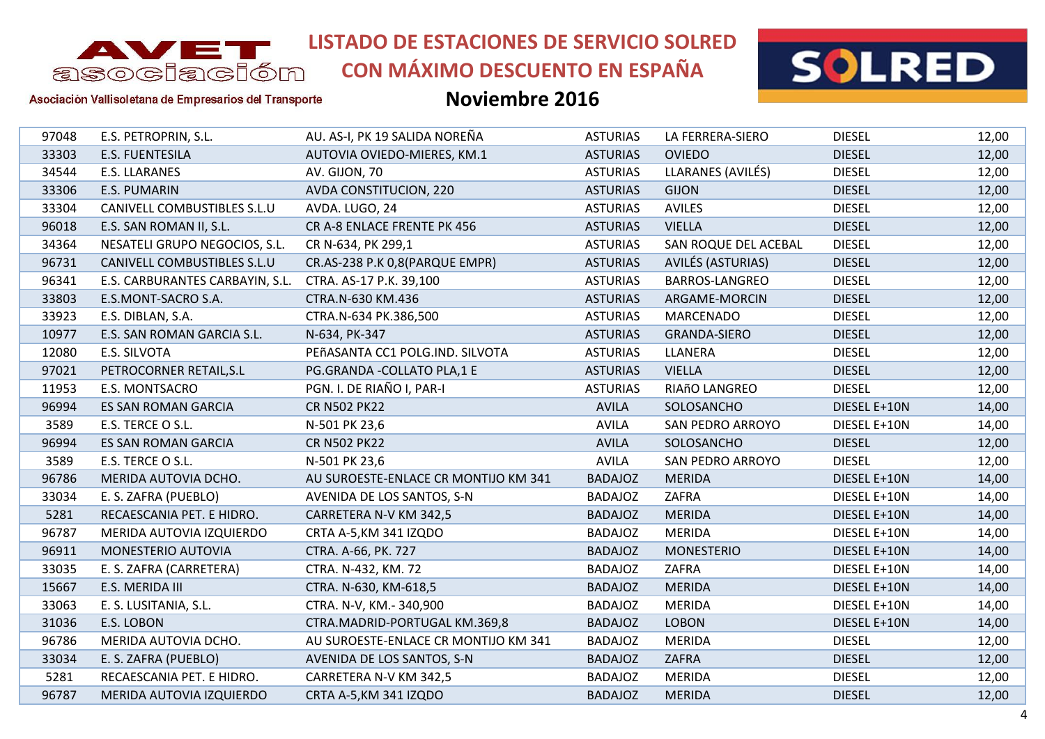

**CON MÁXIMO DESCUENTO EN ESPAÑA**



Asociación Vallisoletana de Empresarios del Transporte

| 97048 | E.S. PETROPRIN, S.L.            | AU. AS-I, PK 19 SALIDA NOREÑA        | <b>ASTURIAS</b> | LA FERRERA-SIERO        | <b>DIESEL</b> | 12,00 |
|-------|---------------------------------|--------------------------------------|-----------------|-------------------------|---------------|-------|
| 33303 | <b>E.S. FUENTESILA</b>          | AUTOVIA OVIEDO-MIERES, KM.1          | <b>ASTURIAS</b> | <b>OVIEDO</b>           | <b>DIESEL</b> | 12,00 |
| 34544 | <b>E.S. LLARANES</b>            | AV. GIJON, 70                        | <b>ASTURIAS</b> | LLARANES (AVILÉS)       | <b>DIESEL</b> | 12,00 |
| 33306 | E.S. PUMARIN                    | AVDA CONSTITUCION, 220               | <b>ASTURIAS</b> | <b>GIJON</b>            | <b>DIESEL</b> | 12,00 |
| 33304 | CANIVELL COMBUSTIBLES S.L.U     | AVDA. LUGO, 24                       | <b>ASTURIAS</b> | <b>AVILES</b>           | <b>DIESEL</b> | 12,00 |
| 96018 | E.S. SAN ROMAN II, S.L.         | CR A-8 ENLACE FRENTE PK 456          | <b>ASTURIAS</b> | <b>VIELLA</b>           | <b>DIESEL</b> | 12,00 |
| 34364 | NESATELI GRUPO NEGOCIOS, S.L.   | CR N-634, PK 299,1                   | <b>ASTURIAS</b> | SAN ROQUE DEL ACEBAL    | <b>DIESEL</b> | 12,00 |
| 96731 | CANIVELL COMBUSTIBLES S.L.U     | CR.AS-238 P.K 0,8(PARQUE EMPR)       | <b>ASTURIAS</b> | AVILÉS (ASTURIAS)       | <b>DIESEL</b> | 12,00 |
| 96341 | E.S. CARBURANTES CARBAYIN, S.L. | CTRA. AS-17 P.K. 39,100              | <b>ASTURIAS</b> | <b>BARROS-LANGREO</b>   | <b>DIESEL</b> | 12,00 |
| 33803 | E.S.MONT-SACRO S.A.             | CTRA.N-630 KM.436                    | <b>ASTURIAS</b> | ARGAME-MORCIN           | <b>DIESEL</b> | 12,00 |
| 33923 | E.S. DIBLAN, S.A.               | CTRA.N-634 PK.386,500                | <b>ASTURIAS</b> | <b>MARCENADO</b>        | <b>DIESEL</b> | 12,00 |
| 10977 | E.S. SAN ROMAN GARCIA S.L.      | N-634, PK-347                        | <b>ASTURIAS</b> | GRANDA-SIERO            | <b>DIESEL</b> | 12,00 |
| 12080 | E.S. SILVOTA                    | PEñASANTA CC1 POLG.IND. SILVOTA      | <b>ASTURIAS</b> | LLANERA                 | <b>DIESEL</b> | 12,00 |
| 97021 | PETROCORNER RETAIL, S.L         | PG.GRANDA - COLLATO PLA, 1 E         | <b>ASTURIAS</b> | <b>VIELLA</b>           | <b>DIESEL</b> | 12,00 |
| 11953 | E.S. MONTSACRO                  | PGN. I. DE RIAÑO I, PAR-I            | <b>ASTURIAS</b> | RIAñO LANGREO           | <b>DIESEL</b> | 12,00 |
| 96994 | ES SAN ROMAN GARCIA             | <b>CR N502 PK22</b>                  | <b>AVILA</b>    | SOLOSANCHO              | DIESEL E+10N  | 14,00 |
| 3589  | E.S. TERCE O S.L.               | N-501 PK 23,6                        | <b>AVILA</b>    | <b>SAN PEDRO ARROYO</b> | DIESEL E+10N  | 14,00 |
| 96994 | <b>ES SAN ROMAN GARCIA</b>      | <b>CR N502 PK22</b>                  | <b>AVILA</b>    | SOLOSANCHO              | <b>DIESEL</b> | 12,00 |
| 3589  | E.S. TERCE O S.L.               | N-501 PK 23,6                        | <b>AVILA</b>    | <b>SAN PEDRO ARROYO</b> | <b>DIESEL</b> | 12,00 |
| 96786 | MERIDA AUTOVIA DCHO.            | AU SUROESTE-ENLACE CR MONTIJO KM 341 | <b>BADAJOZ</b>  | <b>MERIDA</b>           | DIESEL E+10N  | 14,00 |
| 33034 | E. S. ZAFRA (PUEBLO)            | AVENIDA DE LOS SANTOS, S-N           | <b>BADAJOZ</b>  | ZAFRA                   | DIESEL E+10N  | 14,00 |
| 5281  | RECAESCANIA PET. E HIDRO.       | CARRETERA N-V KM 342,5               | <b>BADAJOZ</b>  | <b>MERIDA</b>           | DIESEL E+10N  | 14,00 |
| 96787 | MERIDA AUTOVIA IZQUIERDO        | CRTA A-5, KM 341 IZQDO               | <b>BADAJOZ</b>  | <b>MERIDA</b>           | DIESEL E+10N  | 14,00 |
| 96911 | MONESTERIO AUTOVIA              | CTRA. A-66, PK. 727                  | <b>BADAJOZ</b>  | <b>MONESTERIO</b>       | DIESEL E+10N  | 14,00 |
| 33035 | E. S. ZAFRA (CARRETERA)         | CTRA. N-432, KM. 72                  | <b>BADAJOZ</b>  | ZAFRA                   | DIESEL E+10N  | 14,00 |
| 15667 | E.S. MERIDA III                 | CTRA. N-630, KM-618,5                | <b>BADAJOZ</b>  | <b>MERIDA</b>           | DIESEL E+10N  | 14,00 |
| 33063 | E. S. LUSITANIA, S.L.           | CTRA. N-V, KM.-340,900               | <b>BADAJOZ</b>  | <b>MERIDA</b>           | DIESEL E+10N  | 14,00 |
| 31036 | E.S. LOBON                      | CTRA.MADRID-PORTUGAL KM.369,8        | <b>BADAJOZ</b>  | <b>LOBON</b>            | DIESEL E+10N  | 14,00 |
| 96786 | MERIDA AUTOVIA DCHO.            | AU SUROESTE-ENLACE CR MONTIJO KM 341 | <b>BADAJOZ</b>  | <b>MERIDA</b>           | <b>DIESEL</b> | 12,00 |
| 33034 | E. S. ZAFRA (PUEBLO)            | AVENIDA DE LOS SANTOS, S-N           | <b>BADAJOZ</b>  | ZAFRA                   | <b>DIESEL</b> | 12,00 |
| 5281  | RECAESCANIA PET. E HIDRO.       | CARRETERA N-V KM 342,5               | <b>BADAJOZ</b>  | <b>MERIDA</b>           | <b>DIESEL</b> | 12,00 |
| 96787 | MERIDA AUTOVIA IZQUIERDO        | CRTA A-5, KM 341 IZQDO               | <b>BADAJOZ</b>  | <b>MERIDA</b>           | <b>DIESEL</b> | 12,00 |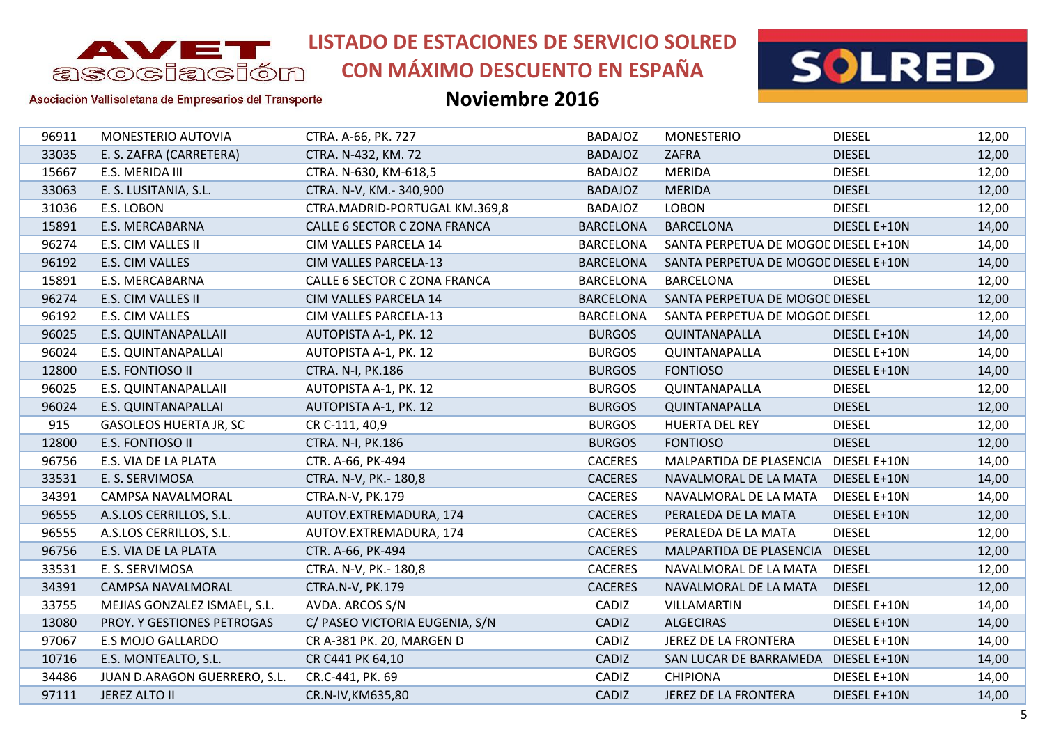

**CON MÁXIMO DESCUENTO EN ESPAÑA**



#### Asociación Vallisoletana de Empresarios del Transporte

| 96911 | MONESTERIO AUTOVIA            | CTRA. A-66, PK. 727            | <b>BADAJOZ</b>   | <b>MONESTERIO</b>                    | <b>DIESEL</b> | 12,00 |
|-------|-------------------------------|--------------------------------|------------------|--------------------------------------|---------------|-------|
| 33035 | E. S. ZAFRA (CARRETERA)       | CTRA. N-432, KM. 72            | <b>BADAJOZ</b>   | ZAFRA                                | <b>DIESEL</b> | 12,00 |
| 15667 | E.S. MERIDA III               | CTRA. N-630, KM-618,5          | <b>BADAJOZ</b>   | <b>MERIDA</b>                        | <b>DIESEL</b> | 12,00 |
| 33063 | E. S. LUSITANIA, S.L.         | CTRA. N-V, KM.-340,900         | <b>BADAJOZ</b>   | <b>MERIDA</b>                        | <b>DIESEL</b> | 12,00 |
| 31036 | E.S. LOBON                    | CTRA.MADRID-PORTUGAL KM.369,8  | <b>BADAJOZ</b>   | <b>LOBON</b>                         | <b>DIESEL</b> | 12,00 |
| 15891 | <b>E.S. MERCABARNA</b>        | CALLE 6 SECTOR C ZONA FRANCA   | <b>BARCELONA</b> | <b>BARCELONA</b>                     | DIESEL E+10N  | 14,00 |
| 96274 | E.S. CIM VALLES II            | CIM VALLES PARCELA 14          | <b>BARCELONA</b> | SANTA PERPETUA DE MOGOL DIESEL E+10N |               | 14,00 |
| 96192 | E.S. CIM VALLES               | <b>CIM VALLES PARCELA-13</b>   | <b>BARCELONA</b> | SANTA PERPETUA DE MOGOL DIESEL E+10N |               | 14,00 |
| 15891 | E.S. MERCABARNA               | CALLE 6 SECTOR C ZONA FRANCA   | <b>BARCELONA</b> | <b>BARCELONA</b>                     | <b>DIESEL</b> | 12,00 |
| 96274 | E.S. CIM VALLES II            | CIM VALLES PARCELA 14          | <b>BARCELONA</b> | SANTA PERPETUA DE MOGOC DIESEL       |               | 12,00 |
| 96192 | E.S. CIM VALLES               | CIM VALLES PARCELA-13          | <b>BARCELONA</b> | SANTA PERPETUA DE MOGOL DIESEL       |               | 12,00 |
| 96025 | E.S. QUINTANAPALLAII          | AUTOPISTA A-1, PK. 12          | <b>BURGOS</b>    | QUINTANAPALLA                        | DIESEL E+10N  | 14,00 |
| 96024 | E.S. QUINTANAPALLAI           | AUTOPISTA A-1, PK. 12          | <b>BURGOS</b>    | QUINTANAPALLA                        | DIESEL E+10N  | 14,00 |
| 12800 | E.S. FONTIOSO II              | CTRA. N-I, PK.186              | <b>BURGOS</b>    | <b>FONTIOSO</b>                      | DIESEL E+10N  | 14,00 |
| 96025 | E.S. QUINTANAPALLAII          | AUTOPISTA A-1, PK. 12          | <b>BURGOS</b>    | QUINTANAPALLA                        | <b>DIESEL</b> | 12,00 |
| 96024 | <b>E.S. QUINTANAPALLAI</b>    | AUTOPISTA A-1, PK. 12          | <b>BURGOS</b>    | QUINTANAPALLA                        | <b>DIESEL</b> | 12,00 |
| 915   | <b>GASOLEOS HUERTA JR, SC</b> | CR C-111, 40,9                 | <b>BURGOS</b>    | HUERTA DEL REY                       | <b>DIESEL</b> | 12,00 |
| 12800 | E.S. FONTIOSO II              | CTRA. N-I, PK.186              | <b>BURGOS</b>    | <b>FONTIOSO</b>                      | <b>DIESEL</b> | 12,00 |
| 96756 | E.S. VIA DE LA PLATA          | CTR. A-66, PK-494              | <b>CACERES</b>   | MALPARTIDA DE PLASENCIA              | DIESEL E+10N  | 14,00 |
| 33531 | E. S. SERVIMOSA               | CTRA. N-V, PK.- 180,8          | <b>CACERES</b>   | NAVALMORAL DE LA MATA                | DIESEL E+10N  | 14,00 |
| 34391 | CAMPSA NAVALMORAL             | CTRA.N-V, PK.179               | <b>CACERES</b>   | NAVALMORAL DE LA MATA                | DIESEL E+10N  | 14,00 |
| 96555 | A.S.LOS CERRILLOS, S.L.       | AUTOV.EXTREMADURA, 174         | <b>CACERES</b>   | PERALEDA DE LA MATA                  | DIESEL E+10N  | 12,00 |
| 96555 | A.S.LOS CERRILLOS, S.L.       | AUTOV.EXTREMADURA, 174         | <b>CACERES</b>   | PERALEDA DE LA MATA                  | <b>DIESEL</b> | 12,00 |
| 96756 | E.S. VIA DE LA PLATA          | CTR. A-66, PK-494              | <b>CACERES</b>   | MALPARTIDA DE PLASENCIA              | <b>DIESEL</b> | 12,00 |
| 33531 | E. S. SERVIMOSA               | CTRA. N-V, PK.- 180,8          | <b>CACERES</b>   | NAVALMORAL DE LA MATA                | <b>DIESEL</b> | 12,00 |
| 34391 | <b>CAMPSA NAVALMORAL</b>      | CTRA.N-V, PK.179               | <b>CACERES</b>   | NAVALMORAL DE LA MATA                | <b>DIESEL</b> | 12,00 |
| 33755 | MEJIAS GONZALEZ ISMAEL, S.L.  | AVDA. ARCOS S/N                | CADIZ            | VILLAMARTIN                          | DIESEL E+10N  | 14,00 |
| 13080 | PROY. Y GESTIONES PETROGAS    | C/ PASEO VICTORIA EUGENIA, S/N | CADIZ            | <b>ALGECIRAS</b>                     | DIESEL E+10N  | 14,00 |
| 97067 | E.S MOJO GALLARDO             | CR A-381 PK. 20, MARGEN D      | CADIZ            | JEREZ DE LA FRONTERA                 | DIESEL E+10N  | 14,00 |
| 10716 | E.S. MONTEALTO, S.L.          | CR C441 PK 64,10               | CADIZ            | SAN LUCAR DE BARRAMEDA               | DIESEL E+10N  | 14,00 |
| 34486 | JUAN D.ARAGON GUERRERO, S.L.  | CR.C-441, PK. 69               | CADIZ            | <b>CHIPIONA</b>                      | DIESEL E+10N  | 14,00 |
| 97111 | JEREZ ALTO II                 | CR.N-IV, KM635, 80             | CADIZ            | JEREZ DE LA FRONTERA                 | DIESEL E+10N  | 14,00 |
|       |                               |                                |                  |                                      |               |       |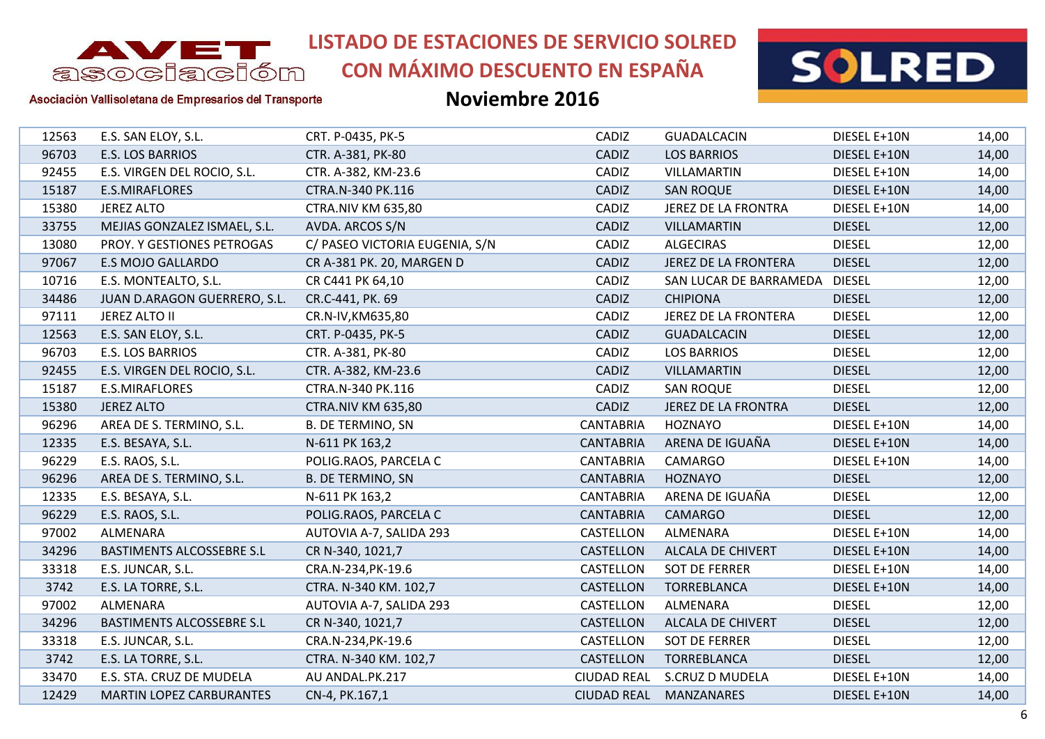

# **CON MÁXIMO DESCUENTO EN ESPAÑA**



#### Asociación Vallisoletana de Empresarios del Transporte

| 12563 | E.S. SAN ELOY, S.L.             | CRT. P-0435, PK-5              | CADIZ              | <b>GUADALCACIN</b>         | DIESEL E+10N  | 14,00 |
|-------|---------------------------------|--------------------------------|--------------------|----------------------------|---------------|-------|
| 96703 | E.S. LOS BARRIOS                | CTR. A-381, PK-80              | CADIZ              | <b>LOS BARRIOS</b>         | DIESEL E+10N  | 14,00 |
| 92455 | E.S. VIRGEN DEL ROCIO, S.L.     | CTR. A-382, KM-23.6            | CADIZ              | VILLAMARTIN                | DIESEL E+10N  | 14,00 |
| 15187 | <b>E.S.MIRAFLORES</b>           | CTRA.N-340 PK.116              | CADIZ              | <b>SAN ROQUE</b>           | DIESEL E+10N  | 14,00 |
| 15380 | <b>JEREZ ALTO</b>               | <b>CTRA.NIV KM 635,80</b>      | CADIZ              | JEREZ DE LA FRONTRA        | DIESEL E+10N  | 14,00 |
| 33755 | MEJIAS GONZALEZ ISMAEL, S.L.    | AVDA. ARCOS S/N                | CADIZ              | <b>VILLAMARTIN</b>         | <b>DIESEL</b> | 12,00 |
| 13080 | PROY. Y GESTIONES PETROGAS      | C/ PASEO VICTORIA EUGENIA, S/N | CADIZ              | <b>ALGECIRAS</b>           | <b>DIESEL</b> | 12,00 |
| 97067 | <b>E.S MOJO GALLARDO</b>        | CR A-381 PK. 20, MARGEN D      | CADIZ              | JEREZ DE LA FRONTERA       | <b>DIESEL</b> | 12,00 |
| 10716 | E.S. MONTEALTO, S.L.            | CR C441 PK 64,10               | CADIZ              | SAN LUCAR DE BARRAMEDA     | <b>DIESEL</b> | 12,00 |
| 34486 | JUAN D.ARAGON GUERRERO, S.L.    | CR.C-441, PK. 69               | CADIZ              | <b>CHIPIONA</b>            | <b>DIESEL</b> | 12,00 |
| 97111 | <b>JEREZ ALTO II</b>            | CR.N-IV, KM635, 80             | CADIZ              | JEREZ DE LA FRONTERA       | <b>DIESEL</b> | 12,00 |
| 12563 | E.S. SAN ELOY, S.L.             | CRT. P-0435, PK-5              | CADIZ              | <b>GUADALCACIN</b>         | <b>DIESEL</b> | 12,00 |
| 96703 | E.S. LOS BARRIOS                | CTR. A-381, PK-80              | CADIZ              | <b>LOS BARRIOS</b>         | <b>DIESEL</b> | 12,00 |
| 92455 | E.S. VIRGEN DEL ROCIO, S.L.     | CTR. A-382, KM-23.6            | CADIZ              | <b>VILLAMARTIN</b>         | <b>DIESEL</b> | 12,00 |
| 15187 | E.S.MIRAFLORES                  | CTRA.N-340 PK.116              | CADIZ              | <b>SAN ROQUE</b>           | <b>DIESEL</b> | 12,00 |
| 15380 | <b>JEREZ ALTO</b>               | <b>CTRA.NIV KM 635,80</b>      | CADIZ              | <b>JEREZ DE LA FRONTRA</b> | <b>DIESEL</b> | 12,00 |
| 96296 | AREA DE S. TERMINO, S.L.        | <b>B. DE TERMINO, SN</b>       | <b>CANTABRIA</b>   | <b>HOZNAYO</b>             | DIESEL E+10N  | 14,00 |
| 12335 | E.S. BESAYA, S.L.               | N-611 PK 163,2                 | <b>CANTABRIA</b>   | ARENA DE IGUAÑA            | DIESEL E+10N  | 14,00 |
| 96229 | E.S. RAOS, S.L.                 | POLIG.RAOS, PARCELA C          | <b>CANTABRIA</b>   | CAMARGO                    | DIESEL E+10N  | 14,00 |
| 96296 | AREA DE S. TERMINO, S.L.        | <b>B. DE TERMINO, SN</b>       | <b>CANTABRIA</b>   | <b>HOZNAYO</b>             | <b>DIESEL</b> | 12,00 |
| 12335 | E.S. BESAYA, S.L.               | N-611 PK 163,2                 | <b>CANTABRIA</b>   | ARENA DE IGUAÑA            | <b>DIESEL</b> | 12,00 |
| 96229 | E.S. RAOS, S.L.                 | POLIG.RAOS, PARCELA C          | <b>CANTABRIA</b>   | <b>CAMARGO</b>             | <b>DIESEL</b> | 12,00 |
| 97002 | ALMENARA                        | AUTOVIA A-7, SALIDA 293        | CASTELLON          | ALMENARA                   | DIESEL E+10N  | 14,00 |
| 34296 | BASTIMENTS ALCOSSEBRE S.L       | CR N-340, 1021,7               | CASTELLON          | ALCALA DE CHIVERT          | DIESEL E+10N  | 14,00 |
| 33318 | E.S. JUNCAR, S.L.               | CRA.N-234, PK-19.6             | CASTELLON          | <b>SOT DE FERRER</b>       | DIESEL E+10N  | 14,00 |
| 3742  | E.S. LA TORRE, S.L.             | CTRA. N-340 KM. 102,7          | CASTELLON          | TORREBLANCA                | DIESEL E+10N  | 14,00 |
| 97002 | ALMENARA                        | AUTOVIA A-7, SALIDA 293        | CASTELLON          | ALMENARA                   | <b>DIESEL</b> | 12,00 |
| 34296 | BASTIMENTS ALCOSSEBRE S.L       | CR N-340, 1021,7               | CASTELLON          | ALCALA DE CHIVERT          | <b>DIESEL</b> | 12,00 |
| 33318 | E.S. JUNCAR, S.L.               | CRA.N-234, PK-19.6             | CASTELLON          | <b>SOT DE FERRER</b>       | <b>DIESEL</b> | 12,00 |
| 3742  | E.S. LA TORRE, S.L.             | CTRA. N-340 KM. 102,7          | CASTELLON          | <b>TORREBLANCA</b>         | <b>DIESEL</b> | 12,00 |
| 33470 | E.S. STA. CRUZ DE MUDELA        | AU ANDAL.PK.217                | <b>CIUDAD REAL</b> | S.CRUZ D MUDELA            | DIESEL E+10N  | 14,00 |
| 12429 | <b>MARTIN LOPEZ CARBURANTES</b> | CN-4, PK.167,1                 |                    | CIUDAD REAL MANZANARES     | DIESEL E+10N  | 14,00 |
|       |                                 |                                |                    |                            |               |       |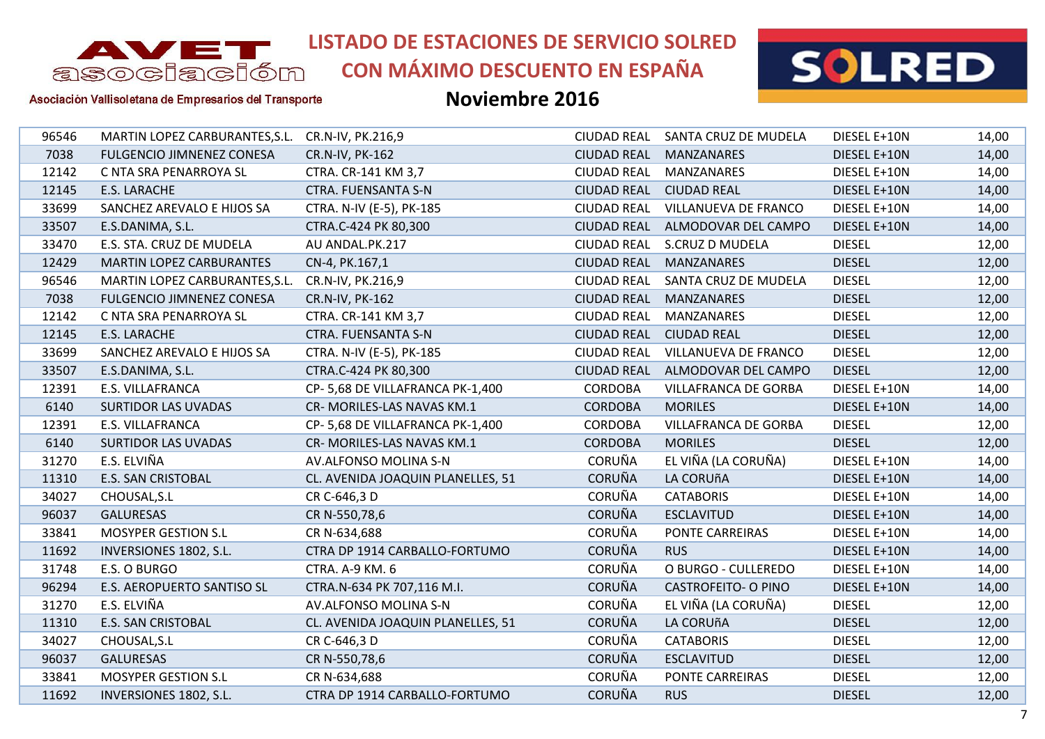

**CON MÁXIMO DESCUENTO EN ESPAÑA**



Asociación Vallisoletana de Empresarios del Transporte

| 96546 | MARTIN LOPEZ CARBURANTES, S.L. CR.N-IV, PK.216,9 |                                   |                    | CIUDAD REAL SANTA CRUZ DE MUDELA | DIESEL E+10N  | 14,00 |
|-------|--------------------------------------------------|-----------------------------------|--------------------|----------------------------------|---------------|-------|
| 7038  | <b>FULGENCIO JIMNENEZ CONESA</b>                 | CR.N-IV, PK-162                   | <b>CIUDAD REAL</b> | <b>MANZANARES</b>                | DIESEL E+10N  | 14,00 |
| 12142 | C NTA SRA PENARROYA SL                           | CTRA. CR-141 KM 3,7               | <b>CIUDAD REAL</b> | MANZANARES                       | DIESEL E+10N  | 14,00 |
| 12145 | E.S. LARACHE                                     | <b>CTRA. FUENSANTA S-N</b>        | <b>CIUDAD REAL</b> | <b>CIUDAD REAL</b>               | DIESEL E+10N  | 14,00 |
| 33699 | SANCHEZ AREVALO E HIJOS SA                       | CTRA. N-IV (E-5), PK-185          | <b>CIUDAD REAL</b> | VILLANUEVA DE FRANCO             | DIESEL E+10N  | 14,00 |
| 33507 | E.S.DANIMA, S.L.                                 | CTRA.C-424 PK 80,300              |                    | CIUDAD REAL ALMODOVAR DEL CAMPO  | DIESEL E+10N  | 14,00 |
| 33470 | E.S. STA. CRUZ DE MUDELA                         | AU ANDAL.PK.217                   | <b>CIUDAD REAL</b> | S.CRUZ D MUDELA                  | <b>DIESEL</b> | 12,00 |
| 12429 | <b>MARTIN LOPEZ CARBURANTES</b>                  | CN-4, PK.167,1                    | <b>CIUDAD REAL</b> | MANZANARES                       | <b>DIESEL</b> | 12,00 |
| 96546 | MARTIN LOPEZ CARBURANTES, S.L. CR.N-IV, PK.216,9 |                                   |                    | CIUDAD REAL SANTA CRUZ DE MUDELA | <b>DIESEL</b> | 12,00 |
| 7038  | FULGENCIO JIMNENEZ CONESA                        | CR.N-IV, PK-162                   | <b>CIUDAD REAL</b> | MANZANARES                       | <b>DIESEL</b> | 12,00 |
| 12142 | C NTA SRA PENARROYA SL                           | CTRA. CR-141 KM 3,7               | <b>CIUDAD REAL</b> | <b>MANZANARES</b>                | <b>DIESEL</b> | 12,00 |
| 12145 | E.S. LARACHE                                     | <b>CTRA. FUENSANTA S-N</b>        |                    | CIUDAD REAL CIUDAD REAL          | <b>DIESEL</b> | 12,00 |
| 33699 | SANCHEZ AREVALO E HIJOS SA                       | CTRA. N-IV (E-5), PK-185          | <b>CIUDAD REAL</b> | VILLANUEVA DE FRANCO             | <b>DIESEL</b> | 12,00 |
| 33507 | E.S.DANIMA, S.L.                                 | CTRA.C-424 PK 80,300              | <b>CIUDAD REAL</b> | ALMODOVAR DEL CAMPO              | <b>DIESEL</b> | 12,00 |
| 12391 | E.S. VILLAFRANCA                                 | CP-5,68 DE VILLAFRANCA PK-1,400   | <b>CORDOBA</b>     | VILLAFRANCA DE GORBA             | DIESEL E+10N  | 14,00 |
| 6140  | <b>SURTIDOR LAS UVADAS</b>                       | CR- MORILES-LAS NAVAS KM.1        | <b>CORDOBA</b>     | <b>MORILES</b>                   | DIESEL E+10N  | 14,00 |
| 12391 | E.S. VILLAFRANCA                                 | CP-5,68 DE VILLAFRANCA PK-1,400   | <b>CORDOBA</b>     | <b>VILLAFRANCA DE GORBA</b>      | <b>DIESEL</b> | 12,00 |
| 6140  | <b>SURTIDOR LAS UVADAS</b>                       | CR- MORILES-LAS NAVAS KM.1        | <b>CORDOBA</b>     | <b>MORILES</b>                   | <b>DIESEL</b> | 12,00 |
| 31270 | E.S. ELVIÑA                                      | AV.ALFONSO MOLINA S-N             | <b>CORUÑA</b>      | EL VIÑA (LA CORUÑA)              | DIESEL E+10N  | 14,00 |
| 11310 | <b>E.S. SAN CRISTOBAL</b>                        | CL. AVENIDA JOAQUIN PLANELLES, 51 | <b>CORUÑA</b>      | LA CORUñA                        | DIESEL E+10N  | 14,00 |
| 34027 | CHOUSAL, S.L                                     | CR C-646,3 D                      | <b>CORUÑA</b>      | <b>CATABORIS</b>                 | DIESEL E+10N  | 14,00 |
| 96037 | <b>GALURESAS</b>                                 | CR N-550,78,6                     | <b>CORUÑA</b>      | <b>ESCLAVITUD</b>                | DIESEL E+10N  | 14,00 |
| 33841 | <b>MOSYPER GESTION S.L</b>                       | CR N-634,688                      | <b>CORUÑA</b>      | PONTE CARREIRAS                  | DIESEL E+10N  | 14,00 |
| 11692 | INVERSIONES 1802, S.L.                           | CTRA DP 1914 CARBALLO-FORTUMO     | <b>CORUÑA</b>      | <b>RUS</b>                       | DIESEL E+10N  | 14,00 |
| 31748 | E.S. O BURGO                                     | CTRA. A-9 KM. 6                   | <b>CORUÑA</b>      | O BURGO - CULLEREDO              | DIESEL E+10N  | 14,00 |
| 96294 | <b>E.S. AEROPUERTO SANTISO SL</b>                | CTRA.N-634 PK 707,116 M.I.        | <b>CORUÑA</b>      | <b>CASTROFEITO- O PINO</b>       | DIESEL E+10N  | 14,00 |
| 31270 | E.S. ELVIÑA                                      | AV.ALFONSO MOLINA S-N             | <b>CORUÑA</b>      | EL VIÑA (LA CORUÑA)              | <b>DIESEL</b> | 12,00 |
| 11310 | <b>E.S. SAN CRISTOBAL</b>                        | CL. AVENIDA JOAQUIN PLANELLES, 51 | <b>CORUÑA</b>      | LA CORUñA                        | <b>DIESEL</b> | 12,00 |
| 34027 | CHOUSAL, S.L                                     | CR C-646,3 D                      | <b>CORUÑA</b>      | <b>CATABORIS</b>                 | <b>DIESEL</b> | 12,00 |
| 96037 | <b>GALURESAS</b>                                 | CR N-550,78,6                     | <b>CORUÑA</b>      | <b>ESCLAVITUD</b>                | <b>DIESEL</b> | 12,00 |
| 33841 | MOSYPER GESTION S.L                              | CR N-634,688                      | <b>CORUÑA</b>      | PONTE CARREIRAS                  | <b>DIESEL</b> | 12,00 |
| 11692 | <b>INVERSIONES 1802, S.L.</b>                    | CTRA DP 1914 CARBALLO-FORTUMO     | <b>CORUÑA</b>      | <b>RUS</b>                       | <b>DIESEL</b> | 12,00 |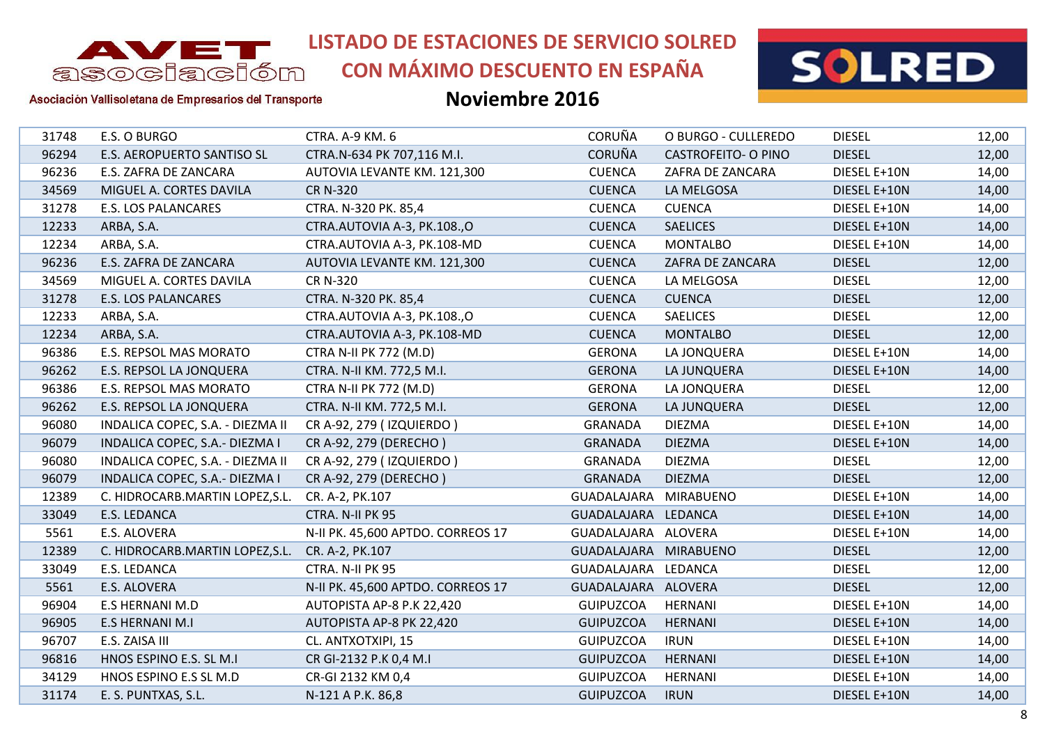

**CON MÁXIMO DESCUENTO EN ESPAÑA**



Asociación Vallisoletana de Empresarios del Transporte

| 31748 | E.S. O BURGO                      | CTRA. A-9 KM. 6                   | <b>CORUÑA</b>         | O BURGO - CULLEREDO        | <b>DIESEL</b> | 12,00 |
|-------|-----------------------------------|-----------------------------------|-----------------------|----------------------------|---------------|-------|
| 96294 | <b>E.S. AEROPUERTO SANTISO SL</b> | CTRA.N-634 PK 707,116 M.I.        | <b>CORUÑA</b>         | <b>CASTROFEITO- O PINO</b> | <b>DIESEL</b> | 12,00 |
| 96236 | E.S. ZAFRA DE ZANCARA             | AUTOVIA LEVANTE KM. 121,300       | <b>CUENCA</b>         | ZAFRA DE ZANCARA           | DIESEL E+10N  | 14,00 |
| 34569 | MIGUEL A. CORTES DAVILA           | <b>CR N-320</b>                   | <b>CUENCA</b>         | LA MELGOSA                 | DIESEL E+10N  | 14,00 |
| 31278 | <b>E.S. LOS PALANCARES</b>        | CTRA. N-320 PK. 85,4              | <b>CUENCA</b>         | <b>CUENCA</b>              | DIESEL E+10N  | 14,00 |
| 12233 | ARBA, S.A.                        | CTRA.AUTOVIA A-3, PK.108.,O       | <b>CUENCA</b>         | <b>SAELICES</b>            | DIESEL E+10N  | 14,00 |
| 12234 | ARBA, S.A.                        | CTRA.AUTOVIA A-3, PK.108-MD       | <b>CUENCA</b>         | <b>MONTALBO</b>            | DIESEL E+10N  | 14,00 |
| 96236 | E.S. ZAFRA DE ZANCARA             | AUTOVIA LEVANTE KM. 121,300       | <b>CUENCA</b>         | ZAFRA DE ZANCARA           | <b>DIESEL</b> | 12,00 |
| 34569 | MIGUEL A. CORTES DAVILA           | <b>CR N-320</b>                   | <b>CUENCA</b>         | LA MELGOSA                 | <b>DIESEL</b> | 12,00 |
| 31278 | <b>E.S. LOS PALANCARES</b>        | CTRA. N-320 PK. 85,4              | <b>CUENCA</b>         | <b>CUENCA</b>              | <b>DIESEL</b> | 12,00 |
| 12233 | ARBA, S.A.                        | CTRA.AUTOVIA A-3, PK.108.,O       | <b>CUENCA</b>         | <b>SAELICES</b>            | <b>DIESEL</b> | 12,00 |
| 12234 | ARBA, S.A.                        | CTRA.AUTOVIA A-3, PK.108-MD       | <b>CUENCA</b>         | <b>MONTALBO</b>            | <b>DIESEL</b> | 12,00 |
| 96386 | E.S. REPSOL MAS MORATO            | <b>CTRA N-II PK 772 (M.D)</b>     | <b>GERONA</b>         | LA JONQUERA                | DIESEL E+10N  | 14,00 |
| 96262 | E.S. REPSOL LA JONQUERA           | CTRA. N-II KM. 772,5 M.I.         | <b>GERONA</b>         | LA JUNQUERA                | DIESEL E+10N  | 14,00 |
| 96386 | E.S. REPSOL MAS MORATO            | <b>CTRA N-II PK 772 (M.D)</b>     | <b>GERONA</b>         | LA JONQUERA                | <b>DIESEL</b> | 12,00 |
| 96262 | E.S. REPSOL LA JONQUERA           | CTRA. N-II KM. 772,5 M.I.         | <b>GERONA</b>         | LA JUNQUERA                | <b>DIESEL</b> | 12,00 |
| 96080 | INDALICA COPEC, S.A. - DIEZMA II  | CR A-92, 279 (IZQUIERDO)          | <b>GRANADA</b>        | <b>DIEZMA</b>              | DIESEL E+10N  | 14,00 |
| 96079 | INDALICA COPEC, S.A.- DIEZMA I    | CR A-92, 279 (DERECHO)            | <b>GRANADA</b>        | <b>DIEZMA</b>              | DIESEL E+10N  | 14,00 |
| 96080 | INDALICA COPEC, S.A. - DIEZMA II  | CR A-92, 279 (IZQUIERDO)          | <b>GRANADA</b>        | <b>DIEZMA</b>              | <b>DIESEL</b> | 12,00 |
| 96079 | INDALICA COPEC, S.A.- DIEZMA I    | CR A-92, 279 (DERECHO)            | <b>GRANADA</b>        | <b>DIEZMA</b>              | <b>DIESEL</b> | 12,00 |
| 12389 | C. HIDROCARB.MARTIN LOPEZ, S.L.   | CR. A-2, PK.107                   | GUADALAJARA MIRABUENO |                            | DIESEL E+10N  | 14,00 |
| 33049 | E.S. LEDANCA                      | CTRA. N-II PK 95                  | GUADALAJARA LEDANCA   |                            | DIESEL E+10N  | 14,00 |
| 5561  | E.S. ALOVERA                      | N-II PK. 45,600 APTDO. CORREOS 17 | GUADALAJARA ALOVERA   |                            | DIESEL E+10N  | 14,00 |
| 12389 | C. HIDROCARB.MARTIN LOPEZ, S.L.   | CR. A-2, PK.107                   | GUADALAJARA MIRABUENO |                            | <b>DIESEL</b> | 12,00 |
| 33049 | E.S. LEDANCA                      | CTRA. N-II PK 95                  | GUADALAJARA LEDANCA   |                            | <b>DIESEL</b> | 12,00 |
| 5561  | E.S. ALOVERA                      | N-II PK. 45,600 APTDO. CORREOS 17 | GUADALAJARA ALOVERA   |                            | <b>DIESEL</b> | 12,00 |
| 96904 | E.S HERNANI M.D                   | AUTOPISTA AP-8 P.K 22,420         | GUIPUZCOA             | HERNANI                    | DIESEL E+10N  | 14,00 |
| 96905 | <b>E.S HERNANI M.I</b>            | AUTOPISTA AP-8 PK 22,420          | <b>GUIPUZCOA</b>      | <b>HERNANI</b>             | DIESEL E+10N  | 14,00 |
| 96707 | E.S. ZAISA III                    | CL. ANTXOTXIPI, 15                | <b>GUIPUZCOA</b>      | <b>IRUN</b>                | DIESEL E+10N  | 14,00 |
| 96816 | HNOS ESPINO E.S. SL M.I           | CR GI-2132 P.K 0,4 M.I            | <b>GUIPUZCOA</b>      | <b>HERNANI</b>             | DIESEL E+10N  | 14,00 |
| 34129 | HNOS ESPINO E.S SL M.D            | CR-GI 2132 KM 0,4                 | <b>GUIPUZCOA</b>      | <b>HERNANI</b>             | DIESEL E+10N  | 14,00 |
| 31174 | E. S. PUNTXAS, S.L.               | N-121 A P.K. 86,8                 | <b>GUIPUZCOA</b>      | <b>IRUN</b>                | DIESEL E+10N  | 14,00 |
|       |                                   |                                   |                       |                            |               |       |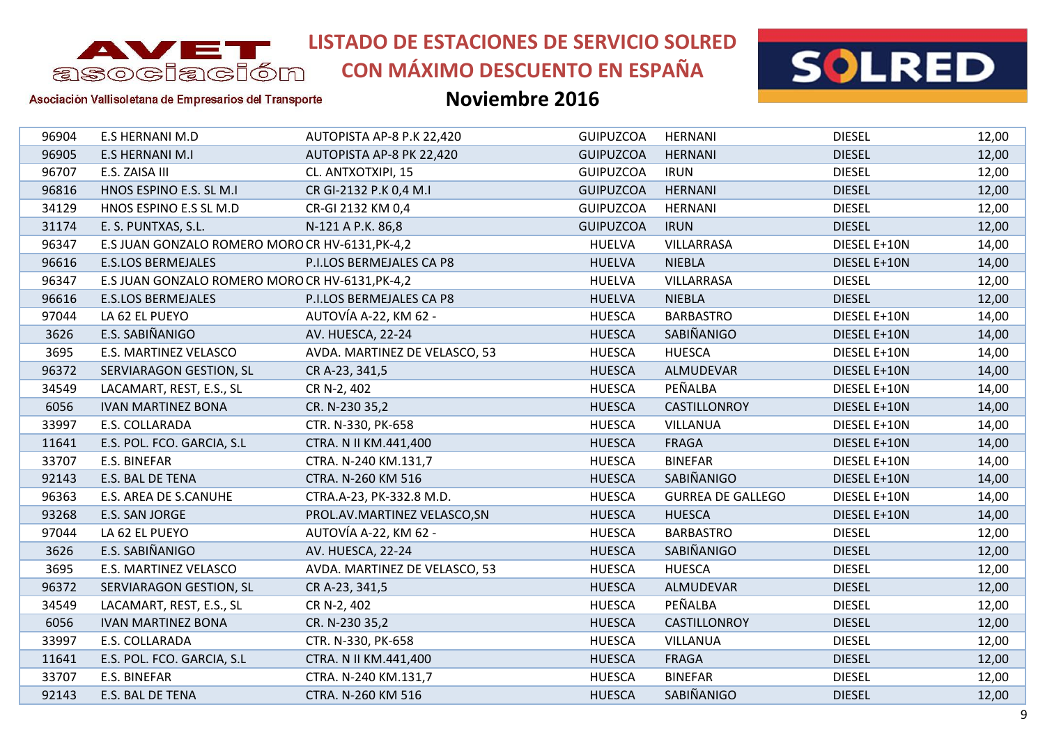

# **CON MÁXIMO DESCUENTO EN ESPAÑA**



#### Asociación Vallisoletana de Empresarios del Transporte

| 96904 | <b>E.S HERNANI M.D</b>                          | AUTOPISTA AP-8 P.K 22,420     | <b>GUIPUZCOA</b> | <b>HERNANI</b>           | <b>DIESEL</b> | 12,00 |
|-------|-------------------------------------------------|-------------------------------|------------------|--------------------------|---------------|-------|
| 96905 | <b>E.S HERNANI M.I</b>                          | AUTOPISTA AP-8 PK 22,420      | <b>GUIPUZCOA</b> | <b>HERNANI</b>           | <b>DIESEL</b> | 12,00 |
| 96707 | E.S. ZAISA III                                  | CL. ANTXOTXIPI, 15            | <b>GUIPUZCOA</b> | <b>IRUN</b>              | <b>DIESEL</b> | 12,00 |
| 96816 | HNOS ESPINO E.S. SL M.I                         | CR GI-2132 P.K 0,4 M.I        | <b>GUIPUZCOA</b> | <b>HERNANI</b>           | <b>DIESEL</b> | 12,00 |
| 34129 | HNOS ESPINO E.S SL M.D                          | CR-GI 2132 KM 0,4             | <b>GUIPUZCOA</b> | <b>HERNANI</b>           | <b>DIESEL</b> | 12,00 |
| 31174 | E. S. PUNTXAS, S.L.                             | N-121 A P.K. 86,8             | <b>GUIPUZCOA</b> | <b>IRUN</b>              | <b>DIESEL</b> | 12,00 |
| 96347 | E.S JUAN GONZALO ROMERO MORO CR HV-6131, PK-4,2 |                               | <b>HUELVA</b>    | VILLARRASA               | DIESEL E+10N  | 14,00 |
| 96616 | <b>E.S.LOS BERMEJALES</b>                       | P.I.LOS BERMEJALES CA P8      | <b>HUELVA</b>    | <b>NIEBLA</b>            | DIESEL E+10N  | 14,00 |
| 96347 | E.S JUAN GONZALO ROMERO MORO CR HV-6131, PK-4,2 |                               | <b>HUELVA</b>    | VILLARRASA               | <b>DIESEL</b> | 12,00 |
| 96616 | <b>E.S.LOS BERMEJALES</b>                       | P.I.LOS BERMEJALES CA P8      | <b>HUELVA</b>    | <b>NIEBLA</b>            | <b>DIESEL</b> | 12,00 |
| 97044 | LA 62 EL PUEYO                                  | AUTOVÍA A-22, KM 62 -         | <b>HUESCA</b>    | <b>BARBASTRO</b>         | DIESEL E+10N  | 14,00 |
| 3626  | E.S. SABIÑANIGO                                 | AV. HUESCA, 22-24             | <b>HUESCA</b>    | SABIÑANIGO               | DIESEL E+10N  | 14,00 |
| 3695  | E.S. MARTINEZ VELASCO                           | AVDA. MARTINEZ DE VELASCO, 53 | <b>HUESCA</b>    | <b>HUESCA</b>            | DIESEL E+10N  | 14,00 |
| 96372 | SERVIARAGON GESTION, SL                         | CR A-23, 341,5                | <b>HUESCA</b>    | ALMUDEVAR                | DIESEL E+10N  | 14,00 |
| 34549 | LACAMART, REST, E.S., SL                        | CR N-2, 402                   | <b>HUESCA</b>    | PEÑALBA                  | DIESEL E+10N  | 14,00 |
| 6056  | <b>IVAN MARTINEZ BONA</b>                       | CR. N-230 35,2                | <b>HUESCA</b>    | CASTILLONROY             | DIESEL E+10N  | 14,00 |
| 33997 | E.S. COLLARADA                                  | CTR. N-330, PK-658            | <b>HUESCA</b>    | <b>VILLANUA</b>          | DIESEL E+10N  | 14,00 |
| 11641 | E.S. POL. FCO. GARCIA, S.L                      | CTRA. N II KM.441,400         | <b>HUESCA</b>    | <b>FRAGA</b>             | DIESEL E+10N  | 14,00 |
| 33707 | E.S. BINEFAR                                    | CTRA. N-240 KM.131,7          | <b>HUESCA</b>    | <b>BINEFAR</b>           | DIESEL E+10N  | 14,00 |
| 92143 | E.S. BAL DE TENA                                | CTRA. N-260 KM 516            | <b>HUESCA</b>    | SABIÑANIGO               | DIESEL E+10N  | 14,00 |
| 96363 | E.S. AREA DE S.CANUHE                           | CTRA.A-23, PK-332.8 M.D.      | <b>HUESCA</b>    | <b>GURREA DE GALLEGO</b> | DIESEL E+10N  | 14,00 |
| 93268 | E.S. SAN JORGE                                  | PROL.AV.MARTINEZ VELASCO, SN  | <b>HUESCA</b>    | <b>HUESCA</b>            | DIESEL E+10N  | 14,00 |
| 97044 | LA 62 EL PUEYO                                  | AUTOVÍA A-22, KM 62 -         | <b>HUESCA</b>    | <b>BARBASTRO</b>         | <b>DIESEL</b> | 12,00 |
| 3626  | E.S. SABIÑANIGO                                 | AV. HUESCA, 22-24             | <b>HUESCA</b>    | SABIÑANIGO               | <b>DIESEL</b> | 12,00 |
| 3695  | E.S. MARTINEZ VELASCO                           | AVDA. MARTINEZ DE VELASCO, 53 | <b>HUESCA</b>    | <b>HUESCA</b>            | <b>DIESEL</b> | 12,00 |
| 96372 | SERVIARAGON GESTION, SL                         | CR A-23, 341,5                | <b>HUESCA</b>    | ALMUDEVAR                | <b>DIESEL</b> | 12,00 |
| 34549 | LACAMART, REST, E.S., SL                        | CR N-2, 402                   | <b>HUESCA</b>    | PEÑALBA                  | <b>DIESEL</b> | 12,00 |
| 6056  | <b>IVAN MARTINEZ BONA</b>                       | CR. N-230 35,2                | <b>HUESCA</b>    | CASTILLONROY             | <b>DIESEL</b> | 12,00 |
| 33997 | E.S. COLLARADA                                  | CTR. N-330, PK-658            | <b>HUESCA</b>    | <b>VILLANUA</b>          | <b>DIESEL</b> | 12,00 |
| 11641 | E.S. POL. FCO. GARCIA, S.L                      | CTRA. N II KM.441,400         | <b>HUESCA</b>    | <b>FRAGA</b>             | <b>DIESEL</b> | 12,00 |
| 33707 | E.S. BINEFAR                                    | CTRA. N-240 KM.131,7          | <b>HUESCA</b>    | <b>BINEFAR</b>           | <b>DIESEL</b> | 12,00 |
| 92143 | E.S. BAL DE TENA                                | CTRA. N-260 KM 516            | <b>HUESCA</b>    | SABIÑANIGO               | <b>DIESEL</b> | 12,00 |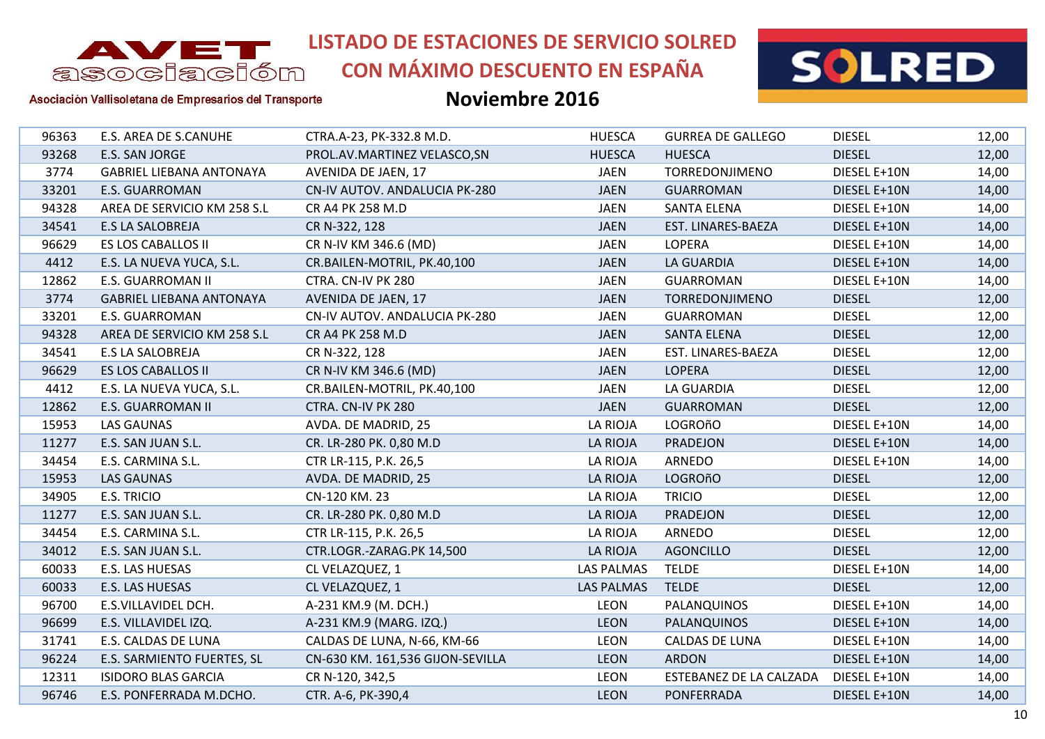

**CON MÁXIMO DESCUENTO EN ESPAÑA**



Asociación Vallisoletana de Empresarios del Transporte

| 96363 | E.S. AREA DE S.CANUHE           | CTRA.A-23, PK-332.8 M.D.         | <b>HUESCA</b>     | <b>GURREA DE GALLEGO</b> | <b>DIESEL</b> | 12,00 |
|-------|---------------------------------|----------------------------------|-------------------|--------------------------|---------------|-------|
| 93268 | E.S. SAN JORGE                  | PROL.AV.MARTINEZ VELASCO, SN     | <b>HUESCA</b>     | <b>HUESCA</b>            | <b>DIESEL</b> | 12,00 |
| 3774  | <b>GABRIEL LIEBANA ANTONAYA</b> | AVENIDA DE JAEN, 17              | <b>JAEN</b>       | TORREDONJIMENO           | DIESEL E+10N  | 14,00 |
| 33201 | <b>E.S. GUARROMAN</b>           | CN-IV AUTOV. ANDALUCIA PK-280    | <b>JAEN</b>       | <b>GUARROMAN</b>         | DIESEL E+10N  | 14,00 |
| 94328 | AREA DE SERVICIO KM 258 S.L     | CR A4 PK 258 M.D                 | <b>JAEN</b>       | <b>SANTA ELENA</b>       | DIESEL E+10N  | 14,00 |
| 34541 | <b>E.S LA SALOBREJA</b>         | CR N-322, 128                    | <b>JAEN</b>       | EST. LINARES-BAEZA       | DIESEL E+10N  | 14,00 |
| 96629 | ES LOS CABALLOS II              | CR N-IV KM 346.6 (MD)            | <b>JAEN</b>       | LOPERA                   | DIESEL E+10N  | 14,00 |
| 4412  | E.S. LA NUEVA YUCA, S.L.        | CR.BAILEN-MOTRIL, PK.40,100      | <b>JAEN</b>       | <b>LA GUARDIA</b>        | DIESEL E+10N  | 14,00 |
| 12862 | E.S. GUARROMAN II               | CTRA. CN-IV PK 280               | <b>JAEN</b>       | <b>GUARROMAN</b>         | DIESEL E+10N  | 14,00 |
| 3774  | <b>GABRIEL LIEBANA ANTONAYA</b> | AVENIDA DE JAEN, 17              | <b>JAEN</b>       | TORREDONJIMENO           | <b>DIESEL</b> | 12,00 |
| 33201 | <b>E.S. GUARROMAN</b>           | CN-IV AUTOV. ANDALUCIA PK-280    | <b>JAEN</b>       | <b>GUARROMAN</b>         | <b>DIESEL</b> | 12,00 |
| 94328 | AREA DE SERVICIO KM 258 S.L     | CR A4 PK 258 M.D                 | <b>JAEN</b>       | <b>SANTA ELENA</b>       | <b>DIESEL</b> | 12,00 |
| 34541 | E.S LA SALOBREJA                | CR N-322, 128                    | <b>JAEN</b>       | EST. LINARES-BAEZA       | <b>DIESEL</b> | 12,00 |
| 96629 | ES LOS CABALLOS II              | CR N-IV KM 346.6 (MD)            | <b>JAEN</b>       | <b>LOPERA</b>            | <b>DIESEL</b> | 12,00 |
| 4412  | E.S. LA NUEVA YUCA, S.L.        | CR.BAILEN-MOTRIL, PK.40,100      | <b>JAEN</b>       | LA GUARDIA               | <b>DIESEL</b> | 12,00 |
| 12862 | <b>E.S. GUARROMAN II</b>        | CTRA. CN-IV PK 280               | <b>JAEN</b>       | <b>GUARROMAN</b>         | <b>DIESEL</b> | 12,00 |
| 15953 | <b>LAS GAUNAS</b>               | AVDA. DE MADRID, 25              | LA RIOJA          | <b>LOGROñO</b>           | DIESEL E+10N  | 14,00 |
| 11277 | E.S. SAN JUAN S.L.              | CR. LR-280 PK. 0,80 M.D          | LA RIOJA          | PRADEJON                 | DIESEL E+10N  | 14,00 |
| 34454 | E.S. CARMINA S.L.               | CTR LR-115, P.K. 26,5            | LA RIOJA          | ARNEDO                   | DIESEL E+10N  | 14,00 |
| 15953 | <b>LAS GAUNAS</b>               | AVDA. DE MADRID, 25              | LA RIOJA          | <b>LOGROñO</b>           | <b>DIESEL</b> | 12,00 |
| 34905 | E.S. TRICIO                     | CN-120 KM. 23                    | LA RIOJA          | <b>TRICIO</b>            | <b>DIESEL</b> | 12,00 |
| 11277 | E.S. SAN JUAN S.L.              | CR. LR-280 PK. 0,80 M.D          | LA RIOJA          | <b>PRADEJON</b>          | <b>DIESEL</b> | 12,00 |
| 34454 | E.S. CARMINA S.L.               | CTR LR-115, P.K. 26,5            | LA RIOJA          | ARNEDO                   | <b>DIESEL</b> | 12,00 |
| 34012 | E.S. SAN JUAN S.L.              | CTR.LOGR.-ZARAG.PK 14,500        | LA RIOJA          | <b>AGONCILLO</b>         | <b>DIESEL</b> | 12,00 |
| 60033 | E.S. LAS HUESAS                 | CL VELAZQUEZ, 1                  | <b>LAS PALMAS</b> | <b>TELDE</b>             | DIESEL E+10N  | 14,00 |
| 60033 | E.S. LAS HUESAS                 | CL VELAZQUEZ, 1                  | <b>LAS PALMAS</b> | <b>TELDE</b>             | <b>DIESEL</b> | 12,00 |
| 96700 | E.S.VILLAVIDEL DCH.             | A-231 KM.9 (M. DCH.)             | <b>LEON</b>       | PALANQUINOS              | DIESEL E+10N  | 14,00 |
| 96699 | E.S. VILLAVIDEL IZQ.            | A-231 KM.9 (MARG. IZQ.)          | <b>LEON</b>       | <b>PALANQUINOS</b>       | DIESEL E+10N  | 14,00 |
| 31741 | E.S. CALDAS DE LUNA             | CALDAS DE LUNA, N-66, KM-66      | LEON              | CALDAS DE LUNA           | DIESEL E+10N  | 14,00 |
| 96224 | E.S. SARMIENTO FUERTES, SL      | CN-630 KM. 161,536 GIJON-SEVILLA | <b>LEON</b>       | <b>ARDON</b>             | DIESEL E+10N  | 14,00 |
| 12311 | <b>ISIDORO BLAS GARCIA</b>      | CR N-120, 342,5                  | LEON              | ESTEBANEZ DE LA CALZADA  | DIESEL E+10N  | 14,00 |
| 96746 | E.S. PONFERRADA M.DCHO.         | CTR. A-6, PK-390,4               | <b>LEON</b>       | PONFERRADA               | DIESEL E+10N  | 14,00 |
|       |                                 |                                  |                   |                          |               |       |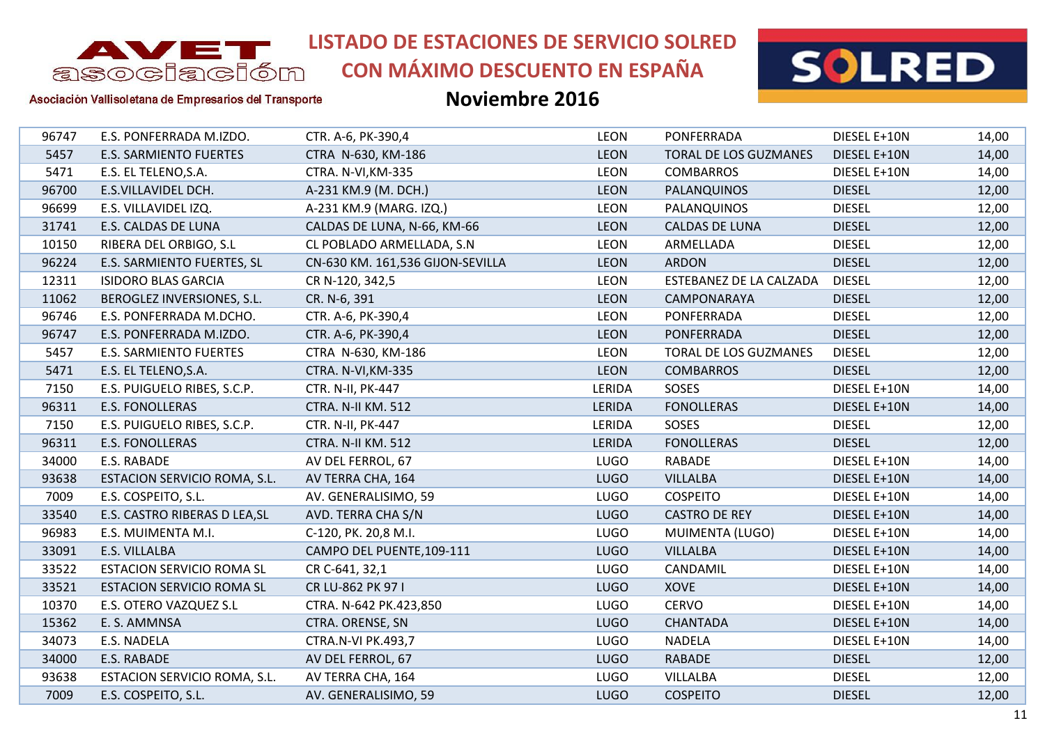

**CON MÁXIMO DESCUENTO EN ESPAÑA**



#### Asociación Vallisoletana de Empresarios del Transporte

| 96747 | E.S. PONFERRADA M.IZDO.          | CTR. A-6, PK-390,4               | <b>LEON</b> | PONFERRADA                   | DIESEL E+10N  | 14,00 |
|-------|----------------------------------|----------------------------------|-------------|------------------------------|---------------|-------|
| 5457  | E.S. SARMIENTO FUERTES           | CTRA N-630, KM-186               | <b>LEON</b> | TORAL DE LOS GUZMANES        | DIESEL E+10N  | 14,00 |
| 5471  | E.S. EL TELENO, S.A.             | CTRA. N-VI, KM-335               | <b>LEON</b> | <b>COMBARROS</b>             | DIESEL E+10N  | 14,00 |
| 96700 | E.S.VILLAVIDEL DCH.              | A-231 KM.9 (M. DCH.)             | <b>LEON</b> | PALANQUINOS                  | <b>DIESEL</b> | 12,00 |
| 96699 | E.S. VILLAVIDEL IZQ.             | A-231 KM.9 (MARG. IZQ.)          | <b>LEON</b> | PALANQUINOS                  | <b>DIESEL</b> | 12,00 |
| 31741 | E.S. CALDAS DE LUNA              | CALDAS DE LUNA, N-66, KM-66      | <b>LEON</b> | <b>CALDAS DE LUNA</b>        | <b>DIESEL</b> | 12,00 |
| 10150 | RIBERA DEL ORBIGO, S.L           | CL POBLADO ARMELLADA, S.N        | <b>LEON</b> | ARMELLADA                    | <b>DIESEL</b> | 12,00 |
| 96224 | E.S. SARMIENTO FUERTES, SL       | CN-630 KM. 161,536 GIJON-SEVILLA | <b>LEON</b> | <b>ARDON</b>                 | <b>DIESEL</b> | 12,00 |
| 12311 | <b>ISIDORO BLAS GARCIA</b>       | CR N-120, 342,5                  | <b>LEON</b> | ESTEBANEZ DE LA CALZADA      | <b>DIESEL</b> | 12,00 |
| 11062 | BEROGLEZ INVERSIONES, S.L.       | CR. N-6, 391                     | <b>LEON</b> | CAMPONARAYA                  | <b>DIESEL</b> | 12,00 |
| 96746 | E.S. PONFERRADA M.DCHO.          | CTR. A-6, PK-390,4               | <b>LEON</b> | PONFERRADA                   | <b>DIESEL</b> | 12,00 |
| 96747 | E.S. PONFERRADA M.IZDO.          | CTR. A-6, PK-390,4               | <b>LEON</b> | <b>PONFERRADA</b>            | <b>DIESEL</b> | 12,00 |
| 5457  | <b>E.S. SARMIENTO FUERTES</b>    | CTRA N-630, KM-186               | <b>LEON</b> | <b>TORAL DE LOS GUZMANES</b> | <b>DIESEL</b> | 12,00 |
| 5471  | E.S. EL TELENO, S.A.             | CTRA. N-VI, KM-335               | <b>LEON</b> | <b>COMBARROS</b>             | <b>DIESEL</b> | 12,00 |
| 7150  | E.S. PUIGUELO RIBES, S.C.P.      | CTR. N-II, PK-447                | LERIDA      | SOSES                        | DIESEL E+10N  | 14,00 |
| 96311 | <b>E.S. FONOLLERAS</b>           | <b>CTRA. N-II KM. 512</b>        | LERIDA      | <b>FONOLLERAS</b>            | DIESEL E+10N  | 14,00 |
| 7150  | E.S. PUIGUELO RIBES, S.C.P.      | CTR. N-II, PK-447                | LERIDA      | SOSES                        | <b>DIESEL</b> | 12,00 |
| 96311 | <b>E.S. FONOLLERAS</b>           | CTRA. N-II KM. 512               | LERIDA      | <b>FONOLLERAS</b>            | <b>DIESEL</b> | 12,00 |
| 34000 | E.S. RABADE                      | AV DEL FERROL, 67                | <b>LUGO</b> | <b>RABADE</b>                | DIESEL E+10N  | 14,00 |
| 93638 | ESTACION SERVICIO ROMA, S.L.     | AV TERRA CHA, 164                | <b>LUGO</b> | <b>VILLALBA</b>              | DIESEL E+10N  | 14,00 |
| 7009  | E.S. COSPEITO, S.L.              | AV. GENERALISIMO, 59             | <b>LUGO</b> | <b>COSPEITO</b>              | DIESEL E+10N  | 14,00 |
| 33540 | E.S. CASTRO RIBERAS D LEA, SL    | AVD. TERRA CHA S/N               | <b>LUGO</b> | <b>CASTRO DE REY</b>         | DIESEL E+10N  | 14,00 |
| 96983 | E.S. MUIMENTA M.I.               | C-120, PK. 20,8 M.I.             | <b>LUGO</b> | MUIMENTA (LUGO)              | DIESEL E+10N  | 14,00 |
| 33091 | E.S. VILLALBA                    | CAMPO DEL PUENTE, 109-111        | <b>LUGO</b> | <b>VILLALBA</b>              | DIESEL E+10N  | 14,00 |
| 33522 | <b>ESTACION SERVICIO ROMA SL</b> | CR C-641, 32,1                   | <b>LUGO</b> | CANDAMIL                     | DIESEL E+10N  | 14,00 |
| 33521 | <b>ESTACION SERVICIO ROMA SL</b> | CR LU-862 PK 97 I                | <b>LUGO</b> | <b>XOVE</b>                  | DIESEL E+10N  | 14,00 |
| 10370 | E.S. OTERO VAZQUEZ S.L           | CTRA. N-642 PK.423,850           | <b>LUGO</b> | <b>CERVO</b>                 | DIESEL E+10N  | 14,00 |
| 15362 | E. S. AMMNSA                     | CTRA. ORENSE, SN                 | <b>LUGO</b> | <b>CHANTADA</b>              | DIESEL E+10N  | 14,00 |
| 34073 | E.S. NADELA                      | <b>CTRA.N-VI PK.493,7</b>        | <b>LUGO</b> | <b>NADELA</b>                | DIESEL E+10N  | 14,00 |
| 34000 | E.S. RABADE                      | AV DEL FERROL, 67                | <b>LUGO</b> | <b>RABADE</b>                | <b>DIESEL</b> | 12,00 |
| 93638 | ESTACION SERVICIO ROMA, S.L.     | AV TERRA CHA, 164                | <b>LUGO</b> | VILLALBA                     | <b>DIESEL</b> | 12,00 |
| 7009  | E.S. COSPEITO, S.L.              | AV. GENERALISIMO, 59             | <b>LUGO</b> | <b>COSPEITO</b>              | <b>DIESEL</b> | 12,00 |
|       |                                  |                                  |             |                              |               |       |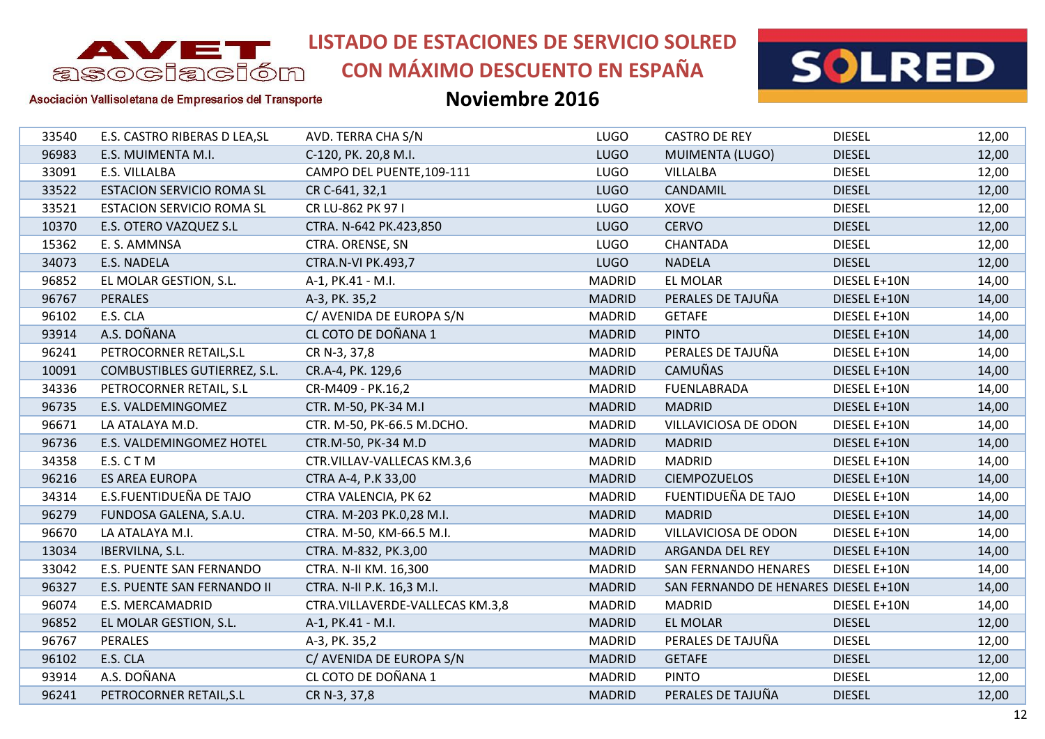

**CON MÁXIMO DESCUENTO EN ESPAÑA**



#### Asociación Vallisoletana de Empresarios del Transporte

| 33540 | E.S. CASTRO RIBERAS D LEA, SL    | AVD. TERRA CHA S/N              | <b>LUGO</b>   | <b>CASTRO DE REY</b>                 | <b>DIESEL</b> | 12,00 |
|-------|----------------------------------|---------------------------------|---------------|--------------------------------------|---------------|-------|
| 96983 | E.S. MUIMENTA M.I.               | C-120, PK. 20,8 M.I.            | <b>LUGO</b>   | MUIMENTA (LUGO)                      | <b>DIESEL</b> | 12,00 |
| 33091 | E.S. VILLALBA                    | CAMPO DEL PUENTE, 109-111       | <b>LUGO</b>   | <b>VILLALBA</b>                      | <b>DIESEL</b> | 12,00 |
| 33522 | <b>ESTACION SERVICIO ROMA SL</b> | CR C-641, 32,1                  | <b>LUGO</b>   | <b>CANDAMIL</b>                      | <b>DIESEL</b> | 12,00 |
| 33521 | <b>ESTACION SERVICIO ROMA SL</b> | CR LU-862 PK 97 I               | <b>LUGO</b>   | <b>XOVE</b>                          | <b>DIESEL</b> | 12,00 |
| 10370 | E.S. OTERO VAZQUEZ S.L           | CTRA. N-642 PK.423,850          | <b>LUGO</b>   | <b>CERVO</b>                         | <b>DIESEL</b> | 12,00 |
| 15362 | E. S. AMMNSA                     | CTRA. ORENSE, SN                | LUGO          | <b>CHANTADA</b>                      | <b>DIESEL</b> | 12,00 |
| 34073 | E.S. NADELA                      | <b>CTRA.N-VI PK.493,7</b>       | <b>LUGO</b>   | <b>NADELA</b>                        | <b>DIESEL</b> | 12,00 |
| 96852 | EL MOLAR GESTION, S.L.           | A-1, PK.41 - M.I.               | <b>MADRID</b> | EL MOLAR                             | DIESEL E+10N  | 14,00 |
| 96767 | <b>PERALES</b>                   | A-3, PK. 35,2                   | <b>MADRID</b> | PERALES DE TAJUÑA                    | DIESEL E+10N  | 14,00 |
| 96102 | E.S. CLA                         | C/ AVENIDA DE EUROPA S/N        | <b>MADRID</b> | <b>GETAFE</b>                        | DIESEL E+10N  | 14,00 |
| 93914 | A.S. DOÑANA                      | CL COTO DE DOÑANA 1             | <b>MADRID</b> | <b>PINTO</b>                         | DIESEL E+10N  | 14,00 |
| 96241 | PETROCORNER RETAIL, S.L          | CR N-3, 37,8                    | <b>MADRID</b> | PERALES DE TAJUÑA                    | DIESEL E+10N  | 14,00 |
| 10091 | COMBUSTIBLES GUTIERREZ, S.L.     | CR.A-4, PK. 129,6               | <b>MADRID</b> | <b>CAMUÑAS</b>                       | DIESEL E+10N  | 14,00 |
| 34336 | PETROCORNER RETAIL, S.L          | CR-M409 - PK.16,2               | <b>MADRID</b> | <b>FUENLABRADA</b>                   | DIESEL E+10N  | 14,00 |
| 96735 | E.S. VALDEMINGOMEZ               | CTR. M-50, PK-34 M.I            | <b>MADRID</b> | <b>MADRID</b>                        | DIESEL E+10N  | 14,00 |
| 96671 | LA ATALAYA M.D.                  | CTR. M-50, PK-66.5 M.DCHO.      | <b>MADRID</b> | VILLAVICIOSA DE ODON                 | DIESEL E+10N  | 14,00 |
| 96736 | E.S. VALDEMINGOMEZ HOTEL         | CTR.M-50, PK-34 M.D             | <b>MADRID</b> | <b>MADRID</b>                        | DIESEL E+10N  | 14,00 |
| 34358 | E.S. CTM                         | CTR.VILLAV-VALLECAS KM.3,6      | <b>MADRID</b> | <b>MADRID</b>                        | DIESEL E+10N  | 14,00 |
| 96216 | <b>ES AREA EUROPA</b>            | CTRA A-4, P.K 33,00             | <b>MADRID</b> | <b>CIEMPOZUELOS</b>                  | DIESEL E+10N  | 14,00 |
| 34314 | E.S.FUENTIDUEÑA DE TAJO          | CTRA VALENCIA, PK 62            | <b>MADRID</b> | FUENTIDUEÑA DE TAJO                  | DIESEL E+10N  | 14,00 |
| 96279 | FUNDOSA GALENA, S.A.U.           | CTRA. M-203 PK.0,28 M.I.        | <b>MADRID</b> | <b>MADRID</b>                        | DIESEL E+10N  | 14,00 |
| 96670 | LA ATALAYA M.I.                  | CTRA. M-50, KM-66.5 M.I.        | <b>MADRID</b> | VILLAVICIOSA DE ODON                 | DIESEL E+10N  | 14,00 |
| 13034 | IBERVILNA, S.L.                  | CTRA. M-832, PK.3,00            | <b>MADRID</b> | ARGANDA DEL REY                      | DIESEL E+10N  | 14,00 |
| 33042 | E.S. PUENTE SAN FERNANDO         | CTRA. N-II KM. 16,300           | <b>MADRID</b> | <b>SAN FERNANDO HENARES</b>          | DIESEL E+10N  | 14,00 |
| 96327 | E.S. PUENTE SAN FERNANDO II      | CTRA. N-II P.K. 16,3 M.I.       | <b>MADRID</b> | SAN FERNANDO DE HENARES DIESEL E+10N |               | 14,00 |
| 96074 | E.S. MERCAMADRID                 | CTRA.VILLAVERDE-VALLECAS KM.3,8 | <b>MADRID</b> | <b>MADRID</b>                        | DIESEL E+10N  | 14,00 |
| 96852 | EL MOLAR GESTION, S.L.           | A-1, PK.41 - M.I.               | <b>MADRID</b> | <b>EL MOLAR</b>                      | <b>DIESEL</b> | 12,00 |
| 96767 | <b>PERALES</b>                   | A-3, PK. 35,2                   | <b>MADRID</b> | PERALES DE TAJUÑA                    | <b>DIESEL</b> | 12,00 |
| 96102 | E.S. CLA                         | C/ AVENIDA DE EUROPA S/N        | <b>MADRID</b> | <b>GETAFE</b>                        | <b>DIESEL</b> | 12,00 |
| 93914 | A.S. DOÑANA                      | CL COTO DE DOÑANA 1             | <b>MADRID</b> | <b>PINTO</b>                         | <b>DIESEL</b> | 12,00 |
| 96241 | PETROCORNER RETAIL, S.L          | CR N-3, 37,8                    | <b>MADRID</b> | PERALES DE TAJUÑA                    | <b>DIESEL</b> | 12,00 |
|       |                                  |                                 |               |                                      |               |       |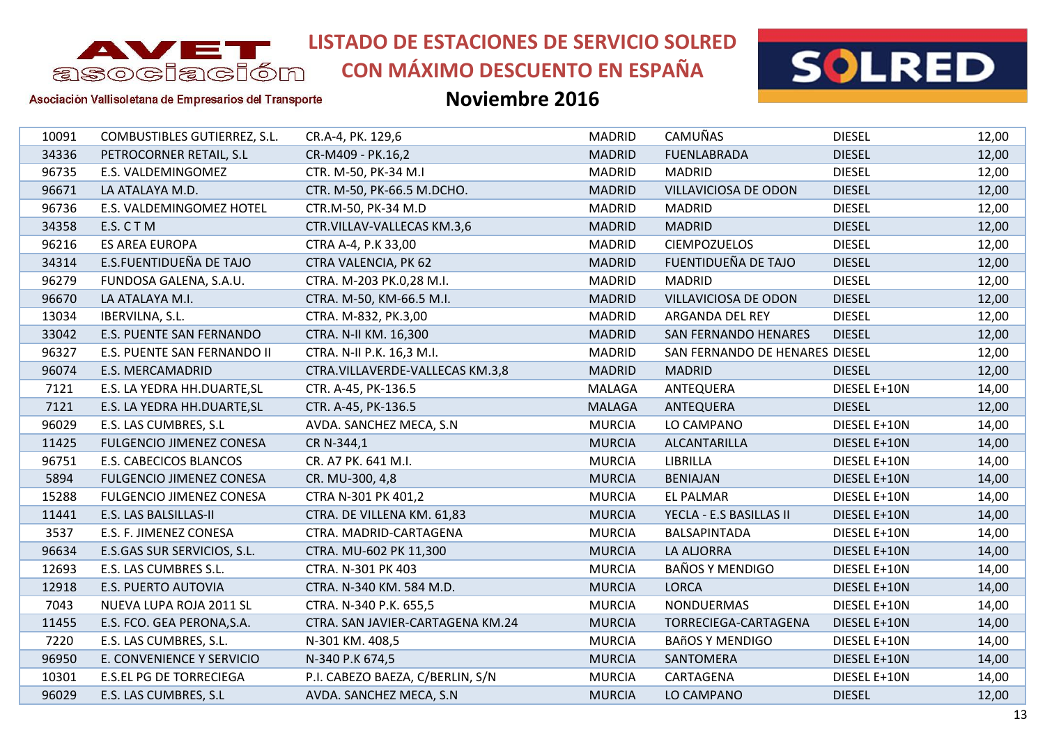

**CON MÁXIMO DESCUENTO EN ESPAÑA**



Asociación Vallisoletana de Empresarios del Transporte

| 10091 | COMBUSTIBLES GUTIERREZ, S.L.    | CR.A-4, PK. 129,6                | <b>MADRID</b> | <b>CAMUÑAS</b>                 | <b>DIESEL</b> | 12,00 |
|-------|---------------------------------|----------------------------------|---------------|--------------------------------|---------------|-------|
| 34336 | PETROCORNER RETAIL, S.L         | CR-M409 - PK.16,2                | <b>MADRID</b> | <b>FUENLABRADA</b>             | <b>DIESEL</b> | 12,00 |
| 96735 | E.S. VALDEMINGOMEZ              | CTR. M-50, PK-34 M.I             | <b>MADRID</b> | <b>MADRID</b>                  | <b>DIESEL</b> | 12,00 |
| 96671 | LA ATALAYA M.D.                 | CTR. M-50, PK-66.5 M.DCHO.       | <b>MADRID</b> | VILLAVICIOSA DE ODON           | <b>DIESEL</b> | 12,00 |
| 96736 | E.S. VALDEMINGOMEZ HOTEL        | CTR.M-50, PK-34 M.D              | <b>MADRID</b> | <b>MADRID</b>                  | <b>DIESEL</b> | 12,00 |
| 34358 | E.S. CTM                        | CTR.VILLAV-VALLECAS KM.3,6       | <b>MADRID</b> | <b>MADRID</b>                  | <b>DIESEL</b> | 12,00 |
| 96216 | <b>ES AREA EUROPA</b>           | CTRA A-4, P.K 33,00              | <b>MADRID</b> | <b>CIEMPOZUELOS</b>            | <b>DIESEL</b> | 12,00 |
| 34314 | E.S.FUENTIDUEÑA DE TAJO         | CTRA VALENCIA, PK 62             | <b>MADRID</b> | FUENTIDUEÑA DE TAJO            | <b>DIESEL</b> | 12,00 |
| 96279 | FUNDOSA GALENA, S.A.U.          | CTRA. M-203 PK.0,28 M.I.         | <b>MADRID</b> | <b>MADRID</b>                  | <b>DIESEL</b> | 12,00 |
| 96670 | LA ATALAYA M.I.                 | CTRA. M-50, KM-66.5 M.I.         | <b>MADRID</b> | VILLAVICIOSA DE ODON           | <b>DIESEL</b> | 12,00 |
| 13034 | IBERVILNA, S.L.                 | CTRA. M-832, PK.3,00             | <b>MADRID</b> | ARGANDA DEL REY                | <b>DIESEL</b> | 12,00 |
| 33042 | E.S. PUENTE SAN FERNANDO        | CTRA. N-II KM. 16,300            | <b>MADRID</b> | SAN FERNANDO HENARES           | <b>DIESEL</b> | 12,00 |
| 96327 | E.S. PUENTE SAN FERNANDO II     | CTRA. N-II P.K. 16,3 M.I.        | <b>MADRID</b> | SAN FERNANDO DE HENARES DIESEL |               | 12,00 |
| 96074 | E.S. MERCAMADRID                | CTRA.VILLAVERDE-VALLECAS KM.3,8  | <b>MADRID</b> | <b>MADRID</b>                  | <b>DIESEL</b> | 12,00 |
| 7121  | E.S. LA YEDRA HH.DUARTE, SL     | CTR. A-45, PK-136.5              | MALAGA        | ANTEQUERA                      | DIESEL E+10N  | 14,00 |
| 7121  | E.S. LA YEDRA HH.DUARTE, SL     | CTR. A-45, PK-136.5              | <b>MALAGA</b> | ANTEQUERA                      | <b>DIESEL</b> | 12,00 |
| 96029 | E.S. LAS CUMBRES, S.L           | AVDA. SANCHEZ MECA, S.N          | <b>MURCIA</b> | LO CAMPANO                     | DIESEL E+10N  | 14,00 |
| 11425 | <b>FULGENCIO JIMENEZ CONESA</b> | CR N-344,1                       | <b>MURCIA</b> | ALCANTARILLA                   | DIESEL E+10N  | 14,00 |
| 96751 | E.S. CABECICOS BLANCOS          | CR. A7 PK. 641 M.I.              | <b>MURCIA</b> | LIBRILLA                       | DIESEL E+10N  | 14,00 |
| 5894  | <b>FULGENCIO JIMENEZ CONESA</b> | CR. MU-300, 4,8                  | <b>MURCIA</b> | <b>BENIAJAN</b>                | DIESEL E+10N  | 14,00 |
| 15288 | <b>FULGENCIO JIMENEZ CONESA</b> | CTRA N-301 PK 401,2              | <b>MURCIA</b> | <b>EL PALMAR</b>               | DIESEL E+10N  | 14,00 |
| 11441 | E.S. LAS BALSILLAS-II           | CTRA. DE VILLENA KM. 61,83       | <b>MURCIA</b> | YECLA - E.S BASILLAS II        | DIESEL E+10N  | 14,00 |
| 3537  | E.S. F. JIMENEZ CONESA          | CTRA. MADRID-CARTAGENA           | <b>MURCIA</b> | BALSAPINTADA                   | DIESEL E+10N  | 14,00 |
| 96634 | E.S.GAS SUR SERVICIOS, S.L.     | CTRA. MU-602 PK 11,300           | <b>MURCIA</b> | LA ALJORRA                     | DIESEL E+10N  | 14,00 |
| 12693 | E.S. LAS CUMBRES S.L.           | CTRA. N-301 PK 403               | <b>MURCIA</b> | <b>BAÑOS Y MENDIGO</b>         | DIESEL E+10N  | 14,00 |
| 12918 | E.S. PUERTO AUTOVIA             | CTRA. N-340 KM. 584 M.D.         | <b>MURCIA</b> | <b>LORCA</b>                   | DIESEL E+10N  | 14,00 |
| 7043  | NUEVA LUPA ROJA 2011 SL         | CTRA. N-340 P.K. 655,5           | <b>MURCIA</b> | <b>NONDUERMAS</b>              | DIESEL E+10N  | 14,00 |
| 11455 | E.S. FCO. GEA PERONA, S.A.      | CTRA. SAN JAVIER-CARTAGENA KM.24 | <b>MURCIA</b> | TORRECIEGA-CARTAGENA           | DIESEL E+10N  | 14,00 |
| 7220  | E.S. LAS CUMBRES, S.L.          | N-301 KM. 408,5                  | <b>MURCIA</b> | <b>BAñOS Y MENDIGO</b>         | DIESEL E+10N  | 14,00 |
| 96950 | E. CONVENIENCE Y SERVICIO       | N-340 P.K 674,5                  | <b>MURCIA</b> | SANTOMERA                      | DIESEL E+10N  | 14,00 |
| 10301 | E.S.EL PG DE TORRECIEGA         | P.I. CABEZO BAEZA, C/BERLIN, S/N | <b>MURCIA</b> | CARTAGENA                      | DIESEL E+10N  | 14,00 |
| 96029 | E.S. LAS CUMBRES, S.L           | AVDA. SANCHEZ MECA, S.N          | <b>MURCIA</b> | LO CAMPANO                     | <b>DIESEL</b> | 12,00 |
|       |                                 |                                  |               |                                |               |       |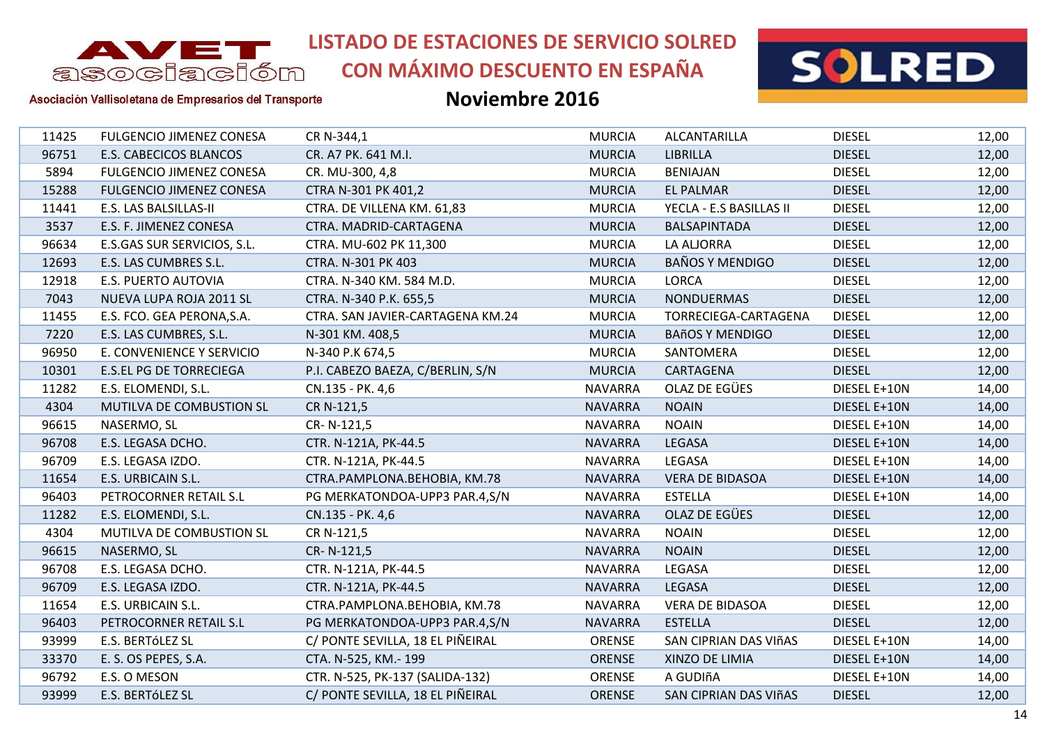

# **CON MÁXIMO DESCUENTO EN ESPAÑA**



Asociación Vallisoletana de Empresarios del Transporte

| 11425 | <b>FULGENCIO JIMENEZ CONESA</b> | CR N-344,1                       | <b>MURCIA</b>  | ALCANTARILLA            | <b>DIESEL</b> | 12,00 |
|-------|---------------------------------|----------------------------------|----------------|-------------------------|---------------|-------|
| 96751 | E.S. CABECICOS BLANCOS          | CR. A7 PK. 641 M.I.              | <b>MURCIA</b>  | <b>LIBRILLA</b>         | <b>DIESEL</b> | 12,00 |
| 5894  | <b>FULGENCIO JIMENEZ CONESA</b> | CR. MU-300, 4,8                  | <b>MURCIA</b>  | <b>BENIAJAN</b>         | <b>DIESEL</b> | 12,00 |
| 15288 | <b>FULGENCIO JIMENEZ CONESA</b> | CTRA N-301 PK 401,2              | <b>MURCIA</b>  | <b>EL PALMAR</b>        | <b>DIESEL</b> | 12,00 |
| 11441 | E.S. LAS BALSILLAS-II           | CTRA. DE VILLENA KM. 61,83       | <b>MURCIA</b>  | YECLA - E.S BASILLAS II | <b>DIESEL</b> | 12,00 |
| 3537  | E.S. F. JIMENEZ CONESA          | CTRA. MADRID-CARTAGENA           | <b>MURCIA</b>  | BALSAPINTADA            | <b>DIESEL</b> | 12,00 |
| 96634 | E.S.GAS SUR SERVICIOS, S.L.     | CTRA. MU-602 PK 11,300           | <b>MURCIA</b>  | LA ALJORRA              | <b>DIESEL</b> | 12,00 |
| 12693 | E.S. LAS CUMBRES S.L.           | CTRA. N-301 PK 403               | <b>MURCIA</b>  | <b>BAÑOS Y MENDIGO</b>  | <b>DIESEL</b> | 12,00 |
| 12918 | E.S. PUERTO AUTOVIA             | CTRA. N-340 KM. 584 M.D.         | <b>MURCIA</b>  | <b>LORCA</b>            | <b>DIESEL</b> | 12,00 |
| 7043  | NUEVA LUPA ROJA 2011 SL         | CTRA. N-340 P.K. 655,5           | <b>MURCIA</b>  | <b>NONDUERMAS</b>       | <b>DIESEL</b> | 12,00 |
| 11455 | E.S. FCO. GEA PERONA, S.A.      | CTRA. SAN JAVIER-CARTAGENA KM.24 | <b>MURCIA</b>  | TORRECIEGA-CARTAGENA    | <b>DIESEL</b> | 12,00 |
| 7220  | E.S. LAS CUMBRES, S.L.          | N-301 KM. 408,5                  | <b>MURCIA</b>  | <b>BAñOS Y MENDIGO</b>  | <b>DIESEL</b> | 12,00 |
| 96950 | E. CONVENIENCE Y SERVICIO       | N-340 P.K 674,5                  | <b>MURCIA</b>  | SANTOMERA               | <b>DIESEL</b> | 12,00 |
| 10301 | <b>E.S.EL PG DE TORRECIEGA</b>  | P.I. CABEZO BAEZA, C/BERLIN, S/N | <b>MURCIA</b>  | CARTAGENA               | <b>DIESEL</b> | 12,00 |
| 11282 | E.S. ELOMENDI, S.L.             | CN.135 - PK. 4,6                 | <b>NAVARRA</b> | OLAZ DE EGÜES           | DIESEL E+10N  | 14,00 |
| 4304  | MUTILVA DE COMBUSTION SL        | CR N-121,5                       | <b>NAVARRA</b> | <b>NOAIN</b>            | DIESEL E+10N  | 14,00 |
| 96615 | NASERMO, SL                     | CR-N-121,5                       | <b>NAVARRA</b> | <b>NOAIN</b>            | DIESEL E+10N  | 14,00 |
| 96708 | E.S. LEGASA DCHO.               | CTR. N-121A, PK-44.5             | <b>NAVARRA</b> | LEGASA                  | DIESEL E+10N  | 14,00 |
| 96709 | E.S. LEGASA IZDO.               | CTR. N-121A, PK-44.5             | <b>NAVARRA</b> | LEGASA                  | DIESEL E+10N  | 14,00 |
| 11654 | E.S. URBICAIN S.L.              | CTRA.PAMPLONA.BEHOBIA, KM.78     | <b>NAVARRA</b> | <b>VERA DE BIDASOA</b>  | DIESEL E+10N  | 14,00 |
| 96403 | PETROCORNER RETAIL S.L          | PG MERKATONDOA-UPP3 PAR.4,S/N    | <b>NAVARRA</b> | <b>ESTELLA</b>          | DIESEL E+10N  | 14,00 |
| 11282 | E.S. ELOMENDI, S.L.             | CN.135 - PK. 4,6                 | <b>NAVARRA</b> | OLAZ DE EGÜES           | <b>DIESEL</b> | 12,00 |
| 4304  | MUTILVA DE COMBUSTION SL        | CR N-121,5                       | <b>NAVARRA</b> | <b>NOAIN</b>            | <b>DIESEL</b> | 12,00 |
| 96615 | NASERMO, SL                     | CR-N-121,5                       | <b>NAVARRA</b> | <b>NOAIN</b>            | <b>DIESEL</b> | 12,00 |
| 96708 | E.S. LEGASA DCHO.               | CTR. N-121A, PK-44.5             | <b>NAVARRA</b> | LEGASA                  | <b>DIESEL</b> | 12,00 |
| 96709 | E.S. LEGASA IZDO.               | CTR. N-121A, PK-44.5             | <b>NAVARRA</b> | LEGASA                  | <b>DIESEL</b> | 12,00 |
| 11654 | E.S. URBICAIN S.L.              | CTRA.PAMPLONA.BEHOBIA, KM.78     | <b>NAVARRA</b> | <b>VERA DE BIDASOA</b>  | <b>DIESEL</b> | 12,00 |
| 96403 | PETROCORNER RETAIL S.L          | PG MERKATONDOA-UPP3 PAR.4,S/N    | <b>NAVARRA</b> | <b>ESTELLA</b>          | <b>DIESEL</b> | 12,00 |
| 93999 | E.S. BERTÓLEZ SL                | C/ PONTE SEVILLA, 18 EL PIÑEIRAL | ORENSE         | SAN CIPRIAN DAS VIñAS   | DIESEL E+10N  | 14,00 |
| 33370 | E. S. OS PEPES, S.A.            | CTA. N-525, KM.- 199             | ORENSE         | XINZO DE LIMIA          | DIESEL E+10N  | 14,00 |
| 96792 | E.S. O MESON                    | CTR. N-525, PK-137 (SALIDA-132)  | ORENSE         | A GUDIñA                | DIESEL E+10N  | 14,00 |
| 93999 | E.S. BERTÓLEZ SL                | C/ PONTE SEVILLA, 18 EL PIÑEIRAL | <b>ORENSE</b>  | SAN CIPRIAN DAS VIñAS   | <b>DIESEL</b> | 12,00 |
|       |                                 |                                  |                |                         |               |       |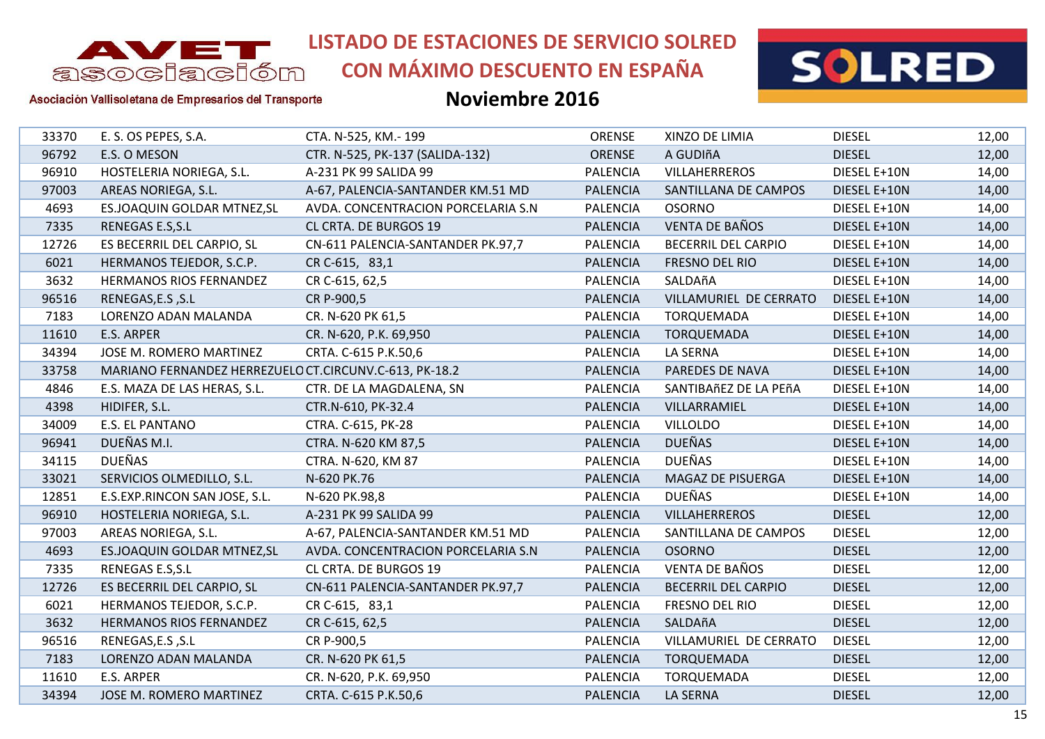

**CON MÁXIMO DESCUENTO EN ESPAÑA**



#### Asociación Vallisoletana de Empresarios del Transporte

| 33370 | E. S. OS PEPES, S.A.                                   | CTA. N-525, KM.- 199                | <b>ORENSE</b>   | XINZO DE LIMIA             | <b>DIESEL</b> | 12,00 |
|-------|--------------------------------------------------------|-------------------------------------|-----------------|----------------------------|---------------|-------|
| 96792 | E.S. O MESON                                           | CTR. N-525, PK-137 (SALIDA-132)     | ORENSE          | A GUDIñA                   | <b>DIESEL</b> | 12,00 |
| 96910 | HOSTELERIA NORIEGA, S.L.                               | A-231 PK 99 SALIDA 99               | <b>PALENCIA</b> | <b>VILLAHERREROS</b>       | DIESEL E+10N  | 14,00 |
| 97003 | AREAS NORIEGA, S.L.                                    | A-67, PALENCIA-SANTANDER KM.51 MD   | <b>PALENCIA</b> | SANTILLANA DE CAMPOS       | DIESEL E+10N  | 14,00 |
| 4693  | ES.JOAQUIN GOLDAR MTNEZ, SL                            | AVDA. CONCENTRACION PORCELARIA S.N. | <b>PALENCIA</b> | <b>OSORNO</b>              | DIESEL E+10N  | 14,00 |
| 7335  | RENEGAS E.S, S.L                                       | CL CRTA. DE BURGOS 19               | <b>PALENCIA</b> | <b>VENTA DE BAÑOS</b>      | DIESEL E+10N  | 14,00 |
| 12726 | ES BECERRIL DEL CARPIO, SL                             | CN-611 PALENCIA-SANTANDER PK.97,7   | <b>PALENCIA</b> | <b>BECERRIL DEL CARPIO</b> | DIESEL E+10N  | 14,00 |
| 6021  | HERMANOS TEJEDOR, S.C.P.                               | CR C-615, 83,1                      | <b>PALENCIA</b> | FRESNO DEL RIO             | DIESEL E+10N  | 14,00 |
| 3632  | <b>HERMANOS RIOS FERNANDEZ</b>                         | CR C-615, 62,5                      | <b>PALENCIA</b> | SALDAñA                    | DIESEL E+10N  | 14,00 |
| 96516 | RENEGAS, E.S, S.L                                      | CR P-900,5                          | <b>PALENCIA</b> | VILLAMURIEL DE CERRATO     | DIESEL E+10N  | 14,00 |
| 7183  | LORENZO ADAN MALANDA                                   | CR. N-620 PK 61,5                   | <b>PALENCIA</b> | <b>TORQUEMADA</b>          | DIESEL E+10N  | 14,00 |
| 11610 | E.S. ARPER                                             | CR. N-620, P.K. 69,950              | <b>PALENCIA</b> | <b>TORQUEMADA</b>          | DIESEL E+10N  | 14,00 |
| 34394 | JOSE M. ROMERO MARTINEZ                                | CRTA. C-615 P.K.50,6                | <b>PALENCIA</b> | LA SERNA                   | DIESEL E+10N  | 14,00 |
| 33758 | MARIANO FERNANDEZ HERREZUELO CT.CIRCUNV.C-613, PK-18.2 |                                     | <b>PALENCIA</b> | PAREDES DE NAVA            | DIESEL E+10N  | 14,00 |
| 4846  | E.S. MAZA DE LAS HERAS, S.L.                           | CTR. DE LA MAGDALENA, SN            | <b>PALENCIA</b> | SANTIBAñEZ DE LA PEñA      | DIESEL E+10N  | 14,00 |
| 4398  | HIDIFER, S.L.                                          | CTR.N-610, PK-32.4                  | <b>PALENCIA</b> | VILLARRAMIEL               | DIESEL E+10N  | 14,00 |
| 34009 | E.S. EL PANTANO                                        | CTRA. C-615, PK-28                  | <b>PALENCIA</b> | <b>VILLOLDO</b>            | DIESEL E+10N  | 14,00 |
| 96941 | DUEÑAS M.I.                                            | CTRA. N-620 KM 87,5                 | <b>PALENCIA</b> | <b>DUEÑAS</b>              | DIESEL E+10N  | 14,00 |
| 34115 | <b>DUEÑAS</b>                                          | CTRA. N-620, KM 87                  | <b>PALENCIA</b> | <b>DUEÑAS</b>              | DIESEL E+10N  | 14,00 |
| 33021 | SERVICIOS OLMEDILLO, S.L.                              | N-620 PK.76                         | <b>PALENCIA</b> | MAGAZ DE PISUERGA          | DIESEL E+10N  | 14,00 |
| 12851 | E.S.EXP.RINCON SAN JOSE, S.L.                          | N-620 PK.98,8                       | <b>PALENCIA</b> | <b>DUEÑAS</b>              | DIESEL E+10N  | 14,00 |
| 96910 | HOSTELERIA NORIEGA, S.L.                               | A-231 PK 99 SALIDA 99               | <b>PALENCIA</b> | <b>VILLAHERREROS</b>       | <b>DIESEL</b> | 12,00 |
| 97003 | AREAS NORIEGA, S.L.                                    | A-67, PALENCIA-SANTANDER KM.51 MD   | <b>PALENCIA</b> | SANTILLANA DE CAMPOS       | <b>DIESEL</b> | 12,00 |
| 4693  | ES.JOAQUIN GOLDAR MTNEZ, SL                            | AVDA. CONCENTRACION PORCELARIA S.N  | <b>PALENCIA</b> | <b>OSORNO</b>              | <b>DIESEL</b> | 12,00 |
| 7335  | RENEGAS E.S, S.L                                       | CL CRTA. DE BURGOS 19               | <b>PALENCIA</b> | <b>VENTA DE BAÑOS</b>      | <b>DIESEL</b> | 12,00 |
| 12726 | ES BECERRIL DEL CARPIO, SL                             | CN-611 PALENCIA-SANTANDER PK.97,7   | <b>PALENCIA</b> | <b>BECERRIL DEL CARPIO</b> | <b>DIESEL</b> | 12,00 |
| 6021  | HERMANOS TEJEDOR, S.C.P.                               | CR C-615, 83,1                      | <b>PALENCIA</b> | FRESNO DEL RIO             | <b>DIESEL</b> | 12,00 |
| 3632  | <b>HERMANOS RIOS FERNANDEZ</b>                         | CR C-615, 62,5                      | <b>PALENCIA</b> | SALDAñA                    | <b>DIESEL</b> | 12,00 |
| 96516 | RENEGAS, E.S , S.L                                     | CR P-900,5                          | <b>PALENCIA</b> | VILLAMURIEL DE CERRATO     | <b>DIESEL</b> | 12,00 |
| 7183  | LORENZO ADAN MALANDA                                   | CR. N-620 PK 61,5                   | <b>PALENCIA</b> | <b>TORQUEMADA</b>          | <b>DIESEL</b> | 12,00 |
| 11610 | E.S. ARPER                                             | CR. N-620, P.K. 69,950              | <b>PALENCIA</b> | <b>TORQUEMADA</b>          | <b>DIESEL</b> | 12,00 |
| 34394 | JOSE M. ROMERO MARTINEZ                                | CRTA. C-615 P.K.50,6                | <b>PALENCIA</b> | <b>LA SERNA</b>            | <b>DIESEL</b> | 12,00 |
|       |                                                        |                                     |                 |                            |               |       |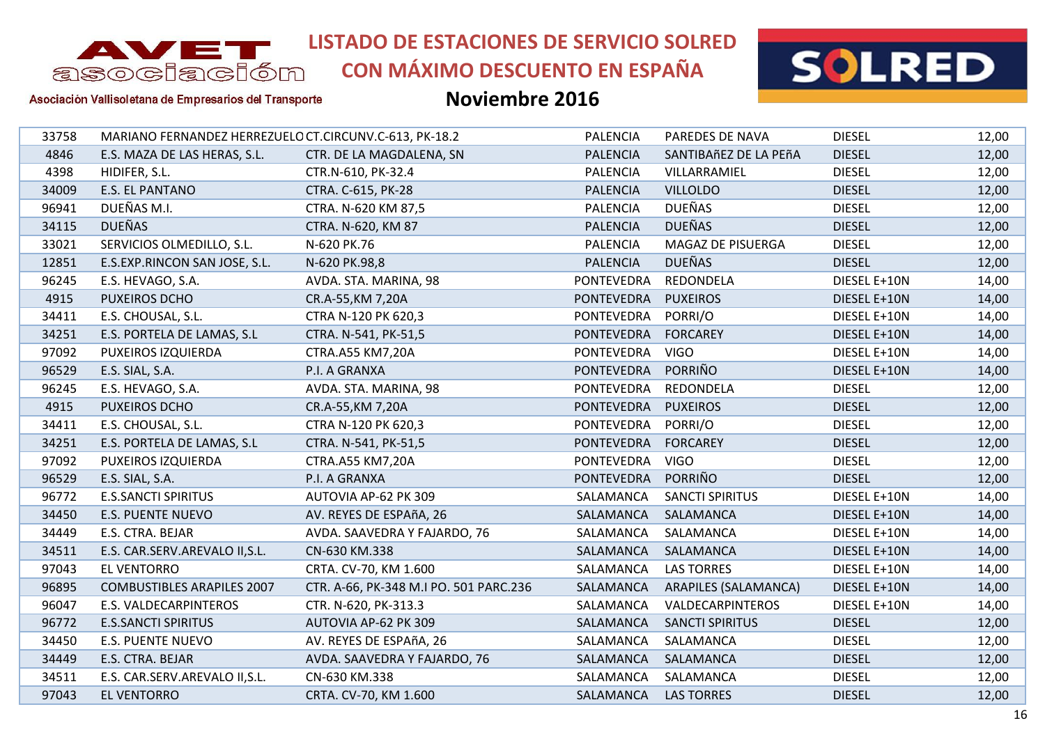

# **CON MÁXIMO DESCUENTO EN ESPAÑA**



Asociación Vallisoletana de Empresarios del Transporte

| 33758 | MARIANO FERNANDEZ HERREZUELO CT.CIRCUNV.C-613, PK-18.2 |                                        | <b>PALENCIA</b>     | PAREDES DE NAVA             | <b>DIESEL</b> | 12,00 |
|-------|--------------------------------------------------------|----------------------------------------|---------------------|-----------------------------|---------------|-------|
| 4846  | E.S. MAZA DE LAS HERAS, S.L.                           | CTR. DE LA MAGDALENA, SN               | <b>PALENCIA</b>     | SANTIBAñEZ DE LA PEñA       | <b>DIESEL</b> | 12,00 |
| 4398  | HIDIFER, S.L.                                          | CTR.N-610, PK-32.4                     | <b>PALENCIA</b>     | VILLARRAMIEL                | <b>DIESEL</b> | 12,00 |
| 34009 | <b>E.S. EL PANTANO</b>                                 | CTRA. C-615, PK-28                     | <b>PALENCIA</b>     | <b>VILLOLDO</b>             | <b>DIESEL</b> | 12,00 |
| 96941 | DUEÑAS M.I.                                            | CTRA. N-620 KM 87,5                    | <b>PALENCIA</b>     | <b>DUEÑAS</b>               | <b>DIESEL</b> | 12,00 |
| 34115 | <b>DUEÑAS</b>                                          | CTRA. N-620, KM 87                     | <b>PALENCIA</b>     | <b>DUEÑAS</b>               | <b>DIESEL</b> | 12,00 |
| 33021 | SERVICIOS OLMEDILLO, S.L.                              | N-620 PK.76                            | <b>PALENCIA</b>     | MAGAZ DE PISUERGA           | <b>DIESEL</b> | 12,00 |
| 12851 | E.S.EXP.RINCON SAN JOSE, S.L.                          | N-620 PK.98,8                          | <b>PALENCIA</b>     | <b>DUEÑAS</b>               | <b>DIESEL</b> | 12,00 |
| 96245 | E.S. HEVAGO, S.A.                                      | AVDA. STA. MARINA, 98                  | PONTEVEDRA          | REDONDELA                   | DIESEL E+10N  | 14,00 |
| 4915  | PUXEIROS DCHO                                          | CR.A-55, KM 7, 20A                     | <b>PONTEVEDRA</b>   | <b>PUXEIROS</b>             | DIESEL E+10N  | 14,00 |
| 34411 | E.S. CHOUSAL, S.L.                                     | CTRA N-120 PK 620,3                    | PONTEVEDRA          | PORRI/O                     | DIESEL E+10N  | 14,00 |
| 34251 | E.S. PORTELA DE LAMAS, S.L                             | CTRA. N-541, PK-51,5                   | PONTEVEDRA FORCAREY |                             | DIESEL E+10N  | 14,00 |
| 97092 | PUXEIROS IZQUIERDA                                     | CTRA.A55 KM7,20A                       | PONTEVEDRA          | <b>VIGO</b>                 | DIESEL E+10N  | 14,00 |
| 96529 | E.S. SIAL, S.A.                                        | P.I. A GRANXA                          | <b>PONTEVEDRA</b>   | PORRIÑO                     | DIESEL E+10N  | 14,00 |
| 96245 | E.S. HEVAGO, S.A.                                      | AVDA. STA. MARINA, 98                  | PONTEVEDRA          | REDONDELA                   | <b>DIESEL</b> | 12,00 |
| 4915  | PUXEIROS DCHO                                          | CR.A-55, KM 7, 20A                     | <b>PONTEVEDRA</b>   | <b>PUXEIROS</b>             | <b>DIESEL</b> | 12,00 |
| 34411 | E.S. CHOUSAL, S.L.                                     | CTRA N-120 PK 620,3                    | PONTEVEDRA          | PORRI/O                     | <b>DIESEL</b> | 12,00 |
| 34251 | E.S. PORTELA DE LAMAS, S.L                             | CTRA. N-541, PK-51,5                   | PONTEVEDRA          | FORCAREY                    | <b>DIESEL</b> | 12,00 |
| 97092 | PUXEIROS IZQUIERDA                                     | CTRA.A55 KM7,20A                       | PONTEVEDRA          | <b>VIGO</b>                 | <b>DIESEL</b> | 12,00 |
| 96529 | E.S. SIAL, S.A.                                        | P.I. A GRANXA                          | <b>PONTEVEDRA</b>   | PORRIÑO                     | <b>DIESEL</b> | 12,00 |
| 96772 | <b>E.S.SANCTI SPIRITUS</b>                             | AUTOVIA AP-62 PK 309                   | SALAMANCA           | <b>SANCTI SPIRITUS</b>      | DIESEL E+10N  | 14,00 |
| 34450 | <b>E.S. PUENTE NUEVO</b>                               | AV. REYES DE ESPAñA, 26                | SALAMANCA           | SALAMANCA                   | DIESEL E+10N  | 14,00 |
| 34449 | E.S. CTRA. BEJAR                                       | AVDA. SAAVEDRA Y FAJARDO, 76           | SALAMANCA           | SALAMANCA                   | DIESEL E+10N  | 14,00 |
| 34511 | E.S. CAR.SERV.AREVALO II, S.L.                         | CN-630 KM.338                          | SALAMANCA           | SALAMANCA                   | DIESEL E+10N  | 14,00 |
| 97043 | EL VENTORRO                                            | CRTA. CV-70, KM 1.600                  | SALAMANCA           | <b>LAS TORRES</b>           | DIESEL E+10N  | 14,00 |
| 96895 | <b>COMBUSTIBLES ARAPILES 2007</b>                      | CTR. A-66, PK-348 M.I PO. 501 PARC.236 | SALAMANCA           | <b>ARAPILES (SALAMANCA)</b> | DIESEL E+10N  | 14,00 |
| 96047 | E.S. VALDECARPINTEROS                                  | CTR. N-620, PK-313.3                   | SALAMANCA           | VALDECARPINTEROS            | DIESEL E+10N  | 14,00 |
| 96772 | <b>E.S.SANCTI SPIRITUS</b>                             | AUTOVIA AP-62 PK 309                   | SALAMANCA           | <b>SANCTI SPIRITUS</b>      | <b>DIESEL</b> | 12,00 |
| 34450 | <b>E.S. PUENTE NUEVO</b>                               | AV. REYES DE ESPAñA, 26                | SALAMANCA           | SALAMANCA                   | <b>DIESEL</b> | 12,00 |
| 34449 | E.S. CTRA. BEJAR                                       | AVDA. SAAVEDRA Y FAJARDO, 76           | SALAMANCA           | SALAMANCA                   | <b>DIESEL</b> | 12,00 |
| 34511 | E.S. CAR.SERV.AREVALO II, S.L.                         | CN-630 KM.338                          | SALAMANCA           | SALAMANCA                   | <b>DIESEL</b> | 12,00 |
| 97043 | <b>EL VENTORRO</b>                                     | CRTA. CV-70, KM 1.600                  | SALAMANCA           | <b>LAS TORRES</b>           | <b>DIESEL</b> | 12,00 |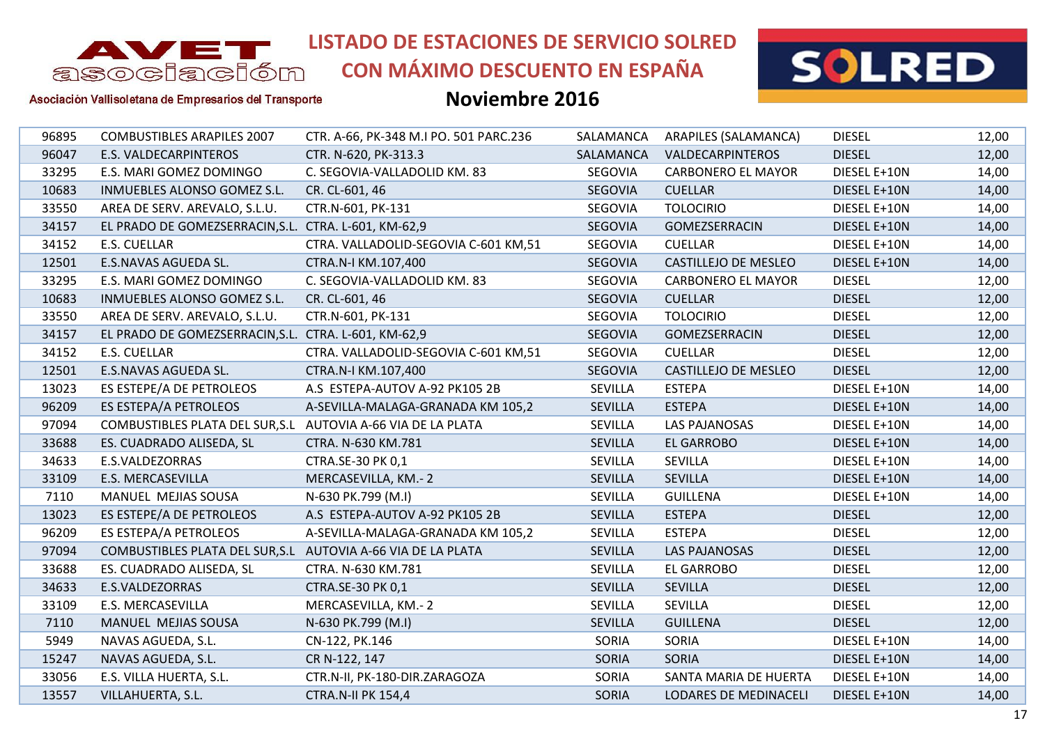

**CON MÁXIMO DESCUENTO EN ESPAÑA**



Asociación Vallisoletana de Empresarios del Transporte

| 96895 | <b>COMBUSTIBLES ARAPILES 2007</b>                            | CTR. A-66, PK-348 M.I PO. 501 PARC.236 | SALAMANCA      | ARAPILES (SALAMANCA)      | <b>DIESEL</b> | 12,00 |
|-------|--------------------------------------------------------------|----------------------------------------|----------------|---------------------------|---------------|-------|
| 96047 | <b>E.S. VALDECARPINTEROS</b>                                 | CTR. N-620, PK-313.3                   | SALAMANCA      | VALDECARPINTEROS          | <b>DIESEL</b> | 12,00 |
| 33295 | E.S. MARI GOMEZ DOMINGO                                      | C. SEGOVIA-VALLADOLID KM. 83           | SEGOVIA        | <b>CARBONERO EL MAYOR</b> | DIESEL E+10N  | 14,00 |
| 10683 | INMUEBLES ALONSO GOMEZ S.L.                                  | CR. CL-601, 46                         | SEGOVIA        | <b>CUELLAR</b>            | DIESEL E+10N  | 14,00 |
| 33550 | AREA DE SERV. AREVALO, S.L.U.                                | CTR.N-601, PK-131                      | SEGOVIA        | <b>TOLOCIRIO</b>          | DIESEL E+10N  | 14,00 |
| 34157 | EL PRADO DE GOMEZSERRACIN, S.L. CTRA. L-601, KM-62, 9        |                                        | SEGOVIA        | GOMEZSERRACIN             | DIESEL E+10N  | 14,00 |
| 34152 | E.S. CUELLAR                                                 | CTRA. VALLADOLID-SEGOVIA C-601 KM,51   | SEGOVIA        | <b>CUELLAR</b>            | DIESEL E+10N  | 14,00 |
| 12501 | E.S.NAVAS AGUEDA SL.                                         | CTRA.N-I KM.107,400                    | SEGOVIA        | CASTILLEJO DE MESLEO      | DIESEL E+10N  | 14,00 |
| 33295 | E.S. MARI GOMEZ DOMINGO                                      | C. SEGOVIA-VALLADOLID KM. 83           | SEGOVIA        | <b>CARBONERO EL MAYOR</b> | <b>DIESEL</b> | 12,00 |
| 10683 | INMUEBLES ALONSO GOMEZ S.L.                                  | CR. CL-601, 46                         | SEGOVIA        | <b>CUELLAR</b>            | <b>DIESEL</b> | 12,00 |
| 33550 | AREA DE SERV. AREVALO, S.L.U.                                | CTR.N-601, PK-131                      | SEGOVIA        | <b>TOLOCIRIO</b>          | <b>DIESEL</b> | 12,00 |
| 34157 | EL PRADO DE GOMEZSERRACIN, S.L. CTRA. L-601, KM-62, 9        |                                        | SEGOVIA        | GOMEZSERRACIN             | <b>DIESEL</b> | 12,00 |
| 34152 | <b>E.S. CUELLAR</b>                                          | CTRA. VALLADOLID-SEGOVIA C-601 KM,51   | SEGOVIA        | <b>CUELLAR</b>            | <b>DIESEL</b> | 12,00 |
| 12501 | E.S.NAVAS AGUEDA SL.                                         | CTRA.N-I KM.107,400                    | SEGOVIA        | CASTILLEJO DE MESLEO      | <b>DIESEL</b> | 12,00 |
| 13023 | ES ESTEPE/A DE PETROLEOS                                     | A.S ESTEPA-AUTOV A-92 PK105 2B         | SEVILLA        | <b>ESTEPA</b>             | DIESEL E+10N  | 14,00 |
| 96209 | ES ESTEPA/A PETROLEOS                                        | A-SEVILLA-MALAGA-GRANADA KM 105,2      | <b>SEVILLA</b> | <b>ESTEPA</b>             | DIESEL E+10N  | 14,00 |
| 97094 | COMBUSTIBLES PLATA DEL SUR, S.L AUTOVIA A-66 VIA DE LA PLATA |                                        | <b>SEVILLA</b> | LAS PAJANOSAS             | DIESEL E+10N  | 14,00 |
| 33688 | ES. CUADRADO ALISEDA, SL                                     | CTRA. N-630 KM.781                     | <b>SEVILLA</b> | <b>EL GARROBO</b>         | DIESEL E+10N  | 14,00 |
| 34633 | E.S.VALDEZORRAS                                              | CTRA.SE-30 PK 0,1                      | SEVILLA        | SEVILLA                   | DIESEL E+10N  | 14,00 |
| 33109 | E.S. MERCASEVILLA                                            | MERCASEVILLA, KM.-2                    | <b>SEVILLA</b> | <b>SEVILLA</b>            | DIESEL E+10N  | 14,00 |
| 7110  | MANUEL MEJIAS SOUSA                                          | N-630 PK.799 (M.I)                     | <b>SEVILLA</b> | <b>GUILLENA</b>           | DIESEL E+10N  | 14,00 |
| 13023 | ES ESTEPE/A DE PETROLEOS                                     | A.S ESTEPA-AUTOV A-92 PK105 2B         | <b>SEVILLA</b> | <b>ESTEPA</b>             | <b>DIESEL</b> | 12,00 |
| 96209 | ES ESTEPA/A PETROLEOS                                        | A-SEVILLA-MALAGA-GRANADA KM 105,2      | <b>SEVILLA</b> | <b>ESTEPA</b>             | <b>DIESEL</b> | 12,00 |
| 97094 | COMBUSTIBLES PLATA DEL SUR, S.L AUTOVIA A-66 VIA DE LA PLATA |                                        | <b>SEVILLA</b> | <b>LAS PAJANOSAS</b>      | <b>DIESEL</b> | 12,00 |
| 33688 | ES. CUADRADO ALISEDA, SL                                     | CTRA. N-630 KM.781                     | SEVILLA        | EL GARROBO                | <b>DIESEL</b> | 12,00 |
| 34633 | E.S.VALDEZORRAS                                              | CTRA.SE-30 PK 0,1                      | <b>SEVILLA</b> | <b>SEVILLA</b>            | <b>DIESEL</b> | 12,00 |
| 33109 | E.S. MERCASEVILLA                                            | MERCASEVILLA, KM.-2                    | <b>SEVILLA</b> | <b>SEVILLA</b>            | <b>DIESEL</b> | 12,00 |
| 7110  | MANUEL MEJIAS SOUSA                                          | N-630 PK.799 (M.I)                     | SEVILLA        | <b>GUILLENA</b>           | <b>DIESEL</b> | 12,00 |
| 5949  | NAVAS AGUEDA, S.L.                                           | CN-122, PK.146                         | SORIA          | SORIA                     | DIESEL E+10N  | 14,00 |
| 15247 | NAVAS AGUEDA, S.L.                                           | CR N-122, 147                          | <b>SORIA</b>   | <b>SORIA</b>              | DIESEL E+10N  | 14,00 |
| 33056 | E.S. VILLA HUERTA, S.L.                                      | CTR.N-II, PK-180-DIR.ZARAGOZA          | SORIA          | SANTA MARIA DE HUERTA     | DIESEL E+10N  | 14,00 |
| 13557 | VILLAHUERTA, S.L.                                            | <b>CTRA.N-II PK 154,4</b>              | <b>SORIA</b>   | LODARES DE MEDINACELI     | DIESEL E+10N  | 14,00 |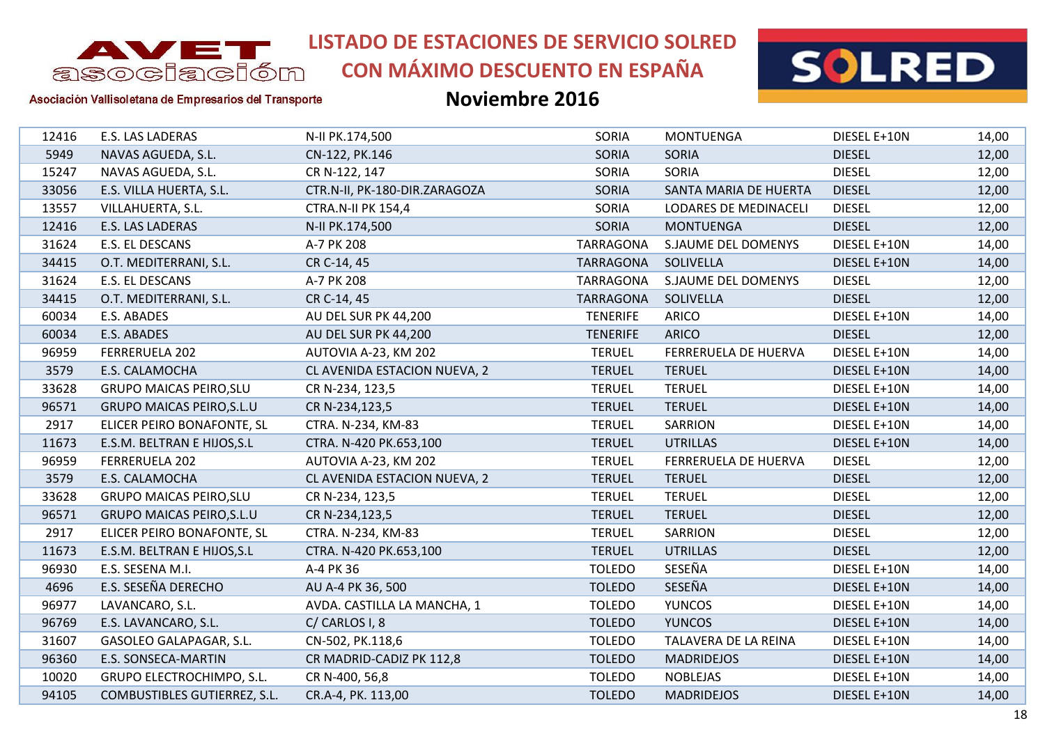

# **CON MÁXIMO DESCUENTO EN ESPAÑA**



Asociación Vallisoletana de Empresarios del Transporte

| 12416 | E.S. LAS LADERAS                    | N-II PK.174,500               | SORIA            | <b>MONTUENGA</b>            | DIESEL E+10N  | 14,00 |
|-------|-------------------------------------|-------------------------------|------------------|-----------------------------|---------------|-------|
| 5949  | NAVAS AGUEDA, S.L.                  | CN-122, PK.146                | SORIA            | <b>SORIA</b>                | <b>DIESEL</b> | 12,00 |
| 15247 | NAVAS AGUEDA, S.L.                  | CR N-122, 147                 | SORIA            | SORIA                       | <b>DIESEL</b> | 12,00 |
| 33056 | E.S. VILLA HUERTA, S.L.             | CTR.N-II, PK-180-DIR.ZARAGOZA | SORIA            | SANTA MARIA DE HUERTA       | <b>DIESEL</b> | 12,00 |
| 13557 | VILLAHUERTA, S.L.                   | <b>CTRA.N-II PK 154,4</b>     | SORIA            | LODARES DE MEDINACELI       | <b>DIESEL</b> | 12,00 |
| 12416 | E.S. LAS LADERAS                    | N-II PK.174,500               | SORIA            | <b>MONTUENGA</b>            | <b>DIESEL</b> | 12,00 |
| 31624 | E.S. EL DESCANS                     | A-7 PK 208                    | <b>TARRAGONA</b> | <b>S.JAUME DEL DOMENYS</b>  | DIESEL E+10N  | 14,00 |
| 34415 | O.T. MEDITERRANI, S.L.              | CR C-14, 45                   | <b>TARRAGONA</b> | SOLIVELLA                   | DIESEL E+10N  | 14,00 |
| 31624 | E.S. EL DESCANS                     | A-7 PK 208                    | <b>TARRAGONA</b> | S.JAUME DEL DOMENYS         | <b>DIESEL</b> | 12,00 |
| 34415 | O.T. MEDITERRANI, S.L.              | CR C-14, 45                   | <b>TARRAGONA</b> | SOLIVELLA                   | <b>DIESEL</b> | 12,00 |
| 60034 | E.S. ABADES                         | AU DEL SUR PK 44,200          | <b>TENERIFE</b>  | ARICO                       | DIESEL E+10N  | 14,00 |
| 60034 | E.S. ABADES                         | AU DEL SUR PK 44,200          | <b>TENERIFE</b>  | <b>ARICO</b>                | <b>DIESEL</b> | 12,00 |
| 96959 | FERRERUELA 202                      | AUTOVIA A-23, KM 202          | <b>TERUEL</b>    | FERRERUELA DE HUERVA        | DIESEL E+10N  | 14,00 |
| 3579  | E.S. CALAMOCHA                      | CL AVENIDA ESTACION NUEVA, 2  | <b>TERUEL</b>    | <b>TERUEL</b>               | DIESEL E+10N  | 14,00 |
| 33628 | <b>GRUPO MAICAS PEIRO, SLU</b>      | CR N-234, 123,5               | <b>TERUEL</b>    | <b>TERUEL</b>               | DIESEL E+10N  | 14,00 |
| 96571 | <b>GRUPO MAICAS PEIRO, S.L.U</b>    | CR N-234,123,5                | <b>TERUEL</b>    | <b>TERUEL</b>               | DIESEL E+10N  | 14,00 |
| 2917  | ELICER PEIRO BONAFONTE, SL          | CTRA. N-234, KM-83            | <b>TERUEL</b>    | <b>SARRION</b>              | DIESEL E+10N  | 14,00 |
| 11673 | E.S.M. BELTRAN E HIJOS, S.L         | CTRA. N-420 PK.653,100        | <b>TERUEL</b>    | <b>UTRILLAS</b>             | DIESEL E+10N  | 14,00 |
| 96959 | FERRERUELA 202                      | AUTOVIA A-23, KM 202          | <b>TERUEL</b>    | <b>FERRERUELA DE HUERVA</b> | <b>DIESEL</b> | 12,00 |
| 3579  | E.S. CALAMOCHA                      | CL AVENIDA ESTACION NUEVA, 2  | <b>TERUEL</b>    | <b>TERUEL</b>               | <b>DIESEL</b> | 12,00 |
| 33628 | <b>GRUPO MAICAS PEIRO, SLU</b>      | CR N-234, 123,5               | <b>TERUEL</b>    | <b>TERUEL</b>               | <b>DIESEL</b> | 12,00 |
| 96571 | <b>GRUPO MAICAS PEIRO, S.L.U</b>    | CR N-234,123,5                | <b>TERUEL</b>    | <b>TERUEL</b>               | <b>DIESEL</b> | 12,00 |
| 2917  | ELICER PEIRO BONAFONTE, SL          | CTRA. N-234, KM-83            | <b>TERUEL</b>    | <b>SARRION</b>              | <b>DIESEL</b> | 12,00 |
| 11673 | E.S.M. BELTRAN E HIJOS, S.L         | CTRA. N-420 PK.653,100        | <b>TERUEL</b>    | <b>UTRILLAS</b>             | <b>DIESEL</b> | 12,00 |
| 96930 | E.S. SESENA M.I.                    | A-4 PK 36                     | <b>TOLEDO</b>    | SESEÑA                      | DIESEL E+10N  | 14,00 |
| 4696  | E.S. SESEÑA DERECHO                 | AU A-4 PK 36, 500             | <b>TOLEDO</b>    | SESEÑA                      | DIESEL E+10N  | 14,00 |
| 96977 | LAVANCARO, S.L.                     | AVDA. CASTILLA LA MANCHA, 1   | <b>TOLEDO</b>    | <b>YUNCOS</b>               | DIESEL E+10N  | 14,00 |
| 96769 | E.S. LAVANCARO, S.L.                | C/CARLOS I, 8                 | <b>TOLEDO</b>    | <b>YUNCOS</b>               | DIESEL E+10N  | 14,00 |
| 31607 | GASOLEO GALAPAGAR, S.L.             | CN-502, PK.118,6              | <b>TOLEDO</b>    | TALAVERA DE LA REINA        | DIESEL E+10N  | 14,00 |
| 96360 | E.S. SONSECA-MARTIN                 | CR MADRID-CADIZ PK 112,8      | <b>TOLEDO</b>    | <b>MADRIDEJOS</b>           | DIESEL E+10N  | 14,00 |
| 10020 | GRUPO ELECTROCHIMPO, S.L.           | CR N-400, 56,8                | <b>TOLEDO</b>    | <b>NOBLEJAS</b>             | DIESEL E+10N  | 14,00 |
| 94105 | <b>COMBUSTIBLES GUTIERREZ, S.L.</b> | CR.A-4, PK. 113,00            | <b>TOLEDO</b>    | <b>MADRIDEJOS</b>           | DIESEL E+10N  | 14,00 |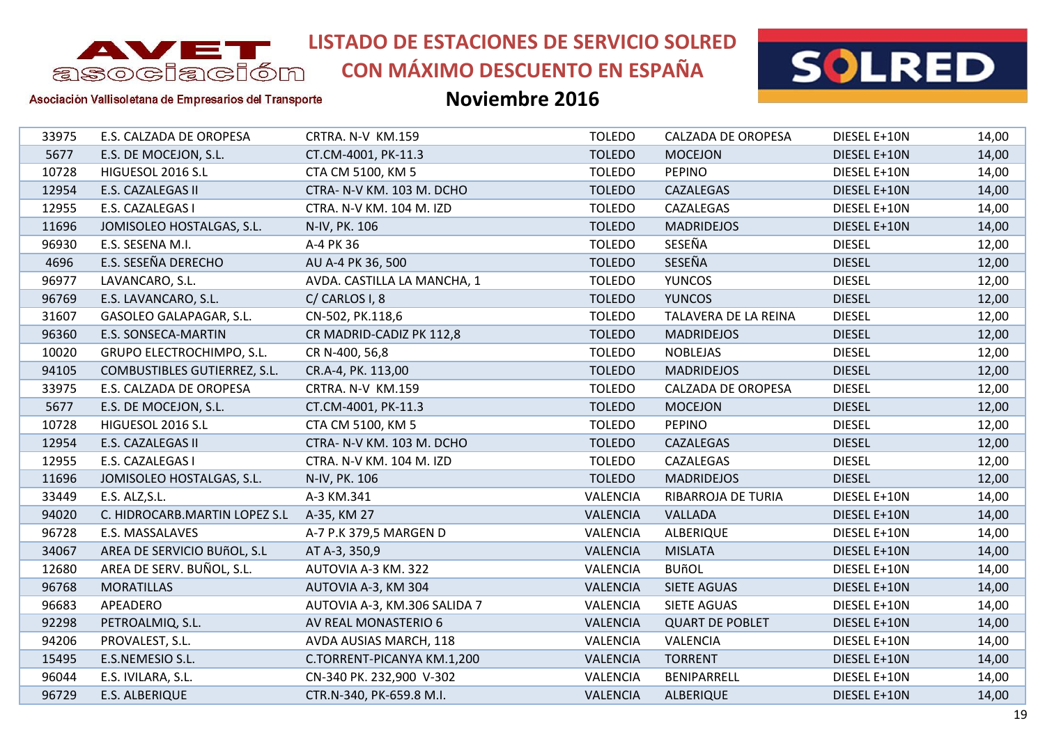

# **CON MÁXIMO DESCUENTO EN ESPAÑA**



#### Asociación Vallisoletana de Empresarios del Transporte

| 33975 | E.S. CALZADA DE OROPESA       | CRTRA. N-V KM.159            | <b>TOLEDO</b>   | CALZADA DE OROPESA     | DIESEL E+10N  | 14,00 |
|-------|-------------------------------|------------------------------|-----------------|------------------------|---------------|-------|
| 5677  | E.S. DE MOCEJON, S.L.         | CT.CM-4001, PK-11.3          | <b>TOLEDO</b>   | <b>MOCEJON</b>         | DIESEL E+10N  | 14,00 |
| 10728 | HIGUESOL 2016 S.L             | CTA CM 5100, KM 5            | <b>TOLEDO</b>   | <b>PEPINO</b>          | DIESEL E+10N  | 14,00 |
| 12954 | E.S. CAZALEGAS II             | CTRA- N-V KM. 103 M. DCHO    | <b>TOLEDO</b>   | CAZALEGAS              | DIESEL E+10N  | 14,00 |
| 12955 | E.S. CAZALEGAS I              | CTRA. N-V KM. 104 M. IZD     | <b>TOLEDO</b>   | CAZALEGAS              | DIESEL E+10N  | 14,00 |
| 11696 | JOMISOLEO HOSTALGAS, S.L.     | N-IV, PK. 106                | <b>TOLEDO</b>   | <b>MADRIDEJOS</b>      | DIESEL E+10N  | 14,00 |
| 96930 | E.S. SESENA M.I.              | A-4 PK 36                    | <b>TOLEDO</b>   | SESEÑA                 | <b>DIESEL</b> | 12,00 |
| 4696  | E.S. SESEÑA DERECHO           | AU A-4 PK 36, 500            | <b>TOLEDO</b>   | SESEÑA                 | <b>DIESEL</b> | 12,00 |
| 96977 | LAVANCARO, S.L.               | AVDA. CASTILLA LA MANCHA, 1  | <b>TOLEDO</b>   | <b>YUNCOS</b>          | <b>DIESEL</b> | 12,00 |
| 96769 | E.S. LAVANCARO, S.L.          | C/CARLOS I, 8                | <b>TOLEDO</b>   | <b>YUNCOS</b>          | <b>DIESEL</b> | 12,00 |
| 31607 | GASOLEO GALAPAGAR, S.L.       | CN-502, PK.118,6             | <b>TOLEDO</b>   | TALAVERA DE LA REINA   | <b>DIESEL</b> | 12,00 |
| 96360 | E.S. SONSECA-MARTIN           | CR MADRID-CADIZ PK 112,8     | <b>TOLEDO</b>   | <b>MADRIDEJOS</b>      | <b>DIESEL</b> | 12,00 |
| 10020 | GRUPO ELECTROCHIMPO, S.L.     | CR N-400, 56,8               | <b>TOLEDO</b>   | <b>NOBLEJAS</b>        | <b>DIESEL</b> | 12,00 |
| 94105 | COMBUSTIBLES GUTIERREZ, S.L.  | CR.A-4, PK. 113,00           | <b>TOLEDO</b>   | <b>MADRIDEJOS</b>      | <b>DIESEL</b> | 12,00 |
| 33975 | E.S. CALZADA DE OROPESA       | CRTRA. N-V KM.159            | <b>TOLEDO</b>   | CALZADA DE OROPESA     | <b>DIESEL</b> | 12,00 |
| 5677  | E.S. DE MOCEJON, S.L.         | CT.CM-4001, PK-11.3          | <b>TOLEDO</b>   | <b>MOCEJON</b>         | <b>DIESEL</b> | 12,00 |
| 10728 | HIGUESOL 2016 S.L             | CTA CM 5100, KM 5            | <b>TOLEDO</b>   | <b>PEPINO</b>          | <b>DIESEL</b> | 12,00 |
| 12954 | E.S. CAZALEGAS II             | CTRA- N-V KM. 103 M. DCHO    | <b>TOLEDO</b>   | CAZALEGAS              | <b>DIESEL</b> | 12,00 |
| 12955 | E.S. CAZALEGAS I              | CTRA. N-V KM. 104 M. IZD     | <b>TOLEDO</b>   | CAZALEGAS              | <b>DIESEL</b> | 12,00 |
| 11696 | JOMISOLEO HOSTALGAS, S.L.     | N-IV, PK. 106                | <b>TOLEDO</b>   | <b>MADRIDEJOS</b>      | <b>DIESEL</b> | 12,00 |
| 33449 | E.S. ALZ, S.L.                | A-3 KM.341                   | VALENCIA        | RIBARROJA DE TURIA     | DIESEL E+10N  | 14,00 |
| 94020 | C. HIDROCARB.MARTIN LOPEZ S.L | A-35, KM 27                  | <b>VALENCIA</b> | VALLADA                | DIESEL E+10N  | 14,00 |
| 96728 | E.S. MASSALAVES               | A-7 P.K 379,5 MARGEN D       | VALENCIA        | ALBERIQUE              | DIESEL E+10N  | 14,00 |
| 34067 | AREA DE SERVICIO BUñOL, S.L   | AT A-3, 350,9                | <b>VALENCIA</b> | <b>MISLATA</b>         | DIESEL E+10N  | 14,00 |
| 12680 | AREA DE SERV. BUÑOL, S.L.     | AUTOVIA A-3 KM. 322          | VALENCIA        | <b>BUñOL</b>           | DIESEL E+10N  | 14,00 |
| 96768 | <b>MORATILLAS</b>             | AUTOVIA A-3, KM 304          | <b>VALENCIA</b> | SIETE AGUAS            | DIESEL E+10N  | 14,00 |
| 96683 | APEADERO                      | AUTOVIA A-3, KM.306 SALIDA 7 | VALENCIA        | SIETE AGUAS            | DIESEL E+10N  | 14,00 |
| 92298 | PETROALMIQ, S.L.              | AV REAL MONASTERIO 6         | <b>VALENCIA</b> | <b>QUART DE POBLET</b> | DIESEL E+10N  | 14,00 |
| 94206 | PROVALEST, S.L.               | AVDA AUSIAS MARCH, 118       | VALENCIA        | VALENCIA               | DIESEL E+10N  | 14,00 |
| 15495 | E.S.NEMESIO S.L.              | C.TORRENT-PICANYA KM.1,200   | <b>VALENCIA</b> | <b>TORRENT</b>         | DIESEL E+10N  | 14,00 |
| 96044 | E.S. IVILARA, S.L.            | CN-340 PK. 232,900 V-302     | <b>VALENCIA</b> | BENIPARRELL            | DIESEL E+10N  | 14,00 |
| 96729 | E.S. ALBERIQUE                | CTR.N-340, PK-659.8 M.I.     | <b>VALENCIA</b> | <b>ALBERIQUE</b>       | DIESEL E+10N  | 14,00 |
|       |                               |                              |                 |                        |               |       |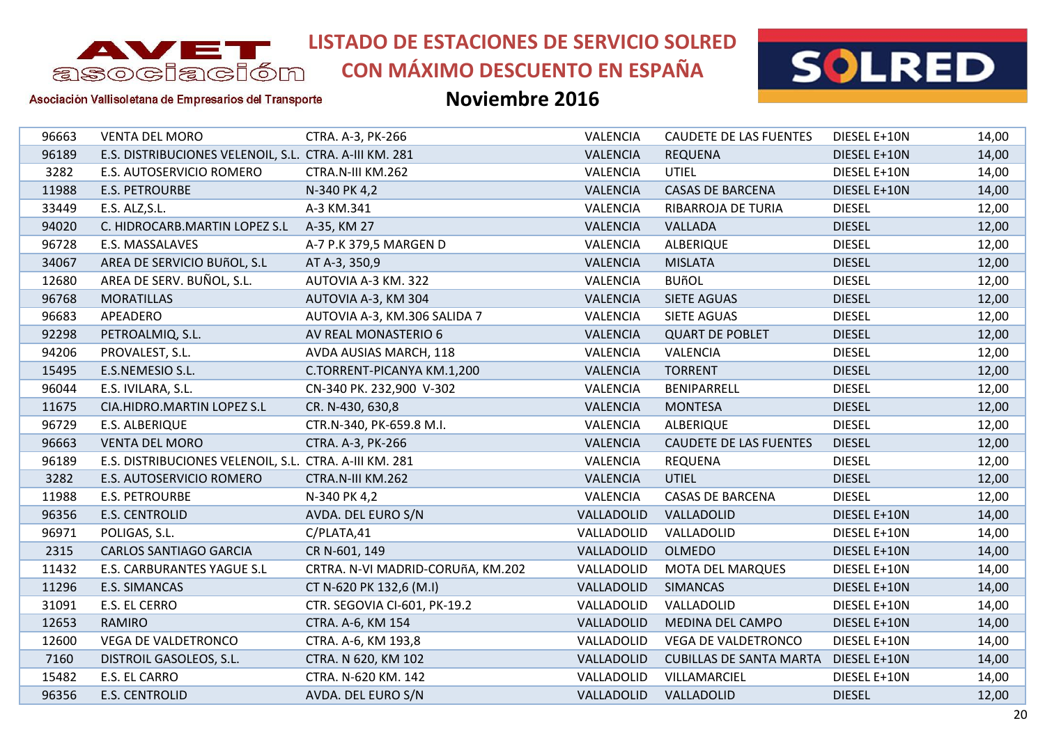

# **CON MÁXIMO DESCUENTO EN ESPAÑA**



Asociación Vallisoletana de Empresarios del Transporte

| 96663 | <b>VENTA DEL MORO</b>                                  | CTRA. A-3, PK-266                 | VALENCIA        | <b>CAUDETE DE LAS FUENTES</b>  | DIESEL E+10N  | 14,00 |
|-------|--------------------------------------------------------|-----------------------------------|-----------------|--------------------------------|---------------|-------|
| 96189 | E.S. DISTRIBUCIONES VELENOIL, S.L. CTRA. A-III KM. 281 |                                   | <b>VALENCIA</b> | <b>REQUENA</b>                 | DIESEL E+10N  | 14,00 |
| 3282  | E.S. AUTOSERVICIO ROMERO                               | CTRA.N-III KM.262                 | VALENCIA        | <b>UTIEL</b>                   | DIESEL E+10N  | 14,00 |
| 11988 | <b>E.S. PETROURBE</b>                                  | N-340 PK 4,2                      | <b>VALENCIA</b> | CASAS DE BARCENA               | DIESEL E+10N  | 14,00 |
| 33449 | E.S. ALZ, S.L.                                         | A-3 KM.341                        | VALENCIA        | RIBARROJA DE TURIA             | <b>DIESEL</b> | 12,00 |
| 94020 | C. HIDROCARB.MARTIN LOPEZ S.L                          | A-35, KM 27                       | VALENCIA        | VALLADA                        | <b>DIESEL</b> | 12,00 |
| 96728 | E.S. MASSALAVES                                        | A-7 P.K 379,5 MARGEN D            | <b>VALENCIA</b> | <b>ALBERIQUE</b>               | <b>DIESEL</b> | 12,00 |
| 34067 | AREA DE SERVICIO BUñOL, S.L                            | AT A-3, 350,9                     | <b>VALENCIA</b> | <b>MISLATA</b>                 | <b>DIESEL</b> | 12,00 |
| 12680 | AREA DE SERV. BUÑOL, S.L.                              | AUTOVIA A-3 KM. 322               | VALENCIA        | <b>BUñOL</b>                   | <b>DIESEL</b> | 12,00 |
| 96768 | <b>MORATILLAS</b>                                      | AUTOVIA A-3, KM 304               | <b>VALENCIA</b> | SIETE AGUAS                    | <b>DIESEL</b> | 12,00 |
| 96683 | APEADERO                                               | AUTOVIA A-3, KM.306 SALIDA 7      | VALENCIA        | <b>SIETE AGUAS</b>             | <b>DIESEL</b> | 12,00 |
| 92298 | PETROALMIQ, S.L.                                       | AV REAL MONASTERIO 6              | <b>VALENCIA</b> | <b>QUART DE POBLET</b>         | <b>DIESEL</b> | 12,00 |
| 94206 | PROVALEST, S.L.                                        | AVDA AUSIAS MARCH, 118            | VALENCIA        | VALENCIA                       | <b>DIESEL</b> | 12,00 |
| 15495 | E.S.NEMESIO S.L.                                       | C.TORRENT-PICANYA KM.1,200        | <b>VALENCIA</b> | <b>TORRENT</b>                 | <b>DIESEL</b> | 12,00 |
| 96044 | E.S. IVILARA, S.L.                                     | CN-340 PK. 232,900 V-302          | VALENCIA        | BENIPARRELL                    | <b>DIESEL</b> | 12,00 |
| 11675 | CIA.HIDRO.MARTIN LOPEZ S.L                             | CR. N-430, 630,8                  | <b>VALENCIA</b> | <b>MONTESA</b>                 | <b>DIESEL</b> | 12,00 |
| 96729 | E.S. ALBERIQUE                                         | CTR.N-340, PK-659.8 M.I.          | <b>VALENCIA</b> | <b>ALBERIQUE</b>               | <b>DIESEL</b> | 12,00 |
| 96663 | <b>VENTA DEL MORO</b>                                  | CTRA. A-3, PK-266                 | <b>VALENCIA</b> | CAUDETE DE LAS FUENTES         | <b>DIESEL</b> | 12,00 |
| 96189 | E.S. DISTRIBUCIONES VELENOIL, S.L. CTRA. A-III KM. 281 |                                   | VALENCIA        | <b>REQUENA</b>                 | <b>DIESEL</b> | 12,00 |
| 3282  | E.S. AUTOSERVICIO ROMERO                               | CTRA.N-III KM.262                 | <b>VALENCIA</b> | <b>UTIEL</b>                   | <b>DIESEL</b> | 12,00 |
| 11988 | <b>E.S. PETROURBE</b>                                  | N-340 PK 4,2                      | <b>VALENCIA</b> | <b>CASAS DE BARCENA</b>        | <b>DIESEL</b> | 12,00 |
| 96356 | E.S. CENTROLID                                         | AVDA. DEL EURO S/N                | VALLADOLID      | VALLADOLID                     | DIESEL E+10N  | 14,00 |
| 96971 | POLIGAS, S.L.                                          | C/PLATA,41                        | VALLADOLID      | VALLADOLID                     | DIESEL E+10N  | 14,00 |
| 2315  | <b>CARLOS SANTIAGO GARCIA</b>                          | CR N-601, 149                     | VALLADOLID      | <b>OLMEDO</b>                  | DIESEL E+10N  | 14,00 |
| 11432 | E.S. CARBURANTES YAGUE S.L                             | CRTRA. N-VI MADRID-CORUñA, KM.202 | VALLADOLID      | <b>MOTA DEL MARQUES</b>        | DIESEL E+10N  | 14,00 |
| 11296 | E.S. SIMANCAS                                          | CT N-620 PK 132,6 (M.I)           | VALLADOLID      | <b>SIMANCAS</b>                | DIESEL E+10N  | 14,00 |
| 31091 | E.S. EL CERRO                                          | CTR. SEGOVIA CI-601, PK-19.2      | VALLADOLID      | VALLADOLID                     | DIESEL E+10N  | 14,00 |
| 12653 | RAMIRO                                                 | CTRA. A-6, KM 154                 | VALLADOLID      | MEDINA DEL CAMPO               | DIESEL E+10N  | 14,00 |
| 12600 | <b>VEGA DE VALDETRONCO</b>                             | CTRA. A-6, KM 193,8               | VALLADOLID      | VEGA DE VALDETRONCO            | DIESEL E+10N  | 14,00 |
| 7160  | DISTROIL GASOLEOS, S.L.                                | CTRA. N 620, KM 102               | VALLADOLID      | <b>CUBILLAS DE SANTA MARTA</b> | DIESEL E+10N  | 14,00 |
| 15482 | E.S. EL CARRO                                          | CTRA. N-620 KM. 142               | VALLADOLID      | VILLAMARCIEL                   | DIESEL E+10N  | 14,00 |
| 96356 | <b>E.S. CENTROLID</b>                                  | AVDA. DEL EURO S/N                | VALLADOLID      | VALLADOLID                     | <b>DIESEL</b> | 12,00 |
|       |                                                        |                                   |                 |                                |               |       |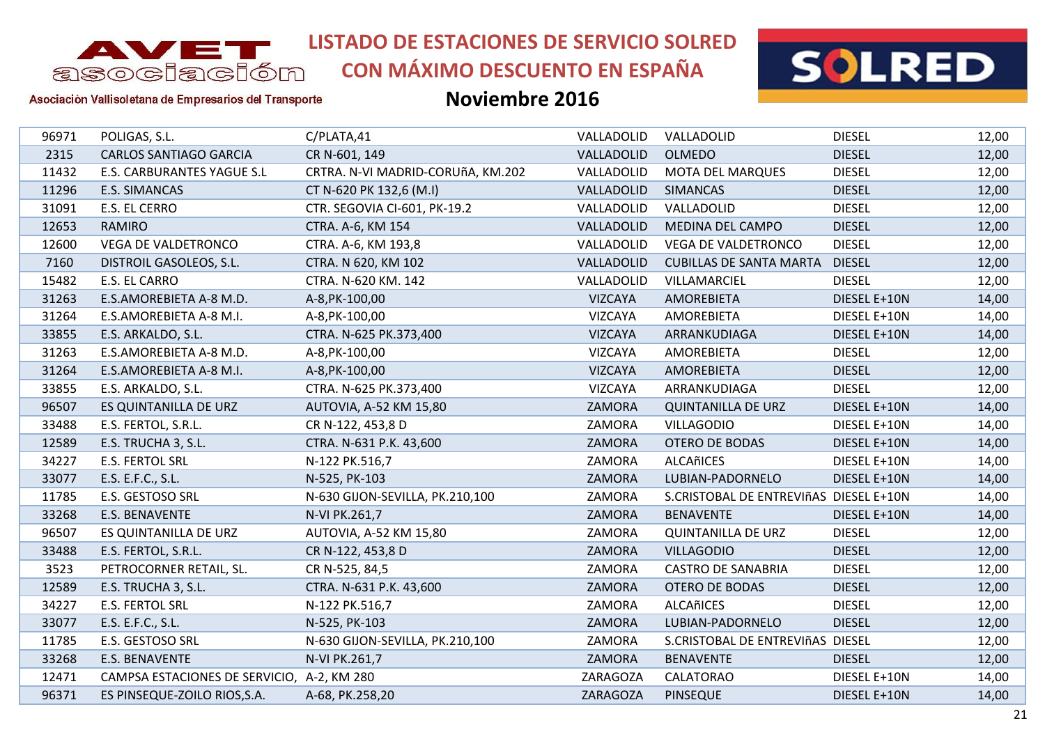

**CON MÁXIMO DESCUENTO EN ESPAÑA**



Asociación Vallisoletana de Empresarios del Transporte

| 96971 | POLIGAS, S.L.                              | C/PLATA,41                        | VALLADOLID     | VALLADOLID                             | <b>DIESEL</b> | 12,00 |
|-------|--------------------------------------------|-----------------------------------|----------------|----------------------------------------|---------------|-------|
| 2315  | <b>CARLOS SANTIAGO GARCIA</b>              | CR N-601, 149                     | VALLADOLID     | <b>OLMEDO</b>                          | <b>DIESEL</b> | 12,00 |
| 11432 | <b>E.S. CARBURANTES YAGUE S.L</b>          | CRTRA. N-VI MADRID-CORUñA, KM.202 | VALLADOLID     | MOTA DEL MARQUES                       | <b>DIESEL</b> | 12,00 |
| 11296 | E.S. SIMANCAS                              | CT N-620 PK 132,6 (M.I)           | VALLADOLID     | <b>SIMANCAS</b>                        | <b>DIESEL</b> | 12,00 |
| 31091 | E.S. EL CERRO                              | CTR. SEGOVIA CI-601, PK-19.2      | VALLADOLID     | VALLADOLID                             | <b>DIESEL</b> | 12,00 |
| 12653 | <b>RAMIRO</b>                              | CTRA. A-6, KM 154                 | VALLADOLID     | MEDINA DEL CAMPO                       | <b>DIESEL</b> | 12,00 |
| 12600 | VEGA DE VALDETRONCO                        | CTRA. A-6, KM 193,8               | VALLADOLID     | <b>VEGA DE VALDETRONCO</b>             | <b>DIESEL</b> | 12,00 |
| 7160  | DISTROIL GASOLEOS, S.L.                    | CTRA. N 620, KM 102               | VALLADOLID     | <b>CUBILLAS DE SANTA MARTA</b>         | <b>DIESEL</b> | 12,00 |
| 15482 | E.S. EL CARRO                              | CTRA. N-620 KM. 142               | VALLADOLID     | VILLAMARCIEL                           | <b>DIESEL</b> | 12,00 |
| 31263 | E.S.AMOREBIETA A-8 M.D.                    | A-8, PK-100, 00                   | <b>VIZCAYA</b> | AMOREBIETA                             | DIESEL E+10N  | 14,00 |
| 31264 | E.S.AMOREBIETA A-8 M.I.                    | A-8, PK-100, 00                   | VIZCAYA        | <b>AMOREBIETA</b>                      | DIESEL E+10N  | 14,00 |
| 33855 | E.S. ARKALDO, S.L.                         | CTRA. N-625 PK.373,400            | <b>VIZCAYA</b> | ARRANKUDIAGA                           | DIESEL E+10N  | 14,00 |
| 31263 | E.S.AMOREBIETA A-8 M.D.                    | A-8, PK-100, 00                   | VIZCAYA        | AMOREBIETA                             | <b>DIESEL</b> | 12,00 |
| 31264 | E.S.AMOREBIETA A-8 M.I.                    | A-8, PK-100, 00                   | <b>VIZCAYA</b> | AMOREBIETA                             | <b>DIESEL</b> | 12,00 |
| 33855 | E.S. ARKALDO, S.L.                         | CTRA. N-625 PK.373,400            | <b>VIZCAYA</b> | ARRANKUDIAGA                           | <b>DIESEL</b> | 12,00 |
| 96507 | ES QUINTANILLA DE URZ                      | AUTOVIA, A-52 KM 15,80            | ZAMORA         | <b>QUINTANILLA DE URZ</b>              | DIESEL E+10N  | 14,00 |
| 33488 | E.S. FERTOL, S.R.L.                        | CR N-122, 453,8 D                 | ZAMORA         | <b>VILLAGODIO</b>                      | DIESEL E+10N  | 14,00 |
| 12589 | E.S. TRUCHA 3, S.L.                        | CTRA. N-631 P.K. 43,600           | ZAMORA         | <b>OTERO DE BODAS</b>                  | DIESEL E+10N  | 14,00 |
| 34227 | <b>E.S. FERTOL SRL</b>                     | N-122 PK.516,7                    | ZAMORA         | ALCAñICES                              | DIESEL E+10N  | 14,00 |
| 33077 | E.S. E.F.C., S.L.                          | N-525, PK-103                     | ZAMORA         | LUBIAN-PADORNELO                       | DIESEL E+10N  | 14,00 |
| 11785 | E.S. GESTOSO SRL                           | N-630 GIJON-SEVILLA, PK.210,100   | ZAMORA         | S.CRISTOBAL DE ENTREVIñAS DIESEL E+10N |               | 14,00 |
| 33268 | E.S. BENAVENTE                             | N-VI PK.261,7                     | ZAMORA         | <b>BENAVENTE</b>                       | DIESEL E+10N  | 14,00 |
| 96507 | ES QUINTANILLA DE URZ                      | AUTOVIA, A-52 KM 15,80            | ZAMORA         | <b>QUINTANILLA DE URZ</b>              | <b>DIESEL</b> | 12,00 |
| 33488 | E.S. FERTOL, S.R.L.                        | CR N-122, 453,8 D                 | ZAMORA         | <b>VILLAGODIO</b>                      | <b>DIESEL</b> | 12,00 |
| 3523  | PETROCORNER RETAIL, SL.                    | CR N-525, 84,5                    | ZAMORA         | <b>CASTRO DE SANABRIA</b>              | <b>DIESEL</b> | 12,00 |
| 12589 | E.S. TRUCHA 3, S.L.                        | CTRA. N-631 P.K. 43,600           | ZAMORA         | <b>OTERO DE BODAS</b>                  | <b>DIESEL</b> | 12,00 |
| 34227 | <b>E.S. FERTOL SRL</b>                     | N-122 PK.516,7                    | ZAMORA         | ALCAñICES                              | <b>DIESEL</b> | 12,00 |
| 33077 | E.S. E.F.C., S.L.                          | N-525, PK-103                     | ZAMORA         | LUBIAN-PADORNELO                       | <b>DIESEL</b> | 12,00 |
| 11785 | E.S. GESTOSO SRL                           | N-630 GIJON-SEVILLA, PK.210,100   | ZAMORA         | S.CRISTOBAL DE ENTREVIñAS DIESEL       |               | 12,00 |
| 33268 | E.S. BENAVENTE                             | N-VI PK.261,7                     | ZAMORA         | <b>BENAVENTE</b>                       | <b>DIESEL</b> | 12,00 |
| 12471 | CAMPSA ESTACIONES DE SERVICIO, A-2, KM 280 |                                   | ZARAGOZA       | <b>CALATORAO</b>                       | DIESEL E+10N  | 14,00 |
| 96371 | ES PINSEQUE-ZOILO RIOS, S.A.               | A-68, PK.258,20                   | ZARAGOZA       | <b>PINSEQUE</b>                        | DIESEL E+10N  | 14,00 |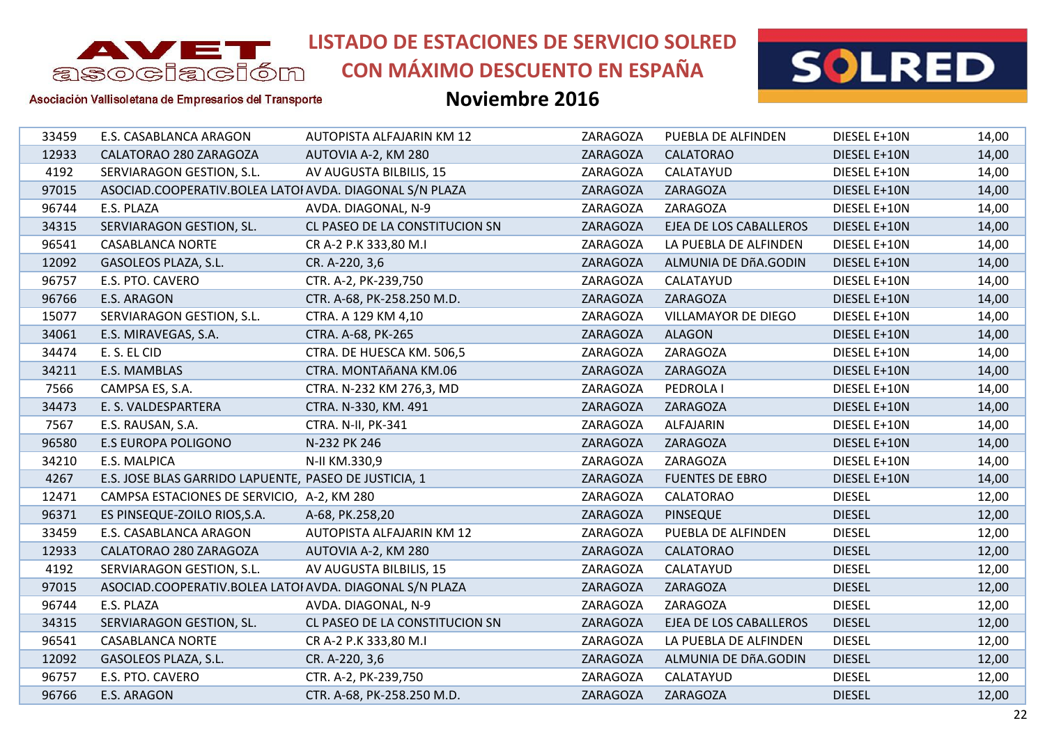

**CON MÁXIMO DESCUENTO EN ESPAÑA**



Asociación Vallisoletana de Empresarios del Transporte

| 33459 | E.S. CASABLANCA ARAGON                                  | AUTOPISTA ALFAJARIN KM 12      | ZARAGOZA | PUEBLA DE ALFINDEN         | DIESEL E+10N  | 14,00 |
|-------|---------------------------------------------------------|--------------------------------|----------|----------------------------|---------------|-------|
| 12933 | CALATORAO 280 ZARAGOZA                                  | AUTOVIA A-2, KM 280            | ZARAGOZA | <b>CALATORAO</b>           | DIESEL E+10N  | 14,00 |
| 4192  | SERVIARAGON GESTION, S.L.                               | AV AUGUSTA BILBILIS, 15        | ZARAGOZA | CALATAYUD                  | DIESEL E+10N  | 14,00 |
| 97015 | ASOCIAD.COOPERATIV.BOLEA LATOI AVDA. DIAGONAL S/N PLAZA |                                | ZARAGOZA | ZARAGOZA                   | DIESEL E+10N  | 14,00 |
| 96744 | E.S. PLAZA                                              | AVDA. DIAGONAL, N-9            | ZARAGOZA | ZARAGOZA                   | DIESEL E+10N  | 14,00 |
| 34315 | SERVIARAGON GESTION, SL.                                | CL PASEO DE LA CONSTITUCION SN | ZARAGOZA | EJEA DE LOS CABALLEROS     | DIESEL E+10N  | 14,00 |
| 96541 | <b>CASABLANCA NORTE</b>                                 | CR A-2 P.K 333,80 M.I          | ZARAGOZA | LA PUEBLA DE ALFINDEN      | DIESEL E+10N  | 14,00 |
| 12092 | GASOLEOS PLAZA, S.L.                                    | CR. A-220, 3,6                 | ZARAGOZA | ALMUNIA DE DÑA.GODIN       | DIESEL E+10N  | 14,00 |
| 96757 | E.S. PTO. CAVERO                                        | CTR. A-2, PK-239,750           | ZARAGOZA | CALATAYUD                  | DIESEL E+10N  | 14,00 |
| 96766 | E.S. ARAGON                                             | CTR. A-68, PK-258.250 M.D.     | ZARAGOZA | ZARAGOZA                   | DIESEL E+10N  | 14,00 |
| 15077 | SERVIARAGON GESTION, S.L.                               | CTRA. A 129 KM 4,10            | ZARAGOZA | <b>VILLAMAYOR DE DIEGO</b> | DIESEL E+10N  | 14,00 |
| 34061 | E.S. MIRAVEGAS, S.A.                                    | CTRA. A-68, PK-265             | ZARAGOZA | <b>ALAGON</b>              | DIESEL E+10N  | 14,00 |
| 34474 | E. S. EL CID                                            | CTRA. DE HUESCA KM. 506,5      | ZARAGOZA | ZARAGOZA                   | DIESEL E+10N  | 14,00 |
| 34211 | E.S. MAMBLAS                                            | CTRA. MONTAñANA KM.06          | ZARAGOZA | ZARAGOZA                   | DIESEL E+10N  | 14,00 |
| 7566  | CAMPSA ES, S.A.                                         | CTRA. N-232 KM 276,3, MD       | ZARAGOZA | PEDROLA I                  | DIESEL E+10N  | 14,00 |
| 34473 | E. S. VALDESPARTERA                                     | CTRA. N-330, KM. 491           | ZARAGOZA | ZARAGOZA                   | DIESEL E+10N  | 14,00 |
| 7567  | E.S. RAUSAN, S.A.                                       | CTRA. N-II, PK-341             | ZARAGOZA | <b>ALFAJARIN</b>           | DIESEL E+10N  | 14,00 |
| 96580 | <b>E.S EUROPA POLIGONO</b>                              | N-232 PK 246                   | ZARAGOZA | ZARAGOZA                   | DIESEL E+10N  | 14,00 |
| 34210 | E.S. MALPICA                                            | N-II KM.330,9                  | ZARAGOZA | ZARAGOZA                   | DIESEL E+10N  | 14,00 |
| 4267  | E.S. JOSE BLAS GARRIDO LAPUENTE, PASEO DE JUSTICIA, 1   |                                | ZARAGOZA | <b>FUENTES DE EBRO</b>     | DIESEL E+10N  | 14,00 |
| 12471 | CAMPSA ESTACIONES DE SERVICIO, A-2, KM 280              |                                | ZARAGOZA | <b>CALATORAO</b>           | <b>DIESEL</b> | 12,00 |
| 96371 | ES PINSEQUE-ZOILO RIOS, S.A.                            | A-68, PK.258,20                | ZARAGOZA | <b>PINSEQUE</b>            | <b>DIESEL</b> | 12,00 |
| 33459 | E.S. CASABLANCA ARAGON                                  | AUTOPISTA ALFAJARIN KM 12      | ZARAGOZA | PUEBLA DE ALFINDEN         | <b>DIESEL</b> | 12,00 |
| 12933 | CALATORAO 280 ZARAGOZA                                  | AUTOVIA A-2, KM 280            | ZARAGOZA | <b>CALATORAO</b>           | <b>DIESEL</b> | 12,00 |
| 4192  | SERVIARAGON GESTION, S.L.                               | AV AUGUSTA BILBILIS, 15        | ZARAGOZA | CALATAYUD                  | <b>DIESEL</b> | 12,00 |
| 97015 | ASOCIAD.COOPERATIV.BOLEA LATOI AVDA. DIAGONAL S/N PLAZA |                                | ZARAGOZA | ZARAGOZA                   | <b>DIESEL</b> | 12,00 |
| 96744 | E.S. PLAZA                                              | AVDA. DIAGONAL, N-9            | ZARAGOZA | ZARAGOZA                   | <b>DIESEL</b> | 12,00 |
| 34315 | SERVIARAGON GESTION, SL.                                | CL PASEO DE LA CONSTITUCION SN | ZARAGOZA | EJEA DE LOS CABALLEROS     | <b>DIESEL</b> | 12,00 |
| 96541 | <b>CASABLANCA NORTE</b>                                 | CR A-2 P.K 333,80 M.I          | ZARAGOZA | LA PUEBLA DE ALFINDEN      | <b>DIESEL</b> | 12,00 |
| 12092 | GASOLEOS PLAZA, S.L.                                    | CR. A-220, 3,6                 | ZARAGOZA | ALMUNIA DE DÑA.GODIN       | <b>DIESEL</b> | 12,00 |
| 96757 | E.S. PTO. CAVERO                                        | CTR. A-2, PK-239,750           | ZARAGOZA | CALATAYUD                  | <b>DIESEL</b> | 12,00 |
| 96766 | E.S. ARAGON                                             | CTR. A-68, PK-258.250 M.D.     | ZARAGOZA | ZARAGOZA                   | <b>DIESEL</b> | 12,00 |
|       |                                                         |                                |          |                            |               |       |